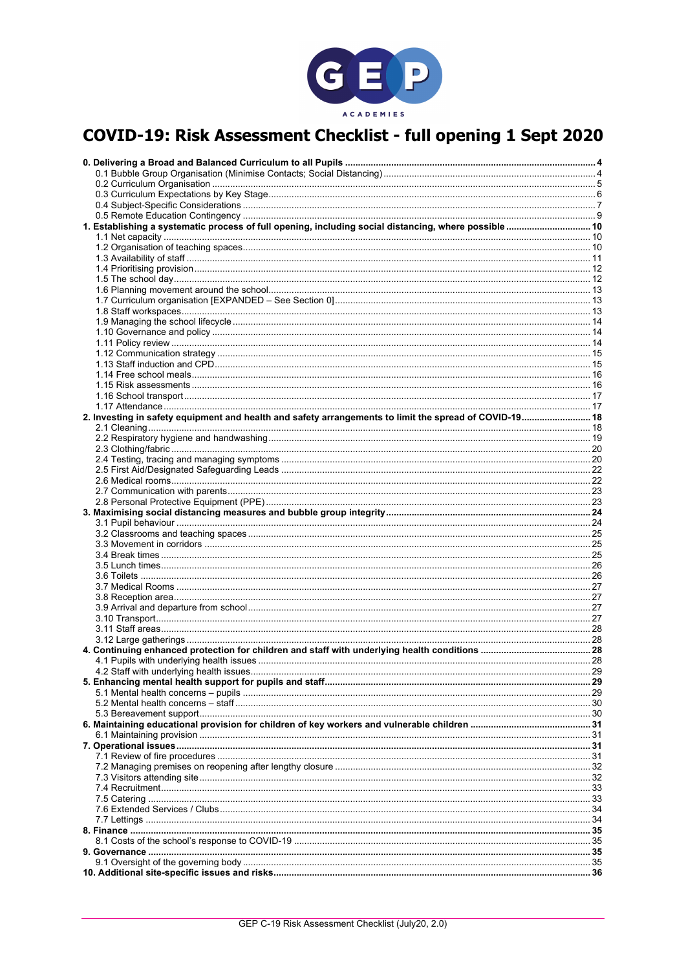

## COVID-19: Risk Assessment Checklist - full opening 1 Sept 2020

| 1. Establishing a systematic process of full opening, including social distancing, where possible  10  |  |
|--------------------------------------------------------------------------------------------------------|--|
|                                                                                                        |  |
|                                                                                                        |  |
|                                                                                                        |  |
|                                                                                                        |  |
|                                                                                                        |  |
|                                                                                                        |  |
|                                                                                                        |  |
|                                                                                                        |  |
|                                                                                                        |  |
|                                                                                                        |  |
|                                                                                                        |  |
|                                                                                                        |  |
|                                                                                                        |  |
|                                                                                                        |  |
|                                                                                                        |  |
|                                                                                                        |  |
|                                                                                                        |  |
|                                                                                                        |  |
| 2. Investing in safety equipment and health and safety arrangements to limit the spread of COVID-19 18 |  |
|                                                                                                        |  |
|                                                                                                        |  |
|                                                                                                        |  |
|                                                                                                        |  |
|                                                                                                        |  |
|                                                                                                        |  |
|                                                                                                        |  |
|                                                                                                        |  |
|                                                                                                        |  |
|                                                                                                        |  |
|                                                                                                        |  |
|                                                                                                        |  |
|                                                                                                        |  |
|                                                                                                        |  |
|                                                                                                        |  |
|                                                                                                        |  |
|                                                                                                        |  |
|                                                                                                        |  |
|                                                                                                        |  |
|                                                                                                        |  |
|                                                                                                        |  |
|                                                                                                        |  |
|                                                                                                        |  |
|                                                                                                        |  |
|                                                                                                        |  |
|                                                                                                        |  |
|                                                                                                        |  |
|                                                                                                        |  |
|                                                                                                        |  |
|                                                                                                        |  |
|                                                                                                        |  |
|                                                                                                        |  |
|                                                                                                        |  |
|                                                                                                        |  |
|                                                                                                        |  |
|                                                                                                        |  |
|                                                                                                        |  |
|                                                                                                        |  |
|                                                                                                        |  |
|                                                                                                        |  |
|                                                                                                        |  |
|                                                                                                        |  |
|                                                                                                        |  |
|                                                                                                        |  |
|                                                                                                        |  |
|                                                                                                        |  |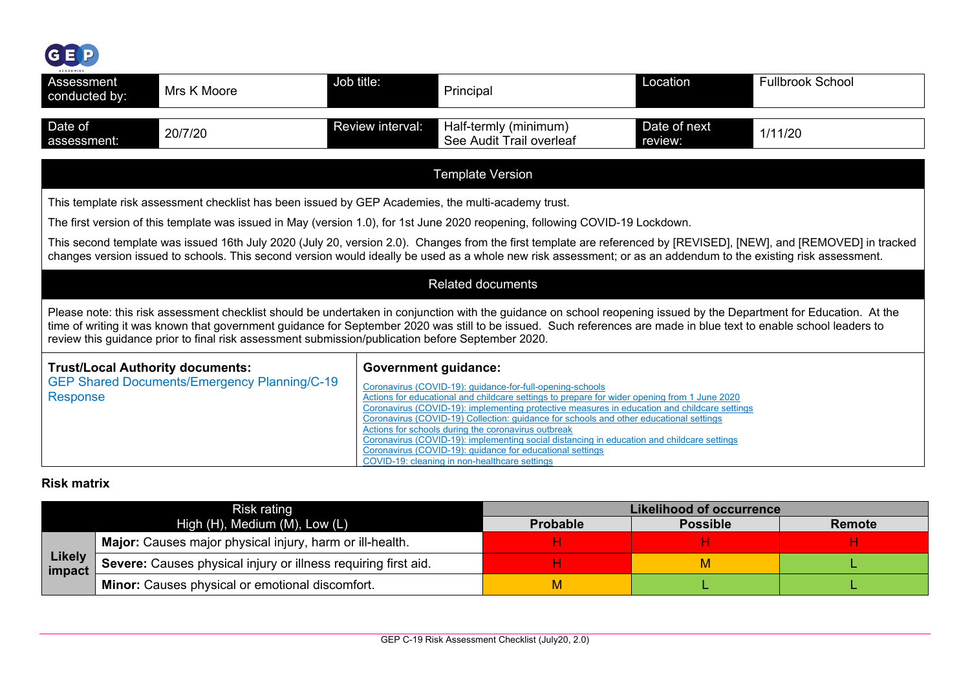

| <b>ACADEMIES</b><br>Assessment<br>conducted by:                                                                                                                                                                                                                                                                                                                                                                                                 | Mrs K Moore                                                                                        | Job title:                  | Principal                                                                                                                                                                                                                                                                                                                                                                                                                                                                                                                                                                                                              | Location                | <b>Fullbrook School</b> |  |  |  |  |
|-------------------------------------------------------------------------------------------------------------------------------------------------------------------------------------------------------------------------------------------------------------------------------------------------------------------------------------------------------------------------------------------------------------------------------------------------|----------------------------------------------------------------------------------------------------|-----------------------------|------------------------------------------------------------------------------------------------------------------------------------------------------------------------------------------------------------------------------------------------------------------------------------------------------------------------------------------------------------------------------------------------------------------------------------------------------------------------------------------------------------------------------------------------------------------------------------------------------------------------|-------------------------|-------------------------|--|--|--|--|
| Date of<br>assessment:                                                                                                                                                                                                                                                                                                                                                                                                                          | 20/7/20                                                                                            | Review interval:            | Half-termly (minimum)<br>See Audit Trail overleaf                                                                                                                                                                                                                                                                                                                                                                                                                                                                                                                                                                      | Date of next<br>review: | 1/11/20                 |  |  |  |  |
|                                                                                                                                                                                                                                                                                                                                                                                                                                                 | <b>Template Version</b>                                                                            |                             |                                                                                                                                                                                                                                                                                                                                                                                                                                                                                                                                                                                                                        |                         |                         |  |  |  |  |
|                                                                                                                                                                                                                                                                                                                                                                                                                                                 | This template risk assessment checklist has been issued by GEP Academies, the multi-academy trust. |                             |                                                                                                                                                                                                                                                                                                                                                                                                                                                                                                                                                                                                                        |                         |                         |  |  |  |  |
|                                                                                                                                                                                                                                                                                                                                                                                                                                                 |                                                                                                    |                             | The first version of this template was issued in May (version 1.0), for 1st June 2020 reopening, following COVID-19 Lockdown.                                                                                                                                                                                                                                                                                                                                                                                                                                                                                          |                         |                         |  |  |  |  |
|                                                                                                                                                                                                                                                                                                                                                                                                                                                 |                                                                                                    |                             | This second template was issued 16th July 2020 (July 20, version 2.0). Changes from the first template are referenced by [REVISED], [NEW], and [REMOVED] in tracked<br>changes version issued to schools. This second version would ideally be used as a whole new risk assessment; or as an addendum to the existing risk assessment.                                                                                                                                                                                                                                                                                 |                         |                         |  |  |  |  |
|                                                                                                                                                                                                                                                                                                                                                                                                                                                 |                                                                                                    |                             | <b>Related documents</b>                                                                                                                                                                                                                                                                                                                                                                                                                                                                                                                                                                                               |                         |                         |  |  |  |  |
| Please note: this risk assessment checklist should be undertaken in conjunction with the guidance on school reopening issued by the Department for Education. At the<br>time of writing it was known that government guidance for September 2020 was still to be issued. Such references are made in blue text to enable school leaders to<br>review this guidance prior to final risk assessment submission/publication before September 2020. |                                                                                                    |                             |                                                                                                                                                                                                                                                                                                                                                                                                                                                                                                                                                                                                                        |                         |                         |  |  |  |  |
| <b>Trust/Local Authority documents:</b><br><b>Response</b>                                                                                                                                                                                                                                                                                                                                                                                      | <b>GEP Shared Documents/Emergency Planning/C-19</b>                                                | <b>Government guidance:</b> | Coronavirus (COVID-19): guidance-for-full-opening-schools<br>Actions for educational and childcare settings to prepare for wider opening from 1 June 2020<br>Coronavirus (COVID-19): implementing protective measures in education and childcare settings<br>Coronavirus (COVID-19) Collection: guidance for schools and other educational settings<br>Actions for schools during the coronavirus outbreak<br>Coronavirus (COVID-19): implementing social distancing in education and childcare settings<br>Coronavirus (COVID-19): guidance for educational settings<br>COVID-19: cleaning in non-healthcare settings |                         |                         |  |  |  |  |

### **Risk matrix**

|                  | Risk rating                                                    | Likelihood of occurrence |                 |               |  |  |  |  |
|------------------|----------------------------------------------------------------|--------------------------|-----------------|---------------|--|--|--|--|
|                  | High $(H)$ , Medium $(M)$ , Low $(L)$                          | <b>Probable</b>          | <b>Possible</b> | <b>Remote</b> |  |  |  |  |
| Likely<br>impact | Major: Causes major physical injury, harm or ill-health.       |                          |                 |               |  |  |  |  |
|                  | Severe: Causes physical injury or illness requiring first aid. |                          | VI.             |               |  |  |  |  |
|                  | Minor: Causes physical or emotional discomfort.                |                          |                 |               |  |  |  |  |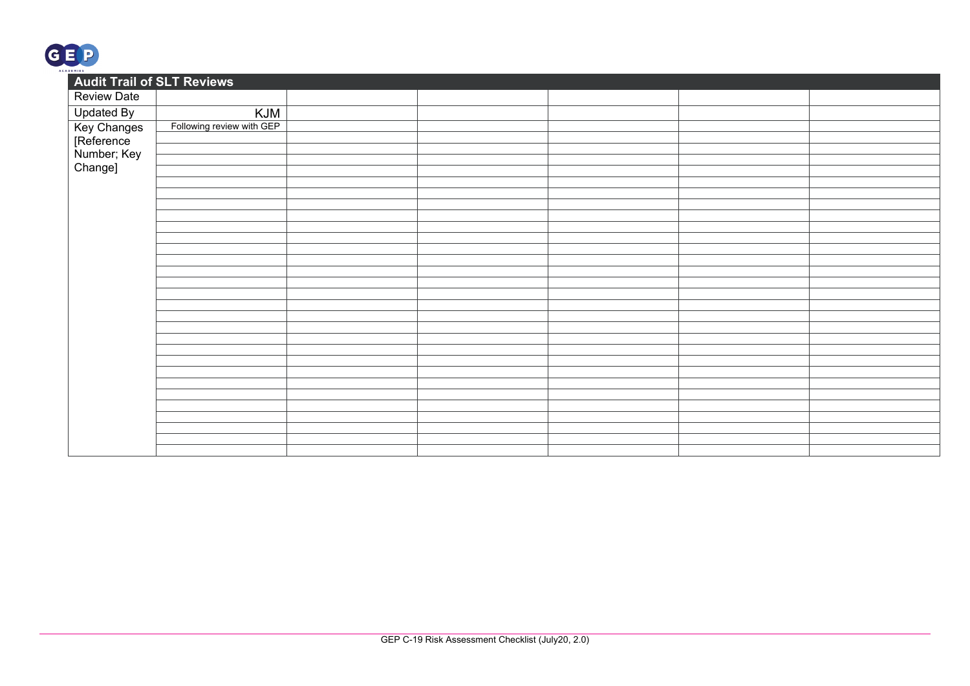

| <b>Audit Trail of SLT Reviews</b>                   |                           |  |  |  |
|-----------------------------------------------------|---------------------------|--|--|--|
| <b>Review Date</b>                                  |                           |  |  |  |
| <b>Updated By</b>                                   | KJM                       |  |  |  |
| Key Changes<br>[Reference<br>Number; Key<br>Change] | Following review with GEP |  |  |  |
|                                                     |                           |  |  |  |
|                                                     |                           |  |  |  |
|                                                     |                           |  |  |  |
|                                                     |                           |  |  |  |
|                                                     |                           |  |  |  |
|                                                     |                           |  |  |  |
|                                                     |                           |  |  |  |
|                                                     |                           |  |  |  |
|                                                     |                           |  |  |  |
|                                                     |                           |  |  |  |
|                                                     |                           |  |  |  |
|                                                     |                           |  |  |  |
|                                                     |                           |  |  |  |
|                                                     |                           |  |  |  |
|                                                     |                           |  |  |  |
|                                                     |                           |  |  |  |
|                                                     |                           |  |  |  |
|                                                     |                           |  |  |  |
|                                                     |                           |  |  |  |
|                                                     |                           |  |  |  |
|                                                     |                           |  |  |  |
|                                                     |                           |  |  |  |
|                                                     |                           |  |  |  |
|                                                     |                           |  |  |  |
|                                                     |                           |  |  |  |
|                                                     |                           |  |  |  |
|                                                     |                           |  |  |  |
|                                                     |                           |  |  |  |
|                                                     |                           |  |  |  |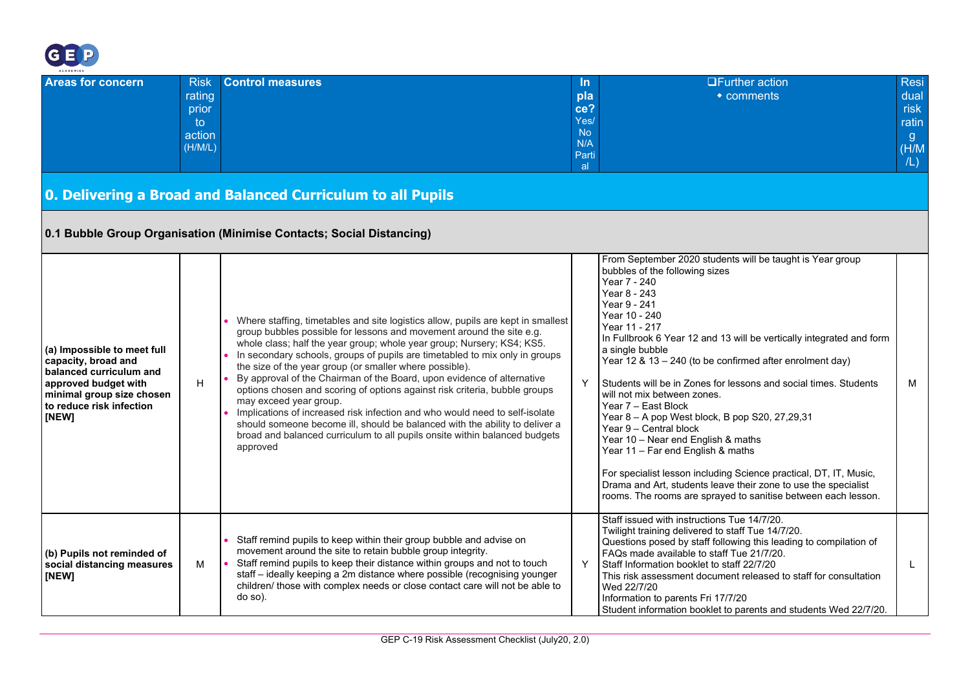

| ___<br><b>ACADEMIES</b>  |             |                         |               |                        |       |
|--------------------------|-------------|-------------------------|---------------|------------------------|-------|
| <b>Areas for concern</b> | <b>Risk</b> | <b>Control measures</b> | In.           | <b>OFurther action</b> | Resi  |
|                          | rating      |                         | pla           | $\bullet$ comments     | dual  |
|                          | prior       |                         | ce?           |                        | risk  |
|                          | to          |                         | Yes/          |                        | ratin |
|                          | action      |                         | No            |                        | g.    |
|                          | (H/M/L)     |                         | N/A           |                        | (M/H) |
|                          |             |                         | Parti<br>al - |                        | /L)   |
|                          |             |                         |               |                        |       |

## **0. Delivering a Broad and Balanced Curriculum to all Pupils**

### **0.1 Bubble Group Organisation (Minimise Contacts; Social Distancing)**

<span id="page-3-1"></span><span id="page-3-0"></span>

| (a) Impossible to meet full<br>capacity, broad and<br>balanced curriculum and<br>approved budget with<br>minimal group size chosen<br>to reduce risk infection<br>[NEW] | H | Where staffing, timetables and site logistics allow, pupils are kept in smallest<br>group bubbles possible for lessons and movement around the site e.g.<br>whole class; half the year group; whole year group; Nursery; KS4; KS5.<br>In secondary schools, groups of pupils are timetabled to mix only in groups<br>the size of the year group (or smaller where possible).<br>By approval of the Chairman of the Board, upon evidence of alternative<br>options chosen and scoring of options against risk criteria, bubble groups<br>may exceed year group.<br>Implications of increased risk infection and who would need to self-isolate<br>should someone become ill, should be balanced with the ability to deliver a<br>broad and balanced curriculum to all pupils onsite within balanced budgets<br>approved | From September 2020 students will be taught is Year group<br>bubbles of the following sizes<br>Year 7 - 240<br>Year 8 - 243<br>Year 9 - 241<br>Year 10 - 240<br>Year 11 - 217<br>In Fullbrook 6 Year 12 and 13 will be vertically integrated and form<br>a single bubble<br>Year 12 & 13 - 240 (to be confirmed after enrolment day)<br>Students will be in Zones for lessons and social times. Students<br>will not mix between zones.<br>Year 7 - East Block<br>Year 8 - A pop West block, B pop S20, 27,29,31<br>Year 9 - Central block<br>Year 10 - Near end English & maths<br>Year 11 - Far end English & maths<br>For specialist lesson including Science practical, DT, IT, Music,<br>Drama and Art, students leave their zone to use the specialist<br>rooms. The rooms are sprayed to sanitise between each lesson. | M |
|-------------------------------------------------------------------------------------------------------------------------------------------------------------------------|---|------------------------------------------------------------------------------------------------------------------------------------------------------------------------------------------------------------------------------------------------------------------------------------------------------------------------------------------------------------------------------------------------------------------------------------------------------------------------------------------------------------------------------------------------------------------------------------------------------------------------------------------------------------------------------------------------------------------------------------------------------------------------------------------------------------------------|-------------------------------------------------------------------------------------------------------------------------------------------------------------------------------------------------------------------------------------------------------------------------------------------------------------------------------------------------------------------------------------------------------------------------------------------------------------------------------------------------------------------------------------------------------------------------------------------------------------------------------------------------------------------------------------------------------------------------------------------------------------------------------------------------------------------------------|---|
|                                                                                                                                                                         |   |                                                                                                                                                                                                                                                                                                                                                                                                                                                                                                                                                                                                                                                                                                                                                                                                                        | Staff issued with instructions Tue 14/7/20.<br>Twilight training delivered to staff Tue 14/7/20.                                                                                                                                                                                                                                                                                                                                                                                                                                                                                                                                                                                                                                                                                                                              |   |
| (b) Pupils not reminded of<br>social distancing measures<br>[NEW]                                                                                                       | M | Staff remind pupils to keep within their group bubble and advise on<br>movement around the site to retain bubble group integrity.<br>Staff remind pupils to keep their distance within groups and not to touch<br>staff - ideally keeping a 2m distance where possible (recognising younger<br>children/ those with complex needs or close contact care will not be able to<br>do so).                                                                                                                                                                                                                                                                                                                                                                                                                                 | Questions posed by staff following this leading to compilation of<br>FAQs made available to staff Tue 21/7/20.<br>Staff Information booklet to staff 22/7/20<br>This risk assessment document released to staff for consultation<br>Wed 22/7/20<br>Information to parents Fri 17/7/20<br>Student information booklet to parents and students Wed 22/7/20.                                                                                                                                                                                                                                                                                                                                                                                                                                                                     |   |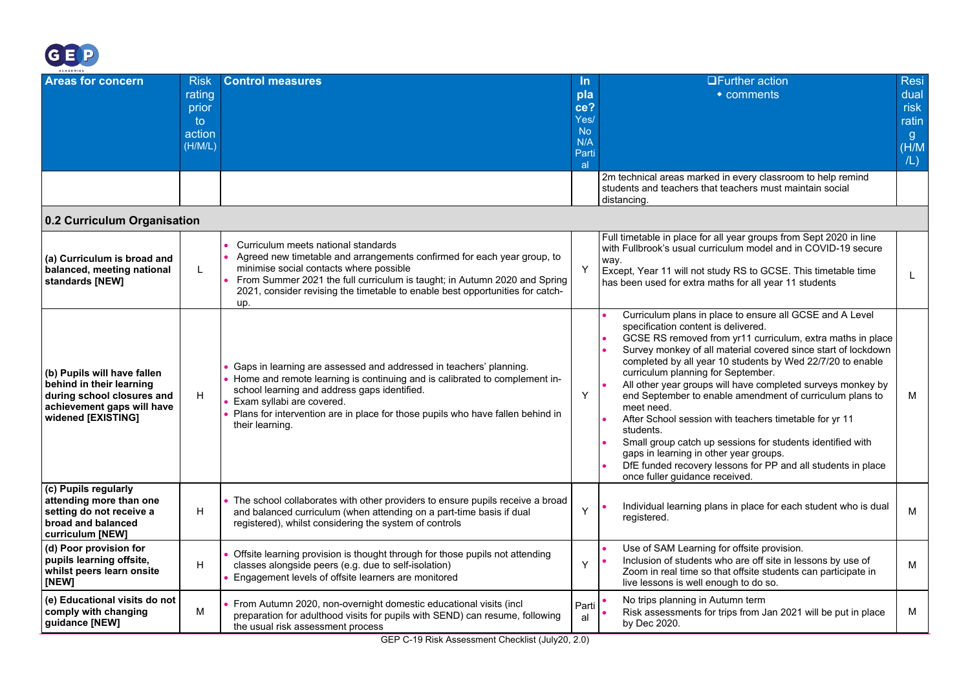

<span id="page-4-0"></span>

| ACADEMIES                                                                                                                                 |                                                            |                                                                                                                                                                                                                                                                                                                                    |                                                                    |                                                                                                                                                                                                                                                                                                                                                                                                                                                                                                                                                                                                                                                                                                                                                              |                                                                      |
|-------------------------------------------------------------------------------------------------------------------------------------------|------------------------------------------------------------|------------------------------------------------------------------------------------------------------------------------------------------------------------------------------------------------------------------------------------------------------------------------------------------------------------------------------------|--------------------------------------------------------------------|--------------------------------------------------------------------------------------------------------------------------------------------------------------------------------------------------------------------------------------------------------------------------------------------------------------------------------------------------------------------------------------------------------------------------------------------------------------------------------------------------------------------------------------------------------------------------------------------------------------------------------------------------------------------------------------------------------------------------------------------------------------|----------------------------------------------------------------------|
| <b>Areas for concern</b>                                                                                                                  | <b>Risk</b><br>rating<br>prior<br>to.<br>action<br>(H/M/L) | <b>Control measures</b>                                                                                                                                                                                                                                                                                                            | <u>In</u><br>pla<br>ce?<br>Yes/<br><b>No</b><br>N/A<br>Parti<br>al | <b>OFurther action</b><br>$\bullet$ comments                                                                                                                                                                                                                                                                                                                                                                                                                                                                                                                                                                                                                                                                                                                 | <b>Resi</b><br>dual<br>risk<br>ratin<br>$\mathbf{g}$<br>(H/M)<br>/L) |
|                                                                                                                                           |                                                            |                                                                                                                                                                                                                                                                                                                                    |                                                                    | 2m technical areas marked in every classroom to help remind<br>students and teachers that teachers must maintain social<br>distancing.                                                                                                                                                                                                                                                                                                                                                                                                                                                                                                                                                                                                                       |                                                                      |
| 0.2 Curriculum Organisation                                                                                                               |                                                            |                                                                                                                                                                                                                                                                                                                                    |                                                                    |                                                                                                                                                                                                                                                                                                                                                                                                                                                                                                                                                                                                                                                                                                                                                              |                                                                      |
| (a) Curriculum is broad and<br>balanced, meeting national<br>standards [NEW]                                                              | L                                                          | Curriculum meets national standards<br>Agreed new timetable and arrangements confirmed for each year group, to<br>minimise social contacts where possible<br>From Summer 2021 the full curriculum is taught; in Autumn 2020 and Spring<br>2021, consider revising the timetable to enable best opportunities for catch-<br>up.     | Y                                                                  | Full timetable in place for all year groups from Sept 2020 in line<br>with Fullbrook's usual curriculum model and in COVID-19 secure<br>way.<br>Except, Year 11 will not study RS to GCSE. This timetable time<br>has been used for extra maths for all year 11 students                                                                                                                                                                                                                                                                                                                                                                                                                                                                                     | L.                                                                   |
| (b) Pupils will have fallen<br>behind in their learning<br>during school closures and<br>achievement gaps will have<br>widened [EXISTING] | н                                                          | Gaps in learning are assessed and addressed in teachers' planning.<br>Home and remote learning is continuing and is calibrated to complement in-<br>school learning and address gaps identified.<br>Exam syllabi are covered.<br>Plans for intervention are in place for those pupils who have fallen behind in<br>their learning. | Y                                                                  | Curriculum plans in place to ensure all GCSE and A Level<br>specification content is delivered.<br>GCSE RS removed from yr11 curriculum, extra maths in place<br>Survey monkey of all material covered since start of lockdown<br>completed by all year 10 students by Wed 22/7/20 to enable<br>curriculum planning for September.<br>All other year groups will have completed surveys monkey by<br>end September to enable amendment of curriculum plans to<br>meet need.<br>After School session with teachers timetable for yr 11<br>students.<br>Small group catch up sessions for students identified with<br>gaps in learning in other year groups.<br>DfE funded recovery lessons for PP and all students in place<br>once fuller quidance received. | М                                                                    |
| (c) Pupils regularly<br>attending more than one<br>setting do not receive a<br>broad and balanced<br>curriculum [NEW]                     | H                                                          | • The school collaborates with other providers to ensure pupils receive a broad<br>and balanced curriculum (when attending on a part-time basis if dual<br>registered), whilst considering the system of controls                                                                                                                  | Y                                                                  | Individual learning plans in place for each student who is dual<br>registered.                                                                                                                                                                                                                                                                                                                                                                                                                                                                                                                                                                                                                                                                               | м                                                                    |
| (d) Poor provision for<br>pupils learning offsite,<br>whilst peers learn onsite<br>[NEW]                                                  | н                                                          | Offsite learning provision is thought through for those pupils not attending<br>classes alongside peers (e.g. due to self-isolation)<br>Engagement levels of offsite learners are monitored                                                                                                                                        | Y                                                                  | Use of SAM Learning for offsite provision.<br>Inclusion of students who are off site in lessons by use of<br>Zoom in real time so that offsite students can participate in<br>live lessons is well enough to do so.                                                                                                                                                                                                                                                                                                                                                                                                                                                                                                                                          | М                                                                    |
| (e) Educational visits do not<br>comply with changing<br>guidance [NEW]                                                                   | M                                                          | From Autumn 2020, non-overnight domestic educational visits (incl<br>preparation for adulthood visits for pupils with SEND) can resume, following<br>the usual risk assessment process                                                                                                                                             | Parti<br>al                                                        | No trips planning in Autumn term<br>Risk assessments for trips from Jan 2021 will be put in place<br>by Dec 2020.                                                                                                                                                                                                                                                                                                                                                                                                                                                                                                                                                                                                                                            | М                                                                    |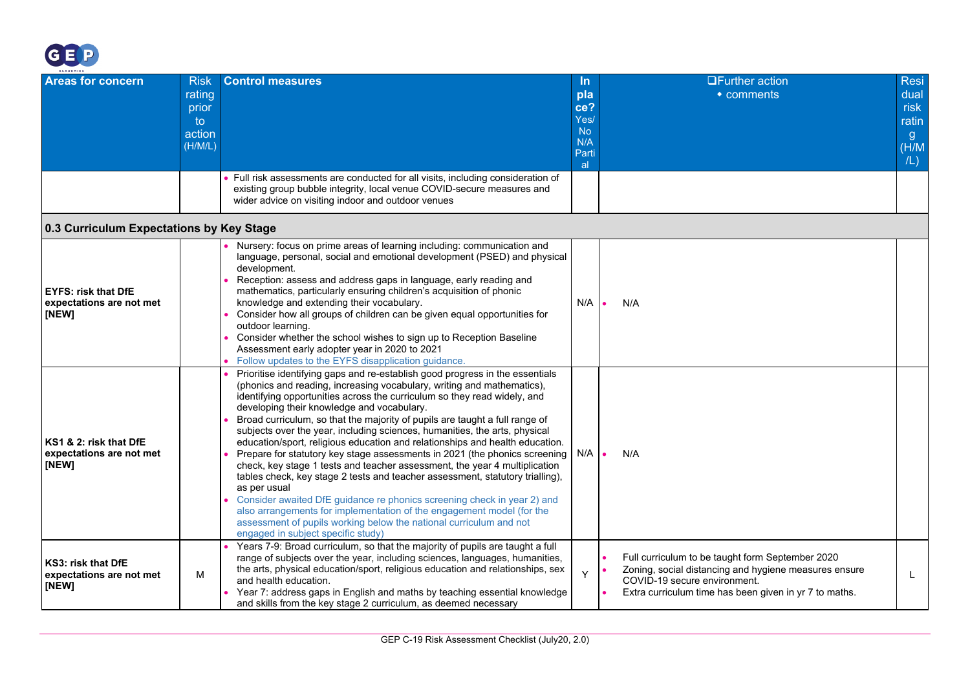

<span id="page-5-0"></span>

| ACADEMIES                                                       |                                                           |                                                                                                                                                                                                                                                                                                                                                                                                                                                                                                                                                                                                                                                                                                                                                                                                                                                                                                                                                                                                                                                            |                                                                    |                                                                                                                                                                                                     |                                                                      |
|-----------------------------------------------------------------|-----------------------------------------------------------|------------------------------------------------------------------------------------------------------------------------------------------------------------------------------------------------------------------------------------------------------------------------------------------------------------------------------------------------------------------------------------------------------------------------------------------------------------------------------------------------------------------------------------------------------------------------------------------------------------------------------------------------------------------------------------------------------------------------------------------------------------------------------------------------------------------------------------------------------------------------------------------------------------------------------------------------------------------------------------------------------------------------------------------------------------|--------------------------------------------------------------------|-----------------------------------------------------------------------------------------------------------------------------------------------------------------------------------------------------|----------------------------------------------------------------------|
| <b>Areas for concern</b>                                        | <b>Risk</b><br>rating<br>prior<br>to<br>action<br>(H/M/L) | <b>Control measures</b><br>Full risk assessments are conducted for all visits, including consideration of<br>existing group bubble integrity, local venue COVID-secure measures and<br>wider advice on visiting indoor and outdoor venues                                                                                                                                                                                                                                                                                                                                                                                                                                                                                                                                                                                                                                                                                                                                                                                                                  | <u>In</u><br>pla<br>ce?<br>Yes/<br><b>No</b><br>N/A<br>Parti<br>al | <b>OFurther action</b><br>$\bullet$ comments                                                                                                                                                        | <b>Resi</b><br>dual<br>risk<br>ratin<br>$\mathbf{g}$<br>(H/M)<br>/L) |
| 0.3 Curriculum Expectations by Key Stage                        |                                                           |                                                                                                                                                                                                                                                                                                                                                                                                                                                                                                                                                                                                                                                                                                                                                                                                                                                                                                                                                                                                                                                            |                                                                    |                                                                                                                                                                                                     |                                                                      |
| <b>EYFS: risk that DfE</b><br>expectations are not met<br>[NEW] |                                                           | Nursery: focus on prime areas of learning including: communication and<br>language, personal, social and emotional development (PSED) and physical<br>development.<br>Reception: assess and address gaps in language, early reading and<br>mathematics, particularly ensuring children's acquisition of phonic<br>knowledge and extending their vocabulary.<br>Consider how all groups of children can be given equal opportunities for<br>outdoor learning.<br>Consider whether the school wishes to sign up to Reception Baseline<br>Assessment early adopter year in 2020 to 2021<br>Follow updates to the EYFS disapplication guidance.                                                                                                                                                                                                                                                                                                                                                                                                                | N/A                                                                | N/A                                                                                                                                                                                                 |                                                                      |
| KS1 & 2: risk that DfE<br>expectations are not met<br>[NEW]     |                                                           | Prioritise identifying gaps and re-establish good progress in the essentials<br>(phonics and reading, increasing vocabulary, writing and mathematics),<br>identifying opportunities across the curriculum so they read widely, and<br>developing their knowledge and vocabulary.<br>Broad curriculum, so that the majority of pupils are taught a full range of<br>subjects over the year, including sciences, humanities, the arts, physical<br>education/sport, religious education and relationships and health education.<br>Prepare for statutory key stage assessments in 2021 (the phonics screening<br>check, key stage 1 tests and teacher assessment, the year 4 multiplication<br>tables check, key stage 2 tests and teacher assessment, statutory trialling),<br>as per usual<br>Consider awaited DfE guidance re phonics screening check in year 2) and<br>also arrangements for implementation of the engagement model (for the<br>assessment of pupils working below the national curriculum and not<br>engaged in subject specific study) | N/A                                                                | N/A                                                                                                                                                                                                 |                                                                      |
| KS3: risk that DfE<br>expectations are not met<br>[NEW]         | M                                                         | Years 7-9: Broad curriculum, so that the majority of pupils are taught a full<br>range of subjects over the year, including sciences, languages, humanities,<br>the arts, physical education/sport, religious education and relationships, sex<br>and health education.<br>Year 7: address gaps in English and maths by teaching essential knowledge<br>and skills from the key stage 2 curriculum, as deemed necessary                                                                                                                                                                                                                                                                                                                                                                                                                                                                                                                                                                                                                                    | Y                                                                  | Full curriculum to be taught form September 2020<br>Zoning, social distancing and hygiene measures ensure<br>COVID-19 secure environment.<br>Extra curriculum time has been given in yr 7 to maths. | L.                                                                   |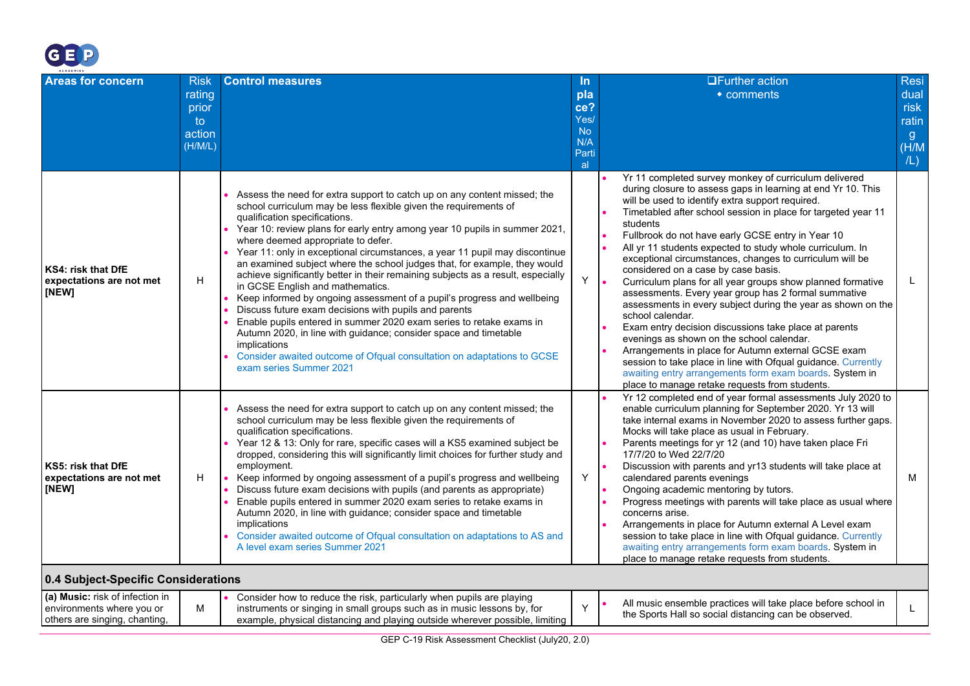

<span id="page-6-0"></span>

| ACADEMIES<br><b>Areas for concern</b>                          | <b>Risk</b><br>rating<br>prior<br>to<br>action<br>(H/M/L) | <b>Control measures</b>                                                                                                                                                                                                                                                                                                                                                                                                                                                                                                                                                                                                                                                                                                                                                                                                                                                                                                                                                                   | ln.<br>pla<br>ce?<br>Yes/<br><b>No</b><br>N/A<br>Parti<br>al. | <b>UFurther action</b><br>$\bullet$ comments                                                                                                                                                                                                                                                                                                                                                                                                                                                                                                                                                                                                                                                                                                                                                                                                                                                                                                                                                                                                   | <b>Resi</b><br>dual<br>risk<br>ratin<br>$\mathbf{g}$<br>(H/M)<br>/L) |
|----------------------------------------------------------------|-----------------------------------------------------------|-------------------------------------------------------------------------------------------------------------------------------------------------------------------------------------------------------------------------------------------------------------------------------------------------------------------------------------------------------------------------------------------------------------------------------------------------------------------------------------------------------------------------------------------------------------------------------------------------------------------------------------------------------------------------------------------------------------------------------------------------------------------------------------------------------------------------------------------------------------------------------------------------------------------------------------------------------------------------------------------|---------------------------------------------------------------|------------------------------------------------------------------------------------------------------------------------------------------------------------------------------------------------------------------------------------------------------------------------------------------------------------------------------------------------------------------------------------------------------------------------------------------------------------------------------------------------------------------------------------------------------------------------------------------------------------------------------------------------------------------------------------------------------------------------------------------------------------------------------------------------------------------------------------------------------------------------------------------------------------------------------------------------------------------------------------------------------------------------------------------------|----------------------------------------------------------------------|
| <b>KS4: risk that DfE</b><br>expectations are not met<br>[NEW] | H                                                         | Assess the need for extra support to catch up on any content missed; the<br>school curriculum may be less flexible given the requirements of<br>qualification specifications.<br>Year 10: review plans for early entry among year 10 pupils in summer 2021,<br>where deemed appropriate to defer.<br>Year 11: only in exceptional circumstances, a year 11 pupil may discontinue<br>an examined subject where the school judges that, for example, they would<br>achieve significantly better in their remaining subjects as a result, especially<br>in GCSE English and mathematics.<br>Keep informed by ongoing assessment of a pupil's progress and wellbeing<br>Discuss future exam decisions with pupils and parents<br>Enable pupils entered in summer 2020 exam series to retake exams in<br>Autumn 2020, in line with guidance; consider space and timetable<br>implications<br>Consider awaited outcome of Ofqual consultation on adaptations to GCSE<br>exam series Summer 2021 | Y                                                             | Yr 11 completed survey monkey of curriculum delivered<br>during closure to assess gaps in learning at end Yr 10. This<br>will be used to identify extra support required.<br>Timetabled after school session in place for targeted year 11<br>students<br>Fullbrook do not have early GCSE entry in Year 10<br>All yr 11 students expected to study whole curriculum. In<br>exceptional circumstances, changes to curriculum will be<br>considered on a case by case basis.<br>$\bullet$<br>Curriculum plans for all year groups show planned formative<br>assessments. Every year group has 2 formal summative<br>assessments in every subject during the year as shown on the<br>school calendar.<br>Exam entry decision discussions take place at parents<br>evenings as shown on the school calendar.<br>Arrangements in place for Autumn external GCSE exam<br>session to take place in line with Ofqual guidance. Currently<br>awaiting entry arrangements form exam boards. System in<br>place to manage retake requests from students. | L                                                                    |
| KS5: risk that DfE<br>expectations are not met<br>[NEW]        | H                                                         | Assess the need for extra support to catch up on any content missed; the<br>school curriculum may be less flexible given the requirements of<br>qualification specifications.<br>Year 12 & 13: Only for rare, specific cases will a KS5 examined subject be<br>dropped, considering this will significantly limit choices for further study and<br>employment.<br>Keep informed by ongoing assessment of a pupil's progress and wellbeing<br>Discuss future exam decisions with pupils (and parents as appropriate)<br>Enable pupils entered in summer 2020 exam series to retake exams in<br>Autumn 2020, in line with quidance; consider space and timetable<br>implications<br>Consider awaited outcome of Ofqual consultation on adaptations to AS and<br>A level exam series Summer 2021                                                                                                                                                                                             | Y                                                             | Yr 12 completed end of year formal assessments July 2020 to<br>enable curriculum planning for September 2020. Yr 13 will<br>take internal exams in November 2020 to assess further gaps.<br>Mocks will take place as usual in February.<br>Parents meetings for yr 12 (and 10) have taken place Fri<br>17/7/20 to Wed 22/7/20<br>Discussion with parents and yr13 students will take place at<br>calendared parents evenings<br>Ongoing academic mentoring by tutors.<br>Progress meetings with parents will take place as usual where<br>concerns arise.<br>Arrangements in place for Autumn external A Level exam<br>session to take place in line with Ofqual guidance. Currently<br>awaiting entry arrangements form exam boards. System in<br>place to manage retake requests from students.                                                                                                                                                                                                                                              | M                                                                    |
| 0.4 Subject-Specific Considerations                            |                                                           |                                                                                                                                                                                                                                                                                                                                                                                                                                                                                                                                                                                                                                                                                                                                                                                                                                                                                                                                                                                           |                                                               |                                                                                                                                                                                                                                                                                                                                                                                                                                                                                                                                                                                                                                                                                                                                                                                                                                                                                                                                                                                                                                                |                                                                      |
| (a) Music: risk of infection in                                |                                                           | $\bullet$ Consider how to reduce the risk particularly when pupils are playing                                                                                                                                                                                                                                                                                                                                                                                                                                                                                                                                                                                                                                                                                                                                                                                                                                                                                                            |                                                               |                                                                                                                                                                                                                                                                                                                                                                                                                                                                                                                                                                                                                                                                                                                                                                                                                                                                                                                                                                                                                                                |                                                                      |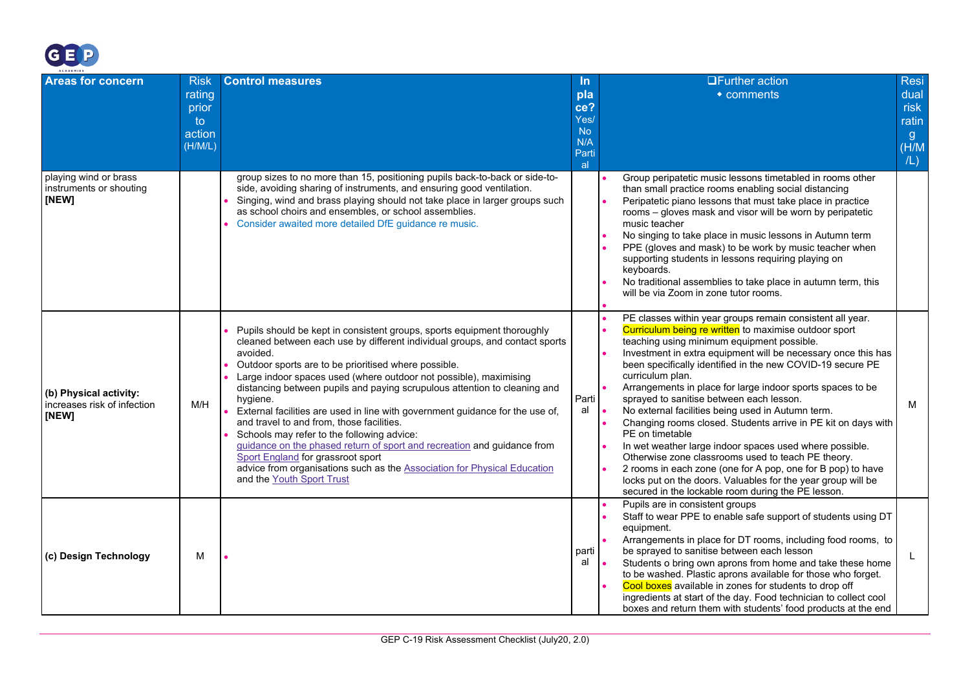

| ACADEMIES                                                      |                                                           |                                                                                                                                                                                                                                                                                                                                                                                                                                                                                                                                                                                                                                                                                                                                                                                               |                                                              |                                                                                                                                                                                                                                                                                                                                                                                                                                                                                                                                                                                                                                                                                                                                                                                                                                                                              |                                                               |
|----------------------------------------------------------------|-----------------------------------------------------------|-----------------------------------------------------------------------------------------------------------------------------------------------------------------------------------------------------------------------------------------------------------------------------------------------------------------------------------------------------------------------------------------------------------------------------------------------------------------------------------------------------------------------------------------------------------------------------------------------------------------------------------------------------------------------------------------------------------------------------------------------------------------------------------------------|--------------------------------------------------------------|------------------------------------------------------------------------------------------------------------------------------------------------------------------------------------------------------------------------------------------------------------------------------------------------------------------------------------------------------------------------------------------------------------------------------------------------------------------------------------------------------------------------------------------------------------------------------------------------------------------------------------------------------------------------------------------------------------------------------------------------------------------------------------------------------------------------------------------------------------------------------|---------------------------------------------------------------|
| <b>Areas for concern</b>                                       | <b>Risk</b><br>rating<br>prior<br>to<br>action<br>(H/M/L) | <b>Control measures</b>                                                                                                                                                                                                                                                                                                                                                                                                                                                                                                                                                                                                                                                                                                                                                                       | <u>In</u><br>pla<br>ce?<br>Yes/<br>No.<br>N/A<br>Parti<br>al | <b>OFurther action</b><br>• comments                                                                                                                                                                                                                                                                                                                                                                                                                                                                                                                                                                                                                                                                                                                                                                                                                                         | Resi<br>dual<br>risk<br>ratin<br>$\mathbf{g}$<br>(H/M)<br>/L) |
| playing wind or brass<br>instruments or shouting<br>[NEW]      |                                                           | group sizes to no more than 15, positioning pupils back-to-back or side-to-<br>side, avoiding sharing of instruments, and ensuring good ventilation.<br>Singing, wind and brass playing should not take place in larger groups such<br>as school choirs and ensembles, or school assemblies.<br>Consider awaited more detailed DfE guidance re music.                                                                                                                                                                                                                                                                                                                                                                                                                                         |                                                              | Group peripatetic music lessons timetabled in rooms other<br>than small practice rooms enabling social distancing<br>Peripatetic piano lessons that must take place in practice<br>rooms - gloves mask and visor will be worn by peripatetic<br>music teacher<br>No singing to take place in music lessons in Autumn term<br>PPE (gloves and mask) to be work by music teacher when<br>supporting students in lessons requiring playing on<br>keyboards.<br>No traditional assemblies to take place in autumn term, this<br>will be via Zoom in zone tutor rooms.                                                                                                                                                                                                                                                                                                            |                                                               |
| (b) Physical activity:<br>increases risk of infection<br>[NEW] | M/H                                                       | Pupils should be kept in consistent groups, sports equipment thoroughly<br>cleaned between each use by different individual groups, and contact sports<br>avoided.<br>Outdoor sports are to be prioritised where possible.<br>Large indoor spaces used (where outdoor not possible), maximising<br>distancing between pupils and paying scrupulous attention to cleaning and<br>hygiene.<br>External facilities are used in line with government guidance for the use of,<br>and travel to and from, those facilities.<br>Schools may refer to the following advice:<br>guidance on the phased return of sport and recreation and guidance from<br>Sport England for grassroot sport<br>advice from organisations such as the Association for Physical Education<br>and the Youth Sport Trust | Parti<br>al                                                  | PE classes within year groups remain consistent all year.<br>Curriculum being re written to maximise outdoor sport<br>teaching using minimum equipment possible.<br>Investment in extra equipment will be necessary once this has<br>been specifically identified in the new COVID-19 secure PE<br>curriculum plan.<br>Arrangements in place for large indoor sports spaces to be<br>sprayed to sanitise between each lesson.<br>No external facilities being used in Autumn term.<br>Changing rooms closed. Students arrive in PE kit on days with<br>PE on timetable<br>In wet weather large indoor spaces used where possible.<br>Otherwise zone classrooms used to teach PE theory.<br>2 rooms in each zone (one for A pop, one for B pop) to have<br>locks put on the doors. Valuables for the year group will be<br>secured in the lockable room during the PE lesson. | м                                                             |
| (c) Design Technology                                          | М                                                         |                                                                                                                                                                                                                                                                                                                                                                                                                                                                                                                                                                                                                                                                                                                                                                                               | parti<br>al                                                  | Pupils are in consistent groups<br>Staff to wear PPE to enable safe support of students using DT<br>equipment.<br>Arrangements in place for DT rooms, including food rooms, to<br>be sprayed to sanitise between each lesson<br>Students o bring own aprons from home and take these home<br>to be washed. Plastic aprons available for those who forget.<br>Cool boxes available in zones for students to drop off<br>ingredients at start of the day. Food technician to collect cool<br>boxes and return them with students' food products at the end                                                                                                                                                                                                                                                                                                                     | L                                                             |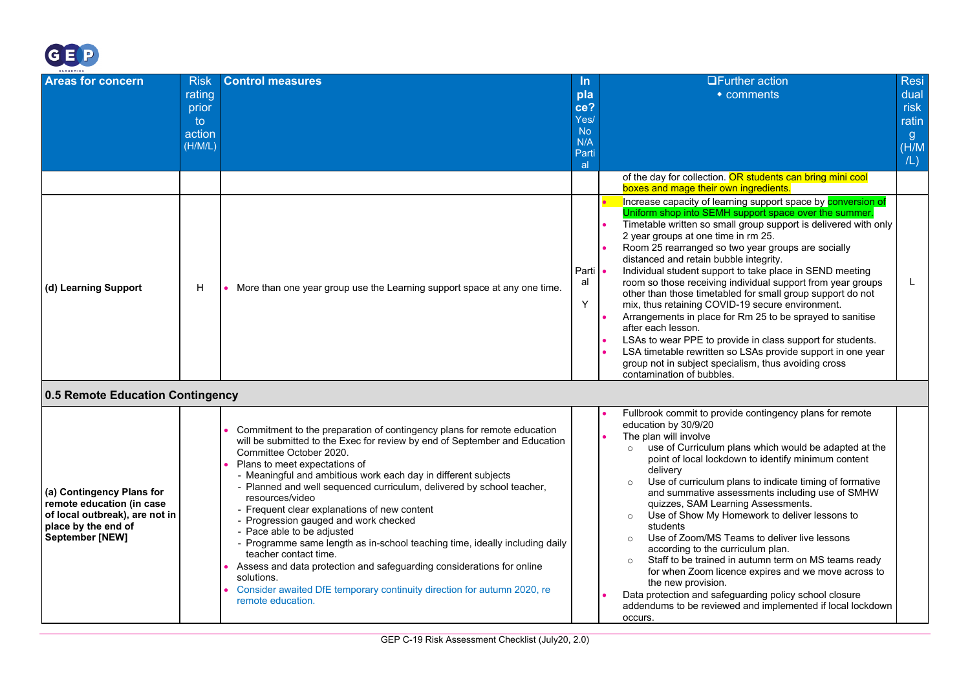

<span id="page-8-0"></span>

| ACADEMIES                                                                                                                                 |                                                           |                                                                                                                                                                                                                                                                                                                                                                                                                                                                                                                                                                                                                                                                                                                                                                                                       |                                                                    |                                                                                                                                                                                                                                                                                                                                                                                                                                                                                                                                                                                                                                                                                                                                                                                                                                                                                          |                                                                        |
|-------------------------------------------------------------------------------------------------------------------------------------------|-----------------------------------------------------------|-------------------------------------------------------------------------------------------------------------------------------------------------------------------------------------------------------------------------------------------------------------------------------------------------------------------------------------------------------------------------------------------------------------------------------------------------------------------------------------------------------------------------------------------------------------------------------------------------------------------------------------------------------------------------------------------------------------------------------------------------------------------------------------------------------|--------------------------------------------------------------------|------------------------------------------------------------------------------------------------------------------------------------------------------------------------------------------------------------------------------------------------------------------------------------------------------------------------------------------------------------------------------------------------------------------------------------------------------------------------------------------------------------------------------------------------------------------------------------------------------------------------------------------------------------------------------------------------------------------------------------------------------------------------------------------------------------------------------------------------------------------------------------------|------------------------------------------------------------------------|
| <b>Areas for concern</b>                                                                                                                  | <b>Risk</b><br>rating<br>prior<br>to<br>action<br>(H/M/L) | <b>Control measures</b>                                                                                                                                                                                                                                                                                                                                                                                                                                                                                                                                                                                                                                                                                                                                                                               | <u>In</u><br>pla<br>ce?<br>Yes/<br><b>No</b><br>N/A<br>Parti<br>al | <b>OFurther action</b><br>$\bullet$ comments                                                                                                                                                                                                                                                                                                                                                                                                                                                                                                                                                                                                                                                                                                                                                                                                                                             | <b>Resi</b><br>dual<br>risk<br>ratin<br>$\overline{g}$<br>(H/M)<br>/L) |
|                                                                                                                                           |                                                           |                                                                                                                                                                                                                                                                                                                                                                                                                                                                                                                                                                                                                                                                                                                                                                                                       |                                                                    | of the day for collection. OR students can bring mini cool<br>boxes and mage their own ingredients.                                                                                                                                                                                                                                                                                                                                                                                                                                                                                                                                                                                                                                                                                                                                                                                      |                                                                        |
| (d) Learning Support                                                                                                                      | H                                                         | • More than one year group use the Learning support space at any one time.                                                                                                                                                                                                                                                                                                                                                                                                                                                                                                                                                                                                                                                                                                                            | Parti <b>•</b><br>al<br>Y                                          | Increase capacity of learning support space by <b>conversion of</b><br>Uniform shop into SEMH support space over the summer.<br>Timetable written so small group support is delivered with only<br>2 year groups at one time in rm 25.<br>Room 25 rearranged so two year groups are socially<br>distanced and retain bubble integrity.<br>Individual student support to take place in SEND meeting<br>room so those receiving individual support from year groups<br>other than those timetabled for small group support do not<br>mix, thus retaining COVID-19 secure environment.<br>Arrangements in place for Rm 25 to be sprayed to sanitise<br>after each lesson.<br>LSAs to wear PPE to provide in class support for students.<br>LSA timetable rewritten so LSAs provide support in one year<br>group not in subject specialism, thus avoiding cross<br>contamination of bubbles. | L                                                                      |
| 0.5 Remote Education Contingency                                                                                                          |                                                           |                                                                                                                                                                                                                                                                                                                                                                                                                                                                                                                                                                                                                                                                                                                                                                                                       |                                                                    |                                                                                                                                                                                                                                                                                                                                                                                                                                                                                                                                                                                                                                                                                                                                                                                                                                                                                          |                                                                        |
| (a) Contingency Plans for<br>remote education (in case<br>of local outbreak), are not in<br>place by the end of<br><b>September [NEW]</b> |                                                           | Commitment to the preparation of contingency plans for remote education<br>will be submitted to the Exec for review by end of September and Education<br>Committee October 2020.<br>Plans to meet expectations of<br>- Meaningful and ambitious work each day in different subjects<br>- Planned and well sequenced curriculum, delivered by school teacher,<br>resources/video<br>- Frequent clear explanations of new content<br>- Progression gauged and work checked<br>- Pace able to be adjusted<br>- Programme same length as in-school teaching time, ideally including daily<br>teacher contact time.<br>Assess and data protection and safeguarding considerations for online<br>solutions.<br>Consider awaited DfE temporary continuity direction for autumn 2020, re<br>remote education. |                                                                    | Fullbrook commit to provide contingency plans for remote<br>education by 30/9/20<br>The plan will involve<br>use of Curriculum plans which would be adapted at the<br>$\circ$<br>point of local lockdown to identify minimum content<br>delivery<br>Use of curriculum plans to indicate timing of formative<br>and summative assessments including use of SMHW<br>quizzes, SAM Learning Assessments.<br>Use of Show My Homework to deliver lessons to<br>$\circ$<br>students<br>Use of Zoom/MS Teams to deliver live lessons<br>$\Omega$<br>according to the curriculum plan.<br>Staff to be trained in autumn term on MS teams ready<br>$\Omega$<br>for when Zoom licence expires and we move across to<br>the new provision.<br>Data protection and safeguarding policy school closure<br>addendums to be reviewed and implemented if local lockdown<br>occurs.                        |                                                                        |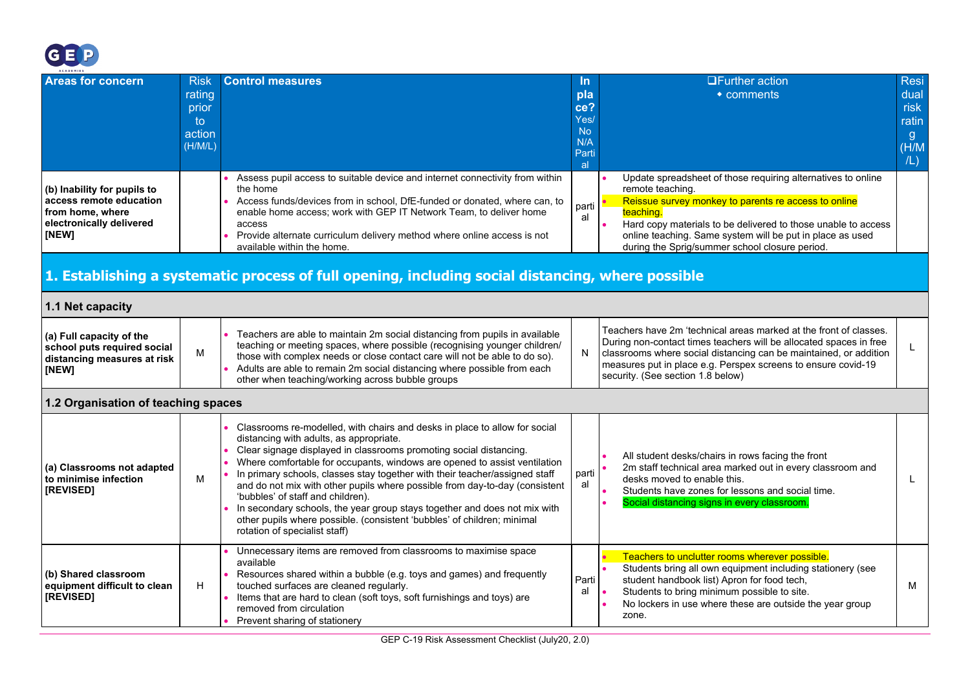

<span id="page-9-2"></span><span id="page-9-1"></span><span id="page-9-0"></span>

| ACADEMIES                                                                                                       |                                                            |                                                                                                                                                                                                                                                                                                                                                                                                                                                                                                                                                                                                                                                                      |                                                        |                                                                                                                                                                                                                                                                                                                                       |                                                                      |  |  |
|-----------------------------------------------------------------------------------------------------------------|------------------------------------------------------------|----------------------------------------------------------------------------------------------------------------------------------------------------------------------------------------------------------------------------------------------------------------------------------------------------------------------------------------------------------------------------------------------------------------------------------------------------------------------------------------------------------------------------------------------------------------------------------------------------------------------------------------------------------------------|--------------------------------------------------------|---------------------------------------------------------------------------------------------------------------------------------------------------------------------------------------------------------------------------------------------------------------------------------------------------------------------------------------|----------------------------------------------------------------------|--|--|
| <b>Areas for concern</b>                                                                                        | <b>Risk</b><br>rating<br>prior<br>to.<br>action<br>(H/M/L) | <b>Control measures</b>                                                                                                                                                                                                                                                                                                                                                                                                                                                                                                                                                                                                                                              | In.<br>pla<br>ce?<br>Yes/<br>No.<br>N/A<br>Parti<br> a | <b>OFurther action</b><br>• comments                                                                                                                                                                                                                                                                                                  | <b>Resi</b><br>dual<br>risk<br>ratin<br>$\mathbf{g}$<br>(H/M)<br>/L) |  |  |
| (b) Inability for pupils to<br>access remote education<br>from home, where<br>electronically delivered<br>[NEW] |                                                            | Assess pupil access to suitable device and internet connectivity from within<br>the home<br>Access funds/devices from in school, DfE-funded or donated, where can, to<br>enable home access; work with GEP IT Network Team, to deliver home<br>access<br>Provide alternate curriculum delivery method where online access is not<br>available within the home.                                                                                                                                                                                                                                                                                                       | parti<br>al                                            | Update spreadsheet of those requiring alternatives to online<br>remote teaching.<br>Reissue survey monkey to parents re access to online<br>teaching.<br>Hard copy materials to be delivered to those unable to access<br>online teaching. Same system will be put in place as used<br>during the Sprig/summer school closure period. |                                                                      |  |  |
| 1. Establishing a systematic process of full opening, including social distancing, where possible               |                                                            |                                                                                                                                                                                                                                                                                                                                                                                                                                                                                                                                                                                                                                                                      |                                                        |                                                                                                                                                                                                                                                                                                                                       |                                                                      |  |  |
| 1.1 Net capacity                                                                                                |                                                            |                                                                                                                                                                                                                                                                                                                                                                                                                                                                                                                                                                                                                                                                      |                                                        |                                                                                                                                                                                                                                                                                                                                       |                                                                      |  |  |
| (a) Full capacity of the<br>school puts required social<br>distancing measures at risk<br>[NEW]                 | M                                                          | Teachers are able to maintain 2m social distancing from pupils in available<br>teaching or meeting spaces, where possible (recognising younger children/<br>those with complex needs or close contact care will not be able to do so).<br>Adults are able to remain 2m social distancing where possible from each<br>other when teaching/working across bubble groups                                                                                                                                                                                                                                                                                                | N                                                      | Teachers have 2m 'technical areas marked at the front of classes.<br>During non-contact times teachers will be allocated spaces in free<br>classrooms where social distancing can be maintained, or addition<br>measures put in place e.g. Perspex screens to ensure covid-19<br>security. (See section 1.8 below)                    |                                                                      |  |  |
| 1.2 Organisation of teaching spaces                                                                             |                                                            |                                                                                                                                                                                                                                                                                                                                                                                                                                                                                                                                                                                                                                                                      |                                                        |                                                                                                                                                                                                                                                                                                                                       |                                                                      |  |  |
| (a) Classrooms not adapted<br>to minimise infection<br>[REVISED]                                                | M                                                          | Classrooms re-modelled, with chairs and desks in place to allow for social<br>distancing with adults, as appropriate.<br>Clear signage displayed in classrooms promoting social distancing.<br>Where comfortable for occupants, windows are opened to assist ventilation<br>In primary schools, classes stay together with their teacher/assigned staff<br>and do not mix with other pupils where possible from day-to-day (consistent<br>'bubbles' of staff and children).<br>In secondary schools, the year group stays together and does not mix with<br>other pupils where possible. (consistent 'bubbles' of children; minimal<br>rotation of specialist staff) | parti<br>al                                            | All student desks/chairs in rows facing the front<br>2m staff technical area marked out in every classroom and<br>desks moved to enable this.<br>Students have zones for lessons and social time.<br>Social distancing signs in every classroom                                                                                       | L                                                                    |  |  |
| (b) Shared classroom<br>equipment difficult to clean<br>[REVISED]                                               | H                                                          | Unnecessary items are removed from classrooms to maximise space<br>available<br>Resources shared within a bubble (e.g. toys and games) and frequently<br>touched surfaces are cleaned regularly.<br>Items that are hard to clean (soft toys, soft furnishings and toys) are<br>removed from circulation<br>Prevent sharing of stationery                                                                                                                                                                                                                                                                                                                             | Parti<br>al                                            | Teachers to unclutter rooms wherever possible.<br>Students bring all own equipment including stationery (see<br>student handbook list) Apron for food tech,<br>Students to bring minimum possible to site.<br>No lockers in use where these are outside the year group<br>zone.                                                       | м                                                                    |  |  |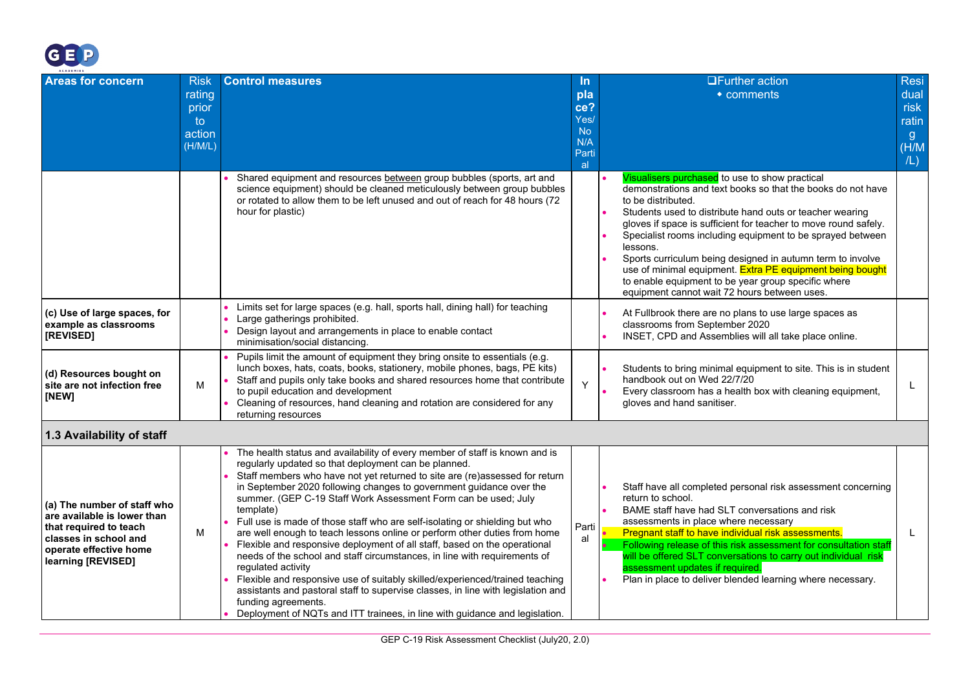

<span id="page-10-0"></span>

| ACADEMIES                                                                                                                                                     |                                                            |                                                                                                                                                                                                                                                                                                                                                                                                                                                                                                                                                                                                                                                                                                                                                                                                                                                                                                                                                                                                |                                               | <b>OFurther action</b>                                                                                                                                                                                                                                                                                                                                                                                                                                                                                                                                                         | <b>Resi</b>                          |
|---------------------------------------------------------------------------------------------------------------------------------------------------------------|------------------------------------------------------------|------------------------------------------------------------------------------------------------------------------------------------------------------------------------------------------------------------------------------------------------------------------------------------------------------------------------------------------------------------------------------------------------------------------------------------------------------------------------------------------------------------------------------------------------------------------------------------------------------------------------------------------------------------------------------------------------------------------------------------------------------------------------------------------------------------------------------------------------------------------------------------------------------------------------------------------------------------------------------------------------|-----------------------------------------------|--------------------------------------------------------------------------------------------------------------------------------------------------------------------------------------------------------------------------------------------------------------------------------------------------------------------------------------------------------------------------------------------------------------------------------------------------------------------------------------------------------------------------------------------------------------------------------|--------------------------------------|
| <b>Areas for concern</b>                                                                                                                                      | <b>Risk</b><br>rating<br>prior<br>to.<br>action<br>(H/M/L) | <b>Control measures</b>                                                                                                                                                                                                                                                                                                                                                                                                                                                                                                                                                                                                                                                                                                                                                                                                                                                                                                                                                                        | In.<br>pla<br>ce?<br>Yes/<br><b>No</b><br>N/A | • comments                                                                                                                                                                                                                                                                                                                                                                                                                                                                                                                                                                     | dual<br>risk<br>ratin<br>g.<br>(H/M) |
|                                                                                                                                                               |                                                            |                                                                                                                                                                                                                                                                                                                                                                                                                                                                                                                                                                                                                                                                                                                                                                                                                                                                                                                                                                                                | Parti<br>al                                   |                                                                                                                                                                                                                                                                                                                                                                                                                                                                                                                                                                                | /L)                                  |
|                                                                                                                                                               |                                                            | Shared equipment and resources between group bubbles (sports, art and<br>science equipment) should be cleaned meticulously between group bubbles<br>or rotated to allow them to be left unused and out of reach for 48 hours (72)<br>hour for plastic)                                                                                                                                                                                                                                                                                                                                                                                                                                                                                                                                                                                                                                                                                                                                         |                                               | Visualisers purchased to use to show practical<br>demonstrations and text books so that the books do not have<br>to be distributed.<br>Students used to distribute hand outs or teacher wearing<br>gloves if space is sufficient for teacher to move round safely.<br>Specialist rooms including equipment to be sprayed between<br>lessons.<br>Sports curriculum being designed in autumn term to involve<br>use of minimal equipment. Extra PE equipment being bought<br>to enable equipment to be year group specific where<br>equipment cannot wait 72 hours between uses. |                                      |
| (c) Use of large spaces, for<br>example as classrooms<br>[REVISED]                                                                                            |                                                            | Limits set for large spaces (e.g. hall, sports hall, dining hall) for teaching<br>Large gatherings prohibited.<br>Design layout and arrangements in place to enable contact<br>minimisation/social distancing.                                                                                                                                                                                                                                                                                                                                                                                                                                                                                                                                                                                                                                                                                                                                                                                 |                                               | At Fullbrook there are no plans to use large spaces as<br>classrooms from September 2020<br>INSET, CPD and Assemblies will all take place online.                                                                                                                                                                                                                                                                                                                                                                                                                              |                                      |
| (d) Resources bought on<br>site are not infection free<br>[NEW]                                                                                               | M                                                          | Pupils limit the amount of equipment they bring onsite to essentials (e.g.<br>lunch boxes, hats, coats, books, stationery, mobile phones, bags, PE kits)<br>Staff and pupils only take books and shared resources home that contribute<br>to pupil education and development<br>Cleaning of resources, hand cleaning and rotation are considered for any<br>returning resources                                                                                                                                                                                                                                                                                                                                                                                                                                                                                                                                                                                                                | Y                                             | Students to bring minimal equipment to site. This is in student<br>handbook out on Wed 22/7/20<br>Every classroom has a health box with cleaning equipment,<br>gloves and hand sanitiser.                                                                                                                                                                                                                                                                                                                                                                                      |                                      |
| 1.3 Availability of staff                                                                                                                                     |                                                            |                                                                                                                                                                                                                                                                                                                                                                                                                                                                                                                                                                                                                                                                                                                                                                                                                                                                                                                                                                                                |                                               |                                                                                                                                                                                                                                                                                                                                                                                                                                                                                                                                                                                |                                      |
| (a) The number of staff who<br>are available is lower than<br>that required to teach<br>classes in school and<br>operate effective home<br>learning [REVISED] | м                                                          | The health status and availability of every member of staff is known and is<br>regularly updated so that deployment can be planned.<br>Staff members who have not yet returned to site are (re)assessed for return<br>in September 2020 following changes to government guidance over the<br>summer. (GEP C-19 Staff Work Assessment Form can be used; July<br>template)<br>Full use is made of those staff who are self-isolating or shielding but who<br>are well enough to teach lessons online or perform other duties from home<br>Flexible and responsive deployment of all staff, based on the operational<br>needs of the school and staff circumstances, in line with requirements of<br>regulated activity<br>Flexible and responsive use of suitably skilled/experienced/trained teaching<br>assistants and pastoral staff to supervise classes, in line with legislation and<br>funding agreements.<br>Deployment of NQTs and ITT trainees, in line with guidance and legislation. | Parti<br>al                                   | Staff have all completed personal risk assessment concerning<br>return to school.<br>BAME staff have had SLT conversations and risk<br>assessments in place where necessary<br>Pregnant staff to have individual risk assessments.<br>Following release of this risk assessment for consultation staff<br>will be offered SLT conversations to carry out individual risk<br>assessment updates if required.<br>Plan in place to deliver blended learning where necessary.                                                                                                      | L                                    |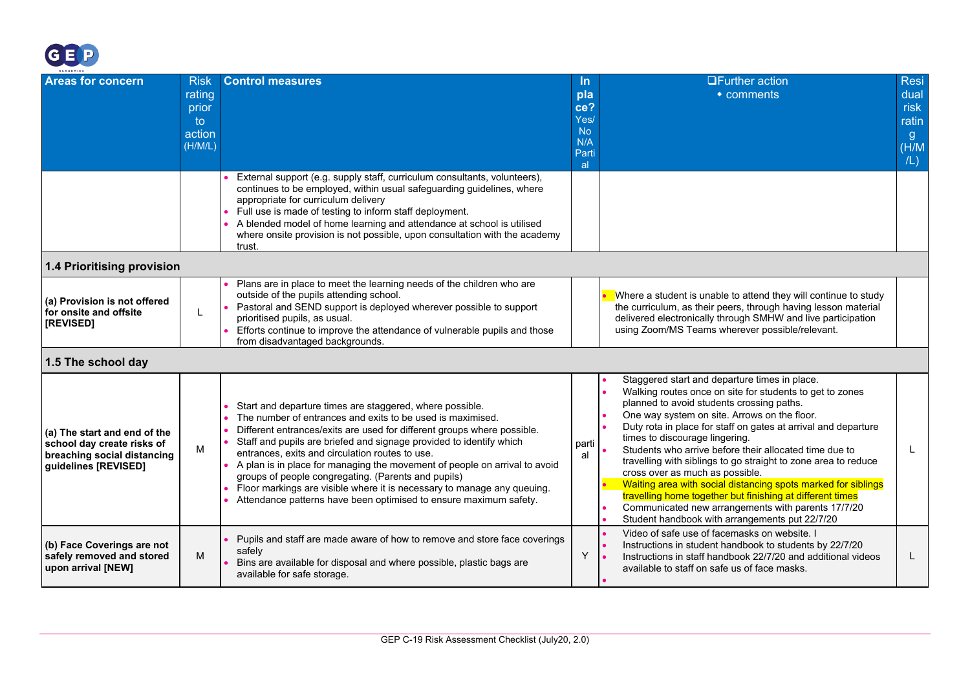

<span id="page-11-1"></span><span id="page-11-0"></span>

| ACADEMIES                                                                                                         |                                                           |                                                                                                                                                                                                                                                                                                                                                                                                                                                                                                                                                                                                                  |                                                              |                                                                                                                                                                                                                                                                                                                                                                                                                                                                                                                                                                                                                                                                                                                 |                                                            |
|-------------------------------------------------------------------------------------------------------------------|-----------------------------------------------------------|------------------------------------------------------------------------------------------------------------------------------------------------------------------------------------------------------------------------------------------------------------------------------------------------------------------------------------------------------------------------------------------------------------------------------------------------------------------------------------------------------------------------------------------------------------------------------------------------------------------|--------------------------------------------------------------|-----------------------------------------------------------------------------------------------------------------------------------------------------------------------------------------------------------------------------------------------------------------------------------------------------------------------------------------------------------------------------------------------------------------------------------------------------------------------------------------------------------------------------------------------------------------------------------------------------------------------------------------------------------------------------------------------------------------|------------------------------------------------------------|
| <b>Areas for concern</b>                                                                                          | <b>Risk</b><br>rating<br>prior<br>to<br>action<br>(H/M/L) | <b>Control measures</b>                                                                                                                                                                                                                                                                                                                                                                                                                                                                                                                                                                                          | In.<br>pla<br>ce?<br>Yes/<br><b>No</b><br>N/A<br>Parti<br>al | <b>□Further action</b><br>• comments                                                                                                                                                                                                                                                                                                                                                                                                                                                                                                                                                                                                                                                                            | <b>Resi</b><br>dual<br>risk<br>ratin<br>-g<br>(H/M)<br>/L) |
|                                                                                                                   |                                                           | External support (e.g. supply staff, curriculum consultants, volunteers),<br>continues to be employed, within usual safeguarding guidelines, where<br>appropriate for curriculum delivery<br>Full use is made of testing to inform staff deployment.<br>A blended model of home learning and attendance at school is utilised<br>where onsite provision is not possible, upon consultation with the academy<br>trust.                                                                                                                                                                                            |                                                              |                                                                                                                                                                                                                                                                                                                                                                                                                                                                                                                                                                                                                                                                                                                 |                                                            |
| 1.4 Prioritising provision                                                                                        |                                                           |                                                                                                                                                                                                                                                                                                                                                                                                                                                                                                                                                                                                                  |                                                              |                                                                                                                                                                                                                                                                                                                                                                                                                                                                                                                                                                                                                                                                                                                 |                                                            |
| (a) Provision is not offered<br>for onsite and offsite<br>[REVISED]                                               | L                                                         | Plans are in place to meet the learning needs of the children who are<br>outside of the pupils attending school.<br>Pastoral and SEND support is deployed wherever possible to support<br>prioritised pupils, as usual.<br>Efforts continue to improve the attendance of vulnerable pupils and those<br>from disadvantaged backgrounds.                                                                                                                                                                                                                                                                          |                                                              | Where a student is unable to attend they will continue to study<br>the curriculum, as their peers, through having lesson material<br>delivered electronically through SMHW and live participation<br>using Zoom/MS Teams wherever possible/relevant.                                                                                                                                                                                                                                                                                                                                                                                                                                                            |                                                            |
| 1.5 The school day                                                                                                |                                                           |                                                                                                                                                                                                                                                                                                                                                                                                                                                                                                                                                                                                                  |                                                              |                                                                                                                                                                                                                                                                                                                                                                                                                                                                                                                                                                                                                                                                                                                 |                                                            |
| (a) The start and end of the<br>school day create risks of<br>breaching social distancing<br>guidelines [REVISED] | M                                                         | Start and departure times are staggered, where possible.<br>The number of entrances and exits to be used is maximised.<br>Different entrances/exits are used for different groups where possible.<br>Staff and pupils are briefed and signage provided to identify which<br>entrances, exits and circulation routes to use.<br>A plan is in place for managing the movement of people on arrival to avoid<br>groups of people congregating. (Parents and pupils)<br>Floor markings are visible where it is necessary to manage any queuing.<br>Attendance patterns have been optimised to ensure maximum safety. | parti<br>al                                                  | Staggered start and departure times in place.<br>Walking routes once on site for students to get to zones<br>planned to avoid students crossing paths.<br>One way system on site. Arrows on the floor.<br>Duty rota in place for staff on gates at arrival and departure<br>times to discourage lingering.<br>Students who arrive before their allocated time due to<br>travelling with siblings to go straight to zone area to reduce<br>cross over as much as possible.<br>Waiting area with social distancing spots marked for siblings<br>travelling home together but finishing at different times<br>Communicated new arrangements with parents 17/7/20<br>Student handbook with arrangements put 22/7/20 | L                                                          |
| (b) Face Coverings are not<br>safely removed and stored<br>upon arrival [NEW]                                     | M                                                         | Pupils and staff are made aware of how to remove and store face coverings<br>safely<br>Bins are available for disposal and where possible, plastic bags are<br>available for safe storage.                                                                                                                                                                                                                                                                                                                                                                                                                       | Y                                                            | Video of safe use of facemasks on website. I<br>Instructions in student handbook to students by 22/7/20<br>Instructions in staff handbook 22/7/20 and additional videos<br>available to staff on safe us of face masks.                                                                                                                                                                                                                                                                                                                                                                                                                                                                                         | L                                                          |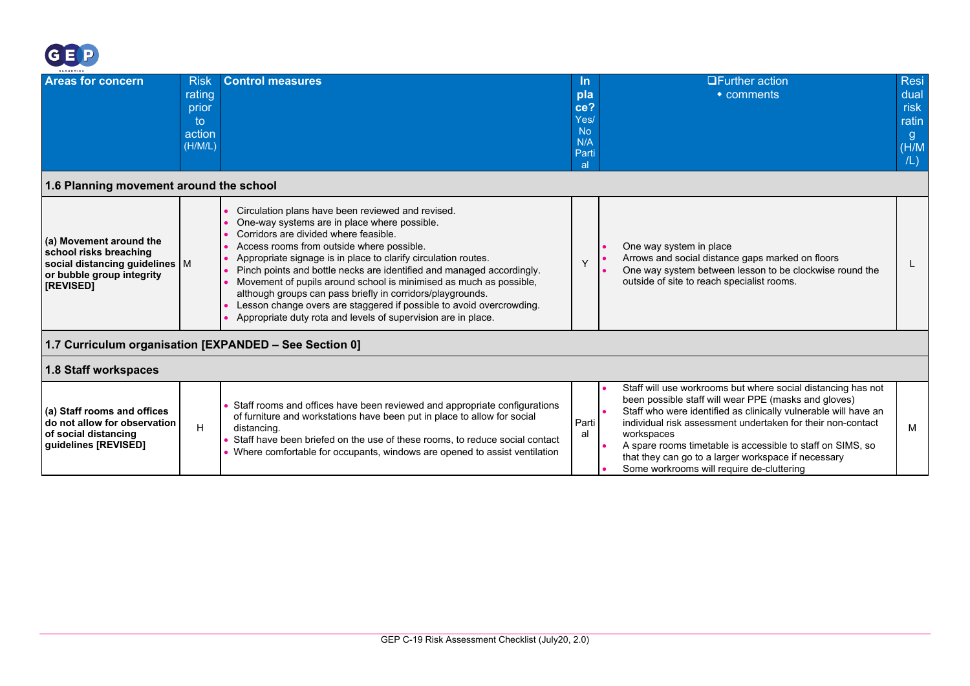

<span id="page-12-2"></span><span id="page-12-1"></span><span id="page-12-0"></span>

| <b>ACADEMIES</b>                                                                                                                |                                                           |                                                                                                                                                                                                                                                                                                                                                                                                                                                                                                                                                                                                                 |                                                              |                                                                                                                                                                                                                                                                                                                                                                                                                                        |                                                    |
|---------------------------------------------------------------------------------------------------------------------------------|-----------------------------------------------------------|-----------------------------------------------------------------------------------------------------------------------------------------------------------------------------------------------------------------------------------------------------------------------------------------------------------------------------------------------------------------------------------------------------------------------------------------------------------------------------------------------------------------------------------------------------------------------------------------------------------------|--------------------------------------------------------------|----------------------------------------------------------------------------------------------------------------------------------------------------------------------------------------------------------------------------------------------------------------------------------------------------------------------------------------------------------------------------------------------------------------------------------------|----------------------------------------------------|
| <b>Areas for concern</b>                                                                                                        | <b>Risk</b><br>rating<br>prior<br>to<br>action<br>(H/M/L) | <b>Control measures</b>                                                                                                                                                                                                                                                                                                                                                                                                                                                                                                                                                                                         | -In<br>pla<br>ce?<br>Yes/<br><b>No</b><br>N/A<br>Parti<br>al | $\Box$ Further action<br>$\bullet$ comments                                                                                                                                                                                                                                                                                                                                                                                            | Resi<br>dual<br>risk<br>ratin<br>g<br>(H/M)<br>/L) |
| 1.6 Planning movement around the school                                                                                         |                                                           |                                                                                                                                                                                                                                                                                                                                                                                                                                                                                                                                                                                                                 |                                                              |                                                                                                                                                                                                                                                                                                                                                                                                                                        |                                                    |
| (a) Movement around the<br>school risks breaching<br>social distancing guidelines   M<br>or bubble group integrity<br>[REVISED] |                                                           | Circulation plans have been reviewed and revised.<br>One-way systems are in place where possible.<br>Corridors are divided where feasible.<br>Access rooms from outside where possible.<br>Appropriate signage is in place to clarify circulation routes.<br>Pinch points and bottle necks are identified and managed accordingly.<br>Movement of pupils around school is minimised as much as possible,<br>although groups can pass briefly in corridors/playgrounds.<br>Lesson change overs are staggered if possible to avoid overcrowding.<br>Appropriate duty rota and levels of supervision are in place. | $\vee$                                                       | One way system in place<br>Arrows and social distance gaps marked on floors<br>One way system between lesson to be clockwise round the<br>outside of site to reach specialist rooms.                                                                                                                                                                                                                                                   |                                                    |
|                                                                                                                                 |                                                           | 1.7 Curriculum organisation [EXPANDED - See Section 0]                                                                                                                                                                                                                                                                                                                                                                                                                                                                                                                                                          |                                                              |                                                                                                                                                                                                                                                                                                                                                                                                                                        |                                                    |
| 1.8 Staff workspaces                                                                                                            |                                                           |                                                                                                                                                                                                                                                                                                                                                                                                                                                                                                                                                                                                                 |                                                              |                                                                                                                                                                                                                                                                                                                                                                                                                                        |                                                    |
| (a) Staff rooms and offices<br>do not allow for observation<br>of social distancing<br>guidelines [REVISED]                     | H                                                         | Staff rooms and offices have been reviewed and appropriate configurations<br>of furniture and workstations have been put in place to allow for social<br>distancing.<br>Staff have been briefed on the use of these rooms, to reduce social contact<br>$\blacksquare$ Where comfortable for occupants, windows are opened to assist ventilation                                                                                                                                                                                                                                                                 | Parti<br>al                                                  | Staff will use workrooms but where social distancing has not<br>been possible staff will wear PPE (masks and gloves)<br>Staff who were identified as clinically vulnerable will have an<br>individual risk assessment undertaken for their non-contact<br>workspaces<br>A spare rooms timetable is accessible to staff on SIMS, so<br>that they can go to a larger workspace if necessary<br>Some workrooms will require de-cluttering | м                                                  |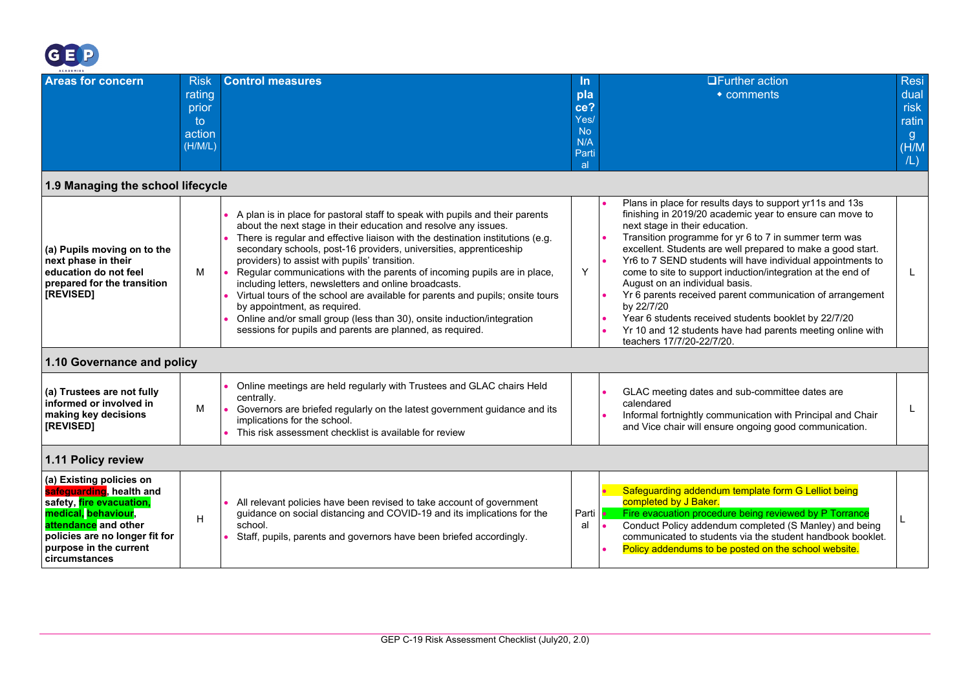

<span id="page-13-2"></span><span id="page-13-1"></span><span id="page-13-0"></span>

| <b>Areas for concern</b>                                                                                                                                                                                                  | <b>Risk</b><br>rating<br>prior<br>to<br>action<br>(H/M/L) | <b>Control measures</b>                                                                                                                                                                                                                                                                                                                                                                                                                                                                                                                                                                                                                                                                                                                                | <u>In</u><br>pla<br>ce?<br>Yes/<br><b>No</b><br>N/A<br>Parti<br>al. | <b>□Further action</b><br>$\bullet$ comments                                                                                                                                                                                                                                                                                                                                                                                                                                                                                                                                                                                                                                 | <b>Resi</b><br>dual<br>risk<br>ratin<br>g.<br>(H/M)<br>/L) |
|---------------------------------------------------------------------------------------------------------------------------------------------------------------------------------------------------------------------------|-----------------------------------------------------------|--------------------------------------------------------------------------------------------------------------------------------------------------------------------------------------------------------------------------------------------------------------------------------------------------------------------------------------------------------------------------------------------------------------------------------------------------------------------------------------------------------------------------------------------------------------------------------------------------------------------------------------------------------------------------------------------------------------------------------------------------------|---------------------------------------------------------------------|------------------------------------------------------------------------------------------------------------------------------------------------------------------------------------------------------------------------------------------------------------------------------------------------------------------------------------------------------------------------------------------------------------------------------------------------------------------------------------------------------------------------------------------------------------------------------------------------------------------------------------------------------------------------------|------------------------------------------------------------|
| 1.9 Managing the school lifecycle                                                                                                                                                                                         |                                                           |                                                                                                                                                                                                                                                                                                                                                                                                                                                                                                                                                                                                                                                                                                                                                        |                                                                     |                                                                                                                                                                                                                                                                                                                                                                                                                                                                                                                                                                                                                                                                              |                                                            |
| (a) Pupils moving on to the<br>next phase in their<br>education do not feel<br>prepared for the transition<br>[REVISED]                                                                                                   | м                                                         | A plan is in place for pastoral staff to speak with pupils and their parents<br>about the next stage in their education and resolve any issues.<br>There is regular and effective liaison with the destination institutions (e.g.<br>secondary schools, post-16 providers, universities, apprenticeship<br>providers) to assist with pupils' transition.<br>Regular communications with the parents of incoming pupils are in place,<br>including letters, newsletters and online broadcasts.<br>Virtual tours of the school are available for parents and pupils; onsite tours<br>by appointment, as required.<br>Online and/or small group (less than 30), onsite induction/integration<br>sessions for pupils and parents are planned, as required. | Y                                                                   | Plans in place for results days to support yr11s and 13s<br>finishing in 2019/20 academic year to ensure can move to<br>next stage in their education.<br>Transition programme for yr 6 to 7 in summer term was<br>excellent. Students are well prepared to make a good start.<br>Yr6 to 7 SEND students will have individual appointments to<br>come to site to support induction/integration at the end of<br>August on an individual basis.<br>Yr 6 parents received parent communication of arrangement<br>by 22/7/20<br>Year 6 students received students booklet by 22/7/20<br>Yr 10 and 12 students have had parents meeting online with<br>teachers 17/7/20-22/7/20. | L.                                                         |
| 1.10 Governance and policy                                                                                                                                                                                                |                                                           |                                                                                                                                                                                                                                                                                                                                                                                                                                                                                                                                                                                                                                                                                                                                                        |                                                                     |                                                                                                                                                                                                                                                                                                                                                                                                                                                                                                                                                                                                                                                                              |                                                            |
| (a) Trustees are not fully<br>informed or involved in<br>making key decisions<br>[REVISED]                                                                                                                                | M                                                         | Online meetings are held regularly with Trustees and GLAC chairs Held<br>centrally.<br>Governors are briefed regularly on the latest government guidance and its<br>implications for the school.<br>This risk assessment checklist is available for review                                                                                                                                                                                                                                                                                                                                                                                                                                                                                             |                                                                     | GLAC meeting dates and sub-committee dates are<br>calendared<br>Informal fortnightly communication with Principal and Chair<br>and Vice chair will ensure ongoing good communication.                                                                                                                                                                                                                                                                                                                                                                                                                                                                                        |                                                            |
| 1.11 Policy review                                                                                                                                                                                                        |                                                           |                                                                                                                                                                                                                                                                                                                                                                                                                                                                                                                                                                                                                                                                                                                                                        |                                                                     |                                                                                                                                                                                                                                                                                                                                                                                                                                                                                                                                                                                                                                                                              |                                                            |
| (a) Existing policies on<br>safeguarding, health and<br>safety, fire evacuation,<br>medical, behaviour,<br><mark>attendance</mark> and other<br>policies are no longer fit for<br>purpose in the current<br>circumstances | H                                                         | All relevant policies have been revised to take account of government<br>guidance on social distancing and COVID-19 and its implications for the<br>school.<br>Staff, pupils, parents and governors have been briefed accordingly.                                                                                                                                                                                                                                                                                                                                                                                                                                                                                                                     | Parti<br>al                                                         | Safeguarding addendum template form G Lelliot being<br>completed by J Baker.<br>Fire evacuation procedure being reviewed by P Torrance<br>Conduct Policy addendum completed (S Manley) and being<br>communicated to students via the student handbook booklet.<br>Policy addendums to be posted on the school website.                                                                                                                                                                                                                                                                                                                                                       | L                                                          |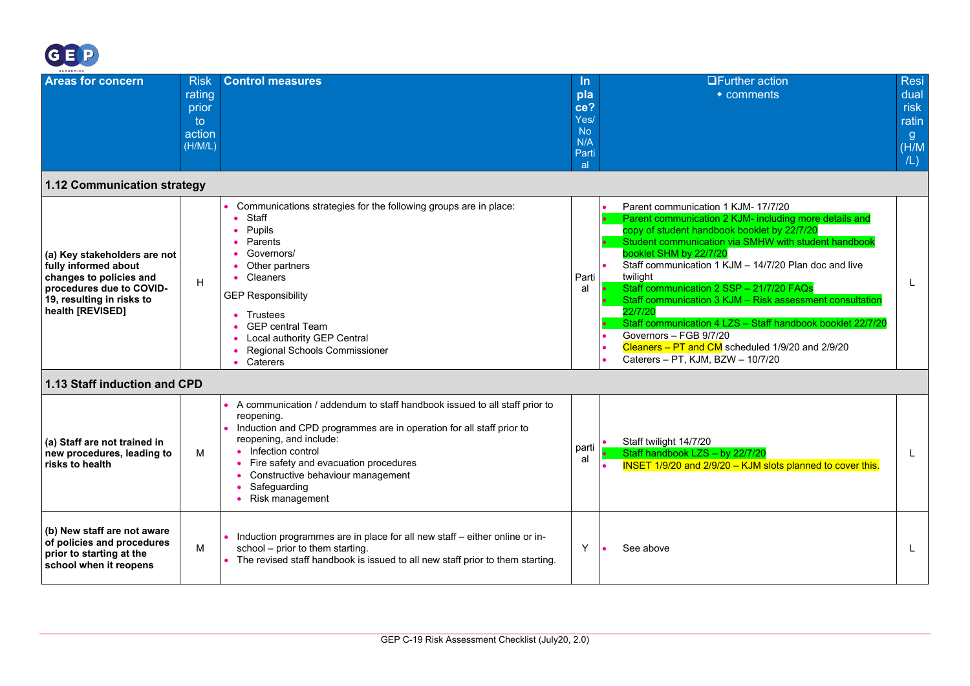

<span id="page-14-1"></span><span id="page-14-0"></span>

| $A C A D E M I E S$                                                                                                                                          |                                                           |                                                                                                                                                                                                                                                                                                                                          |                                                              |                                                                                                                                                                                                                                                                                                                                                                                                                                                                                                                                                                                                         |                                                            |
|--------------------------------------------------------------------------------------------------------------------------------------------------------------|-----------------------------------------------------------|------------------------------------------------------------------------------------------------------------------------------------------------------------------------------------------------------------------------------------------------------------------------------------------------------------------------------------------|--------------------------------------------------------------|---------------------------------------------------------------------------------------------------------------------------------------------------------------------------------------------------------------------------------------------------------------------------------------------------------------------------------------------------------------------------------------------------------------------------------------------------------------------------------------------------------------------------------------------------------------------------------------------------------|------------------------------------------------------------|
| <b>Areas for concern</b>                                                                                                                                     | <b>Risk</b><br>rating<br>prior<br>to<br>action<br>(H/M/L) | <b>Control measures</b>                                                                                                                                                                                                                                                                                                                  | In.<br>pla<br>ce?<br>Yes/<br><b>No</b><br>N/A<br>Parti<br>al | $\Box$ Further action<br>$\bullet$ comments                                                                                                                                                                                                                                                                                                                                                                                                                                                                                                                                                             | <b>Resi</b><br>dual<br>risk<br>ratin<br>g.<br>(H/M)<br>/L) |
| 1.12 Communication strategy                                                                                                                                  |                                                           |                                                                                                                                                                                                                                                                                                                                          |                                                              |                                                                                                                                                                                                                                                                                                                                                                                                                                                                                                                                                                                                         |                                                            |
| (a) Key stakeholders are not<br>fully informed about<br>changes to policies and<br>procedures due to COVID-<br>19, resulting in risks to<br>health [REVISED] | H                                                         | Communications strategies for the following groups are in place:<br>Staff<br>Pupils<br>Parents<br>Governors/<br>Other partners<br>Cleaners<br><b>GEP Responsibility</b><br>Trustees<br><b>GEP</b> central Team<br>Local authority GEP Central<br>Regional Schools Commissioner<br>Caterers                                               | Parti<br>al                                                  | Parent communication 1 KJM- 17/7/20<br>Parent communication 2 KJM- including more details and<br>copy of student handbook booklet by 22/7/20<br>Student communication via SMHW with student handbook<br>booklet SHM by 22/7/20<br>Staff communication 1 KJM - 14/7/20 Plan doc and live<br>twilight<br>Staff communication 2 SSP - 21/7/20 FAQs<br>Staff communication 3 KJM - Risk assessment consultation<br>22/7/20<br>Staff communication 4 LZS - Staff handbook booklet 22/7/20<br>Governors - FGB 9/7/20<br>Cleaners - PT and CM scheduled 1/9/20 and 2/9/20<br>Caterers - PT, KJM, BZW - 10/7/20 |                                                            |
| 1.13 Staff induction and CPD                                                                                                                                 |                                                           |                                                                                                                                                                                                                                                                                                                                          |                                                              |                                                                                                                                                                                                                                                                                                                                                                                                                                                                                                                                                                                                         |                                                            |
| (a) Staff are not trained in<br>new procedures, leading to<br>risks to health                                                                                | м                                                         | A communication / addendum to staff handbook issued to all staff prior to<br>reopening.<br>Induction and CPD programmes are in operation for all staff prior to<br>reopening, and include:<br>• Infection control<br>• Fire safety and evacuation procedures<br>• Constructive behaviour management<br>Safeguarding<br>• Risk management | parti<br>al                                                  | Staff twilight 14/7/20<br>Staff handbook LZS - by 22/7/20<br><b>INSET 1/9/20 and 2/9/20 - KJM slots planned to cover this.</b>                                                                                                                                                                                                                                                                                                                                                                                                                                                                          |                                                            |
| (b) New staff are not aware<br>of policies and procedures<br>prior to starting at the<br>school when it reopens                                              | M                                                         | Induction programmes are in place for all new staff - either online or in-<br>school - prior to them starting.<br>The revised staff handbook is issued to all new staff prior to them starting.                                                                                                                                          | Y                                                            | See above                                                                                                                                                                                                                                                                                                                                                                                                                                                                                                                                                                                               |                                                            |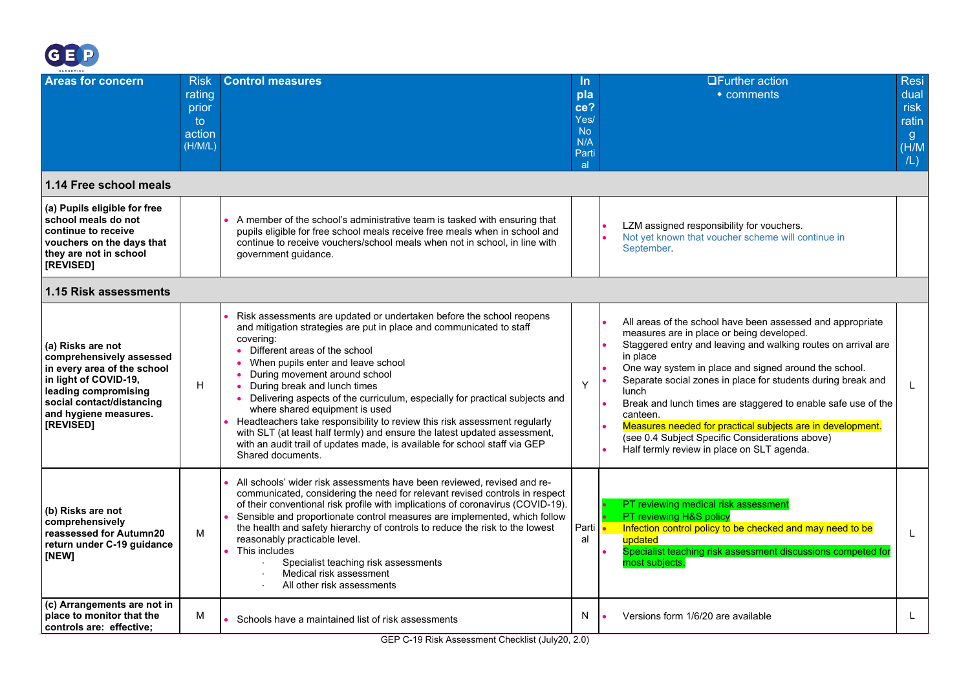

<span id="page-15-1"></span><span id="page-15-0"></span>

| ACADEMIES                                                                                                                                                                                        |                                                           |                                                                                                                                                                                                                                                                                                                                                                                                                                                                                                                                                                                                                                                                                       |                                                                               |                                                                                                                                                                                                                                                                                                                                                                                                                                                                                                                                                                                        |
|--------------------------------------------------------------------------------------------------------------------------------------------------------------------------------------------------|-----------------------------------------------------------|---------------------------------------------------------------------------------------------------------------------------------------------------------------------------------------------------------------------------------------------------------------------------------------------------------------------------------------------------------------------------------------------------------------------------------------------------------------------------------------------------------------------------------------------------------------------------------------------------------------------------------------------------------------------------------------|-------------------------------------------------------------------------------|----------------------------------------------------------------------------------------------------------------------------------------------------------------------------------------------------------------------------------------------------------------------------------------------------------------------------------------------------------------------------------------------------------------------------------------------------------------------------------------------------------------------------------------------------------------------------------------|
| <b>Areas for concern</b>                                                                                                                                                                         | <b>Risk</b><br>rating<br>prior<br>to<br>action<br>(H/M/L) | <b>Control measures</b>                                                                                                                                                                                                                                                                                                                                                                                                                                                                                                                                                                                                                                                               | <u>In</u><br>pla<br>ce?<br>Yes/<br><b>No</b><br>N/A<br>Parti<br><sub>al</sub> | <b>OFurther action</b><br><b>Resi</b><br>dual<br>$\bullet$ comments<br>risk<br>ratin<br>g<br>(H/M)<br>/L)                                                                                                                                                                                                                                                                                                                                                                                                                                                                              |
| 1.14 Free school meals                                                                                                                                                                           |                                                           |                                                                                                                                                                                                                                                                                                                                                                                                                                                                                                                                                                                                                                                                                       |                                                                               |                                                                                                                                                                                                                                                                                                                                                                                                                                                                                                                                                                                        |
| (a) Pupils eligible for free<br>school meals do not<br>continue to receive<br>vouchers on the days that<br>they are not in school<br>[REVISED]                                                   |                                                           | A member of the school's administrative team is tasked with ensuring that<br>pupils eligible for free school meals receive free meals when in school and<br>continue to receive vouchers/school meals when not in school, in line with<br>government guidance.                                                                                                                                                                                                                                                                                                                                                                                                                        |                                                                               | LZM assigned responsibility for vouchers.<br>Not yet known that voucher scheme will continue in<br>September.                                                                                                                                                                                                                                                                                                                                                                                                                                                                          |
| 1.15 Risk assessments                                                                                                                                                                            |                                                           |                                                                                                                                                                                                                                                                                                                                                                                                                                                                                                                                                                                                                                                                                       |                                                                               |                                                                                                                                                                                                                                                                                                                                                                                                                                                                                                                                                                                        |
| (a) Risks are not<br>comprehensively assessed<br>in every area of the school<br>in light of COVID-19,<br>leading compromising<br>social contact/distancing<br>and hygiene measures.<br>[REVISED] | H.                                                        | Risk assessments are updated or undertaken before the school reopens<br>and mitigation strategies are put in place and communicated to staff<br>covering:<br>• Different areas of the school<br>• When pupils enter and leave school<br>During movement around school<br>• During break and lunch times<br>Delivering aspects of the curriculum, especially for practical subjects and<br>where shared equipment is used<br>Headteachers take responsibility to review this risk assessment regularly<br>with SLT (at least half termly) and ensure the latest updated assessment,<br>with an audit trail of updates made, is available for school staff via GEP<br>Shared documents. | Y                                                                             | All areas of the school have been assessed and appropriate<br>measures are in place or being developed.<br>Staggered entry and leaving and walking routes on arrival are<br>in place<br>One way system in place and signed around the school.<br>Separate social zones in place for students during break and<br>$\bullet$<br><b>lunch</b><br>Break and lunch times are staggered to enable safe use of the<br>canteen.<br>Measures needed for practical subjects are in development.<br>(see 0.4 Subject Specific Considerations above)<br>Half termly review in place on SLT agenda. |
| (b) Risks are not<br>comprehensively<br>reassessed for Autumn20<br>return under C-19 guidance<br>[NEW]                                                                                           | M                                                         | All schools' wider risk assessments have been reviewed, revised and re-<br>communicated, considering the need for relevant revised controls in respect<br>of their conventional risk profile with implications of coronavirus (COVID-19).<br>Sensible and proportionate control measures are implemented, which follow<br>the health and safety hierarchy of controls to reduce the risk to the lowest<br>reasonably practicable level.<br>This includes<br>Specialist teaching risk assessments<br>Medical risk assessment<br>All other risk assessments                                                                                                                             | Parti<br>al                                                                   | PT reviewing medical risk assessment<br>PT reviewing H&S policy<br>Infection control policy to be checked and may need to be<br>updated<br>Specialist teaching risk assessment discussions competed for<br>most subjects.                                                                                                                                                                                                                                                                                                                                                              |
| (c) Arrangements are not in<br>place to monitor that the<br>controls are: effective:                                                                                                             | М                                                         | Schools have a maintained list of risk assessments                                                                                                                                                                                                                                                                                                                                                                                                                                                                                                                                                                                                                                    | N.                                                                            | Versions form 1/6/20 are available                                                                                                                                                                                                                                                                                                                                                                                                                                                                                                                                                     |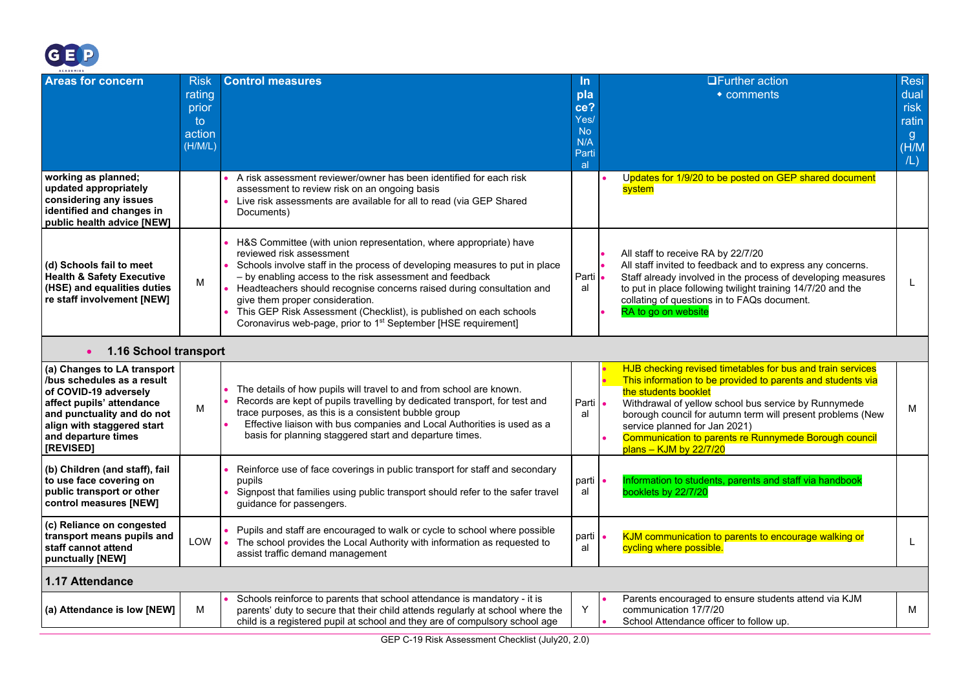

<span id="page-16-1"></span><span id="page-16-0"></span>

| ACADEMIES                                                                                                                                                                                                       |                                                                  |                                                                                                                                                                                                                                                                                                                                                                                                                                                                                                          |                                                                    |                                                                                                                                                                                                                                                                                                                                                                                                 |                                                                      |
|-----------------------------------------------------------------------------------------------------------------------------------------------------------------------------------------------------------------|------------------------------------------------------------------|----------------------------------------------------------------------------------------------------------------------------------------------------------------------------------------------------------------------------------------------------------------------------------------------------------------------------------------------------------------------------------------------------------------------------------------------------------------------------------------------------------|--------------------------------------------------------------------|-------------------------------------------------------------------------------------------------------------------------------------------------------------------------------------------------------------------------------------------------------------------------------------------------------------------------------------------------------------------------------------------------|----------------------------------------------------------------------|
| <b>Areas for concern</b>                                                                                                                                                                                        | <b>Risk</b><br><b>rating</b><br>prior<br>to<br>action<br>(H/M/L) | <b>Control measures</b>                                                                                                                                                                                                                                                                                                                                                                                                                                                                                  | <u>In</u><br>pla<br>ce?<br>Yes/<br><b>No</b><br>N/A<br>Parti<br>al | <b>OFurther action</b><br>• comments                                                                                                                                                                                                                                                                                                                                                            | <b>Resi</b><br>dual<br>risk<br>ratin<br>$\mathbf{g}$<br>(H/M)<br>/L) |
| working as planned;<br>updated appropriately<br>considering any issues<br>identified and changes in<br>public health advice [NEW]                                                                               |                                                                  | A risk assessment reviewer/owner has been identified for each risk<br>assessment to review risk on an ongoing basis<br>Live risk assessments are available for all to read (via GEP Shared<br>Documents)                                                                                                                                                                                                                                                                                                 |                                                                    | Updates for 1/9/20 to be posted on GEP shared document<br>system                                                                                                                                                                                                                                                                                                                                |                                                                      |
| (d) Schools fail to meet<br><b>Health &amp; Safety Executive</b><br>(HSE) and equalities duties<br>re staff involvement [NEW]                                                                                   | M                                                                | H&S Committee (with union representation, where appropriate) have<br>reviewed risk assessment<br>Schools involve staff in the process of developing measures to put in place<br>- by enabling access to the risk assessment and feedback<br>Headteachers should recognise concerns raised during consultation and<br>give them proper consideration.<br>This GEP Risk Assessment (Checklist), is published on each schools<br>Coronavirus web-page, prior to 1 <sup>st</sup> September [HSE requirement] | Parti<br>al                                                        | All staff to receive RA by 22/7/20<br>All staff invited to feedback and to express any concerns.<br>Staff already involved in the process of developing measures<br>to put in place following twilight training 14/7/20 and the<br>collating of questions in to FAQs document.<br>RA to go on website                                                                                           | L                                                                    |
| 1.16 School transport<br>$\bullet$                                                                                                                                                                              |                                                                  |                                                                                                                                                                                                                                                                                                                                                                                                                                                                                                          |                                                                    |                                                                                                                                                                                                                                                                                                                                                                                                 |                                                                      |
| (a) Changes to LA transport<br>/bus schedules as a result<br>of COVID-19 adversely<br>affect pupils' attendance<br>and punctuality and do not<br>align with staggered start<br>and departure times<br>[REVISED] | M                                                                | The details of how pupils will travel to and from school are known.<br>Records are kept of pupils travelling by dedicated transport, for test and<br>trace purposes, as this is a consistent bubble group<br>Effective liaison with bus companies and Local Authorities is used as a<br>basis for planning staggered start and departure times.                                                                                                                                                          | Parti •<br>al                                                      | HJB checking revised timetables for bus and train services<br>This information to be provided to parents and students via<br>the students booklet<br>Withdrawal of yellow school bus service by Runnymede<br>borough council for autumn term will present problems (New<br>service planned for Jan 2021)<br>Communication to parents re Runnymede Borough council<br>$plans - KJM$ by $22/7/20$ | м                                                                    |
| (b) Children (and staff), fail<br>to use face covering on<br>public transport or other<br>control measures [NEW]                                                                                                |                                                                  | Reinforce use of face coverings in public transport for staff and secondary<br>pupils<br>Signpost that families using public transport should refer to the safer travel<br>guidance for passengers.                                                                                                                                                                                                                                                                                                      | parti<br>al                                                        | Information to students, parents and staff via handbook<br>booklets by 22/7/20                                                                                                                                                                                                                                                                                                                  |                                                                      |
| (c) Reliance on congested<br>transport means pupils and<br>staff cannot attend<br>punctually [NEW]                                                                                                              | LOW                                                              | Pupils and staff are encouraged to walk or cycle to school where possible<br>The school provides the Local Authority with information as requested to<br>assist traffic demand management                                                                                                                                                                                                                                                                                                                | parti<br>al                                                        | KJM communication to parents to encourage walking or<br>cycling where possible.                                                                                                                                                                                                                                                                                                                 | L                                                                    |
| <b>1.17 Attendance</b>                                                                                                                                                                                          |                                                                  |                                                                                                                                                                                                                                                                                                                                                                                                                                                                                                          |                                                                    |                                                                                                                                                                                                                                                                                                                                                                                                 |                                                                      |
| (a) Attendance is low [NEW]                                                                                                                                                                                     | M                                                                | Schools reinforce to parents that school attendance is mandatory - it is<br>parents' duty to secure that their child attends regularly at school where the<br>child is a registered pupil at school and they are of compulsory school age                                                                                                                                                                                                                                                                | Y                                                                  | Parents encouraged to ensure students attend via KJM<br>communication 17/7/20<br>School Attendance officer to follow up.                                                                                                                                                                                                                                                                        | М                                                                    |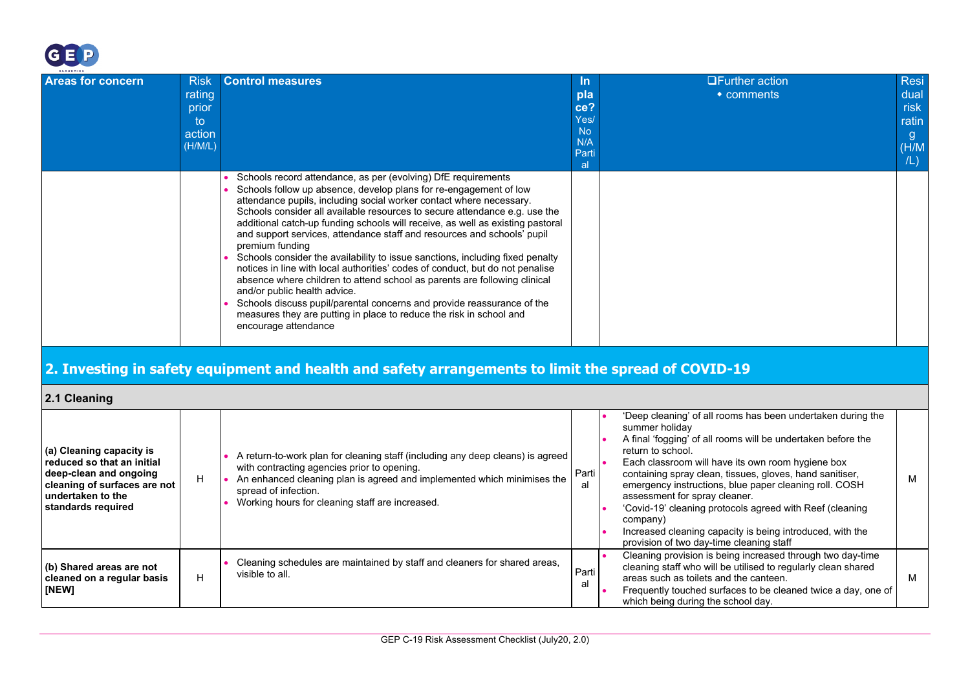

**standards required**

<span id="page-17-1"></span><span id="page-17-0"></span>**[NEW]**

**(b) Shared areas are not cleaned on a regular basis**

H

| <b>Areas for concern</b>                          | <b>Risk</b> | <b>Control measures</b>                                                                                                                                                                                                                                                                                                                                                                                                                                                                                                                                                                                                                                                                                                                                                                                                                                                                                                         | <u>In</u>        | <b>□Further action</b>                                                                  | Resi  |
|---------------------------------------------------|-------------|---------------------------------------------------------------------------------------------------------------------------------------------------------------------------------------------------------------------------------------------------------------------------------------------------------------------------------------------------------------------------------------------------------------------------------------------------------------------------------------------------------------------------------------------------------------------------------------------------------------------------------------------------------------------------------------------------------------------------------------------------------------------------------------------------------------------------------------------------------------------------------------------------------------------------------|------------------|-----------------------------------------------------------------------------------------|-------|
|                                                   | rating      |                                                                                                                                                                                                                                                                                                                                                                                                                                                                                                                                                                                                                                                                                                                                                                                                                                                                                                                                 | pla              | $\bullet$ comments                                                                      | dual  |
|                                                   | prior       |                                                                                                                                                                                                                                                                                                                                                                                                                                                                                                                                                                                                                                                                                                                                                                                                                                                                                                                                 | ce?              |                                                                                         | risk  |
|                                                   | to.         |                                                                                                                                                                                                                                                                                                                                                                                                                                                                                                                                                                                                                                                                                                                                                                                                                                                                                                                                 | Yes/             |                                                                                         | ratin |
|                                                   | action      |                                                                                                                                                                                                                                                                                                                                                                                                                                                                                                                                                                                                                                                                                                                                                                                                                                                                                                                                 | <b>No</b><br>N/A |                                                                                         | g     |
|                                                   | (H/M/L)     |                                                                                                                                                                                                                                                                                                                                                                                                                                                                                                                                                                                                                                                                                                                                                                                                                                                                                                                                 | Parti            |                                                                                         | (H/M) |
|                                                   |             |                                                                                                                                                                                                                                                                                                                                                                                                                                                                                                                                                                                                                                                                                                                                                                                                                                                                                                                                 | al.              |                                                                                         | /L)   |
|                                                   |             | Schools record attendance, as per (evolving) DfE requirements<br>Schools follow up absence, develop plans for re-engagement of low<br>attendance pupils, including social worker contact where necessary.<br>Schools consider all available resources to secure attendance e.g. use the<br>additional catch-up funding schools will receive, as well as existing pastoral<br>and support services, attendance staff and resources and schools' pupil<br>premium funding<br>Schools consider the availability to issue sanctions, including fixed penalty<br>notices in line with local authorities' codes of conduct, but do not penalise<br>absence where children to attend school as parents are following clinical<br>and/or public health advice.<br>Schools discuss pupil/parental concerns and provide reassurance of the<br>measures they are putting in place to reduce the risk in school and<br>encourage attendance |                  |                                                                                         |       |
|                                                   |             | 2. Investing in safety equipment and health and safety arrangements to limit the spread of COVID-19                                                                                                                                                                                                                                                                                                                                                                                                                                                                                                                                                                                                                                                                                                                                                                                                                             |                  |                                                                                         |       |
| 2.1 Cleaning                                      |             |                                                                                                                                                                                                                                                                                                                                                                                                                                                                                                                                                                                                                                                                                                                                                                                                                                                                                                                                 |                  |                                                                                         |       |
|                                                   |             |                                                                                                                                                                                                                                                                                                                                                                                                                                                                                                                                                                                                                                                                                                                                                                                                                                                                                                                                 |                  | 'Deep cleaning' of all rooms has been undertaken during the<br>summer holiday           |       |
|                                                   |             |                                                                                                                                                                                                                                                                                                                                                                                                                                                                                                                                                                                                                                                                                                                                                                                                                                                                                                                                 |                  | A final 'fogging' of all rooms will be undertaken before the                            |       |
| (a) Cleaning capacity is                          |             | A return-to-work plan for cleaning staff (including any deep cleans) is agreed                                                                                                                                                                                                                                                                                                                                                                                                                                                                                                                                                                                                                                                                                                                                                                                                                                                  |                  | return to school.                                                                       |       |
| reduced so that an initial                        |             | with contracting agencies prior to opening.                                                                                                                                                                                                                                                                                                                                                                                                                                                                                                                                                                                                                                                                                                                                                                                                                                                                                     |                  | Each classroom will have its own room hygiene box                                       |       |
| deep-clean and ongoing                            | H           | An enhanced cleaning plan is agreed and implemented which minimises the                                                                                                                                                                                                                                                                                                                                                                                                                                                                                                                                                                                                                                                                                                                                                                                                                                                         | Parti<br>al      | containing spray clean, tissues, gloves, hand sanitiser,                                | м     |
| cleaning of surfaces are not<br>undertaken to the |             | spread of infection.                                                                                                                                                                                                                                                                                                                                                                                                                                                                                                                                                                                                                                                                                                                                                                                                                                                                                                            |                  | emergency instructions, blue paper cleaning roll. COSH<br>assessment for spray cleaner. |       |
| ctondorde required                                |             | Working hours for cleaning staff are increased.                                                                                                                                                                                                                                                                                                                                                                                                                                                                                                                                                                                                                                                                                                                                                                                                                                                                                 |                  | 'Couriel 10' electrica protection careed with Deef (electrical                          |       |

• Cleaning schedules are maintained by staff and cleaners for shared areas,

visible to all. **Particularly contained**  $\overline{P}$  **Particularly contained by the particular of the particular of**  $\overline{P}$  **and**  $\overline{P}$  **and**  $\overline{P}$  **and**  $\overline{P}$  **and**  $\overline{P}$  **and**  $\overline{P}$  **and**  $\overline{P}$  **and**  $\overline{P}$  **and \overline{** 

• 'Covid-19' cleaning protocols agreed with Reef (cleaning

provision of two day-time cleaning staff

areas such as toilets and the canteen.

which being during the school day.

Increased cleaning capacity is being introduced, with the

• Cleaning provision is being increased through two day-time cleaning staff who will be utilised to regularly clean shared

• Frequently touched surfaces to be cleaned twice a day, one of

M

company)

al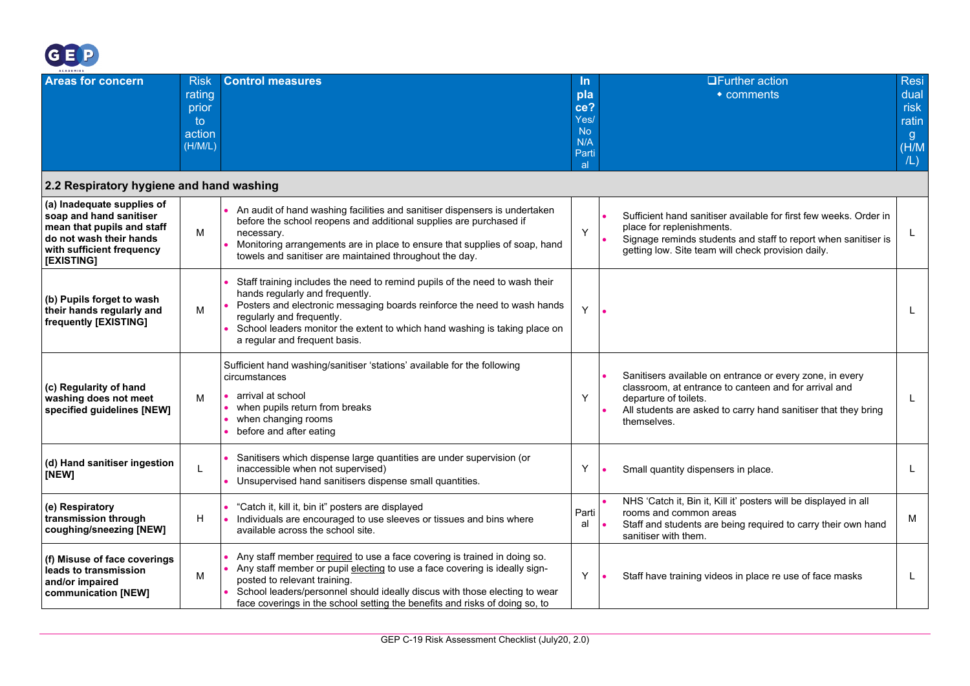

<span id="page-18-0"></span>

| ACADEMIES                                                                                                                                                 |                                                           |                                                                                                                                                                                                                                                                                                                                                     |                                                                     |                                                                                                                                                                                                                             |                                                            |
|-----------------------------------------------------------------------------------------------------------------------------------------------------------|-----------------------------------------------------------|-----------------------------------------------------------------------------------------------------------------------------------------------------------------------------------------------------------------------------------------------------------------------------------------------------------------------------------------------------|---------------------------------------------------------------------|-----------------------------------------------------------------------------------------------------------------------------------------------------------------------------------------------------------------------------|------------------------------------------------------------|
| <b>Areas for concern</b>                                                                                                                                  | <b>Risk</b><br>rating<br>prior<br>to<br>action<br>(H/M/L) | <b>Control measures</b>                                                                                                                                                                                                                                                                                                                             | <u>In</u><br>pla<br>ce?<br>Yes/<br><b>No</b><br>N/A<br>Parti<br>al. | <b>OFurther action</b><br>$\bullet$ comments                                                                                                                                                                                | <b>Resi</b><br>dual<br>risk<br>ratin<br>g.<br>(H/M)<br>/L) |
| 2.2 Respiratory hygiene and hand washing                                                                                                                  |                                                           |                                                                                                                                                                                                                                                                                                                                                     |                                                                     |                                                                                                                                                                                                                             |                                                            |
| (a) Inadequate supplies of<br>soap and hand sanitiser<br>mean that pupils and staff<br>do not wash their hands<br>with sufficient frequency<br>[EXISTING] | м                                                         | An audit of hand washing facilities and sanitiser dispensers is undertaken<br>before the school reopens and additional supplies are purchased if<br>necessary.<br>Monitoring arrangements are in place to ensure that supplies of soap, hand<br>towels and sanitiser are maintained throughout the day.                                             | Y                                                                   | Sufficient hand sanitiser available for first few weeks. Order in<br>place for replenishments.<br>Signage reminds students and staff to report when sanitiser is<br>getting low. Site team will check provision daily.      | L                                                          |
| (b) Pupils forget to wash<br>their hands regularly and<br>frequently [EXISTING]                                                                           | М                                                         | Staff training includes the need to remind pupils of the need to wash their<br>hands regularly and frequently.<br>Posters and electronic messaging boards reinforce the need to wash hands<br>regularly and frequently.<br>School leaders monitor the extent to which hand washing is taking place on<br>a regular and frequent basis.              | Y                                                                   |                                                                                                                                                                                                                             |                                                            |
| (c) Regularity of hand<br>washing does not meet<br>specified guidelines [NEW]                                                                             | м                                                         | Sufficient hand washing/sanitiser 'stations' available for the following<br>circumstances<br>arrival at school<br>when pupils return from breaks<br>when changing rooms<br>before and after eating                                                                                                                                                  | Y                                                                   | Sanitisers available on entrance or every zone, in every<br>classroom, at entrance to canteen and for arrival and<br>departure of toilets.<br>All students are asked to carry hand sanitiser that they bring<br>themselves. | L                                                          |
| (d) Hand sanitiser ingestion<br>[NEW]                                                                                                                     | L                                                         | Sanitisers which dispense large quantities are under supervision (or<br>inaccessible when not supervised)<br>Unsupervised hand sanitisers dispense small quantities.                                                                                                                                                                                | Y                                                                   | Small quantity dispensers in place.                                                                                                                                                                                         | L                                                          |
| (e) Respiratory<br>transmission through<br>coughing/sneezing [NEW]                                                                                        | н                                                         | "Catch it, kill it, bin it" posters are displayed<br>Individuals are encouraged to use sleeves or tissues and bins where<br>available across the school site.                                                                                                                                                                                       | Parti<br>al                                                         | NHS 'Catch it, Bin it, Kill it' posters will be displayed in all<br>rooms and common areas<br>Staff and students are being required to carry their own hand<br>sanitiser with them.                                         | м                                                          |
| (f) Misuse of face coverings<br>leads to transmission<br>and/or impaired<br>communication [NEW]                                                           | М                                                         | Any staff member required to use a face covering is trained in doing so.<br>Any staff member or pupil electing to use a face covering is ideally sign-<br>posted to relevant training.<br>School leaders/personnel should ideally discus with those electing to wear<br>face coverings in the school setting the benefits and risks of doing so, to | Y                                                                   | Staff have training videos in place re use of face masks                                                                                                                                                                    | L                                                          |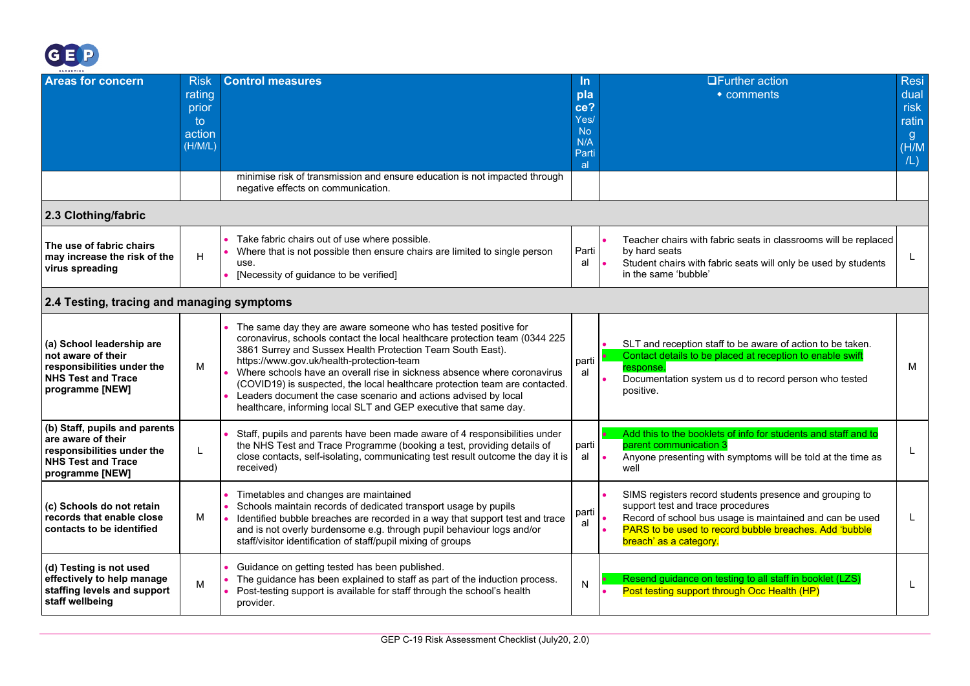

<span id="page-19-1"></span><span id="page-19-0"></span>

| ACADEMIES                                                                                                                         |                                                           |                                                                                                                                                                                                                                                                                                                                                                                                                                                                                                                                                             |                                                              |                                                                                                                                                                                                                                              |                                                            |
|-----------------------------------------------------------------------------------------------------------------------------------|-----------------------------------------------------------|-------------------------------------------------------------------------------------------------------------------------------------------------------------------------------------------------------------------------------------------------------------------------------------------------------------------------------------------------------------------------------------------------------------------------------------------------------------------------------------------------------------------------------------------------------------|--------------------------------------------------------------|----------------------------------------------------------------------------------------------------------------------------------------------------------------------------------------------------------------------------------------------|------------------------------------------------------------|
| <b>Areas for concern</b>                                                                                                          | <b>Risk</b><br>rating<br>prior<br>to<br>action<br>(H/M/L) | <b>Control measures</b><br>minimise risk of transmission and ensure education is not impacted through<br>negative effects on communication.                                                                                                                                                                                                                                                                                                                                                                                                                 | In.<br>pla<br>ce?<br>Yes/<br><b>No</b><br>N/A<br>Parti<br>al | <b>OFurther action</b><br>• comments                                                                                                                                                                                                         | <b>Resi</b><br>dual<br>risk<br>ratin<br>g.<br>(H/M)<br>/L) |
| 2.3 Clothing/fabric                                                                                                               |                                                           |                                                                                                                                                                                                                                                                                                                                                                                                                                                                                                                                                             |                                                              |                                                                                                                                                                                                                                              |                                                            |
| The use of fabric chairs<br>may increase the risk of the<br>virus spreading                                                       | H                                                         | Take fabric chairs out of use where possible.<br>Where that is not possible then ensure chairs are limited to single person<br>use.<br>[Necessity of guidance to be verified]                                                                                                                                                                                                                                                                                                                                                                               | Parti<br>al                                                  | Teacher chairs with fabric seats in classrooms will be replaced<br>by hard seats<br>Student chairs with fabric seats will only be used by students<br>in the same 'bubble'                                                                   |                                                            |
| 2.4 Testing, tracing and managing symptoms                                                                                        |                                                           |                                                                                                                                                                                                                                                                                                                                                                                                                                                                                                                                                             |                                                              |                                                                                                                                                                                                                                              |                                                            |
| (a) School leadership are<br>not aware of their<br>responsibilities under the<br><b>NHS Test and Trace</b><br>programme [NEW]     | M                                                         | The same day they are aware someone who has tested positive for<br>coronavirus, schools contact the local healthcare protection team (0344 225<br>3861 Surrey and Sussex Health Protection Team South East).<br>https://www.gov.uk/health-protection-team<br>Where schools have an overall rise in sickness absence where coronavirus<br>(COVID19) is suspected, the local healthcare protection team are contacted.<br>Leaders document the case scenario and actions advised by local<br>healthcare, informing local SLT and GEP executive that same day. | parti<br>al                                                  | SLT and reception staff to be aware of action to be taken.<br>Contact details to be placed at reception to enable swift<br>response.<br>Documentation system us d to record person who tested<br>positive.                                   | м                                                          |
| (b) Staff, pupils and parents<br>are aware of their<br>responsibilities under the<br><b>NHS Test and Trace</b><br>programme [NEW] | L                                                         | Staff, pupils and parents have been made aware of 4 responsibilities under<br>the NHS Test and Trace Programme (booking a test, providing details of<br>close contacts, self-isolating, communicating test result outcome the day it is<br>received)                                                                                                                                                                                                                                                                                                        | parti<br>al                                                  | Add this to the booklets of info for students and staff and to<br>parent communication 3<br>Anyone presenting with symptoms will be told at the time as<br>well                                                                              |                                                            |
| (c) Schools do not retain<br>records that enable close<br>contacts to be identified                                               | M                                                         | Timetables and changes are maintained<br>Schools maintain records of dedicated transport usage by pupils<br>Identified bubble breaches are recorded in a way that support test and trace<br>and is not overly burdensome e.g. through pupil behaviour logs and/or<br>staff/visitor identification of staff/pupil mixing of groups                                                                                                                                                                                                                           | parti<br>al                                                  | SIMS registers record students presence and grouping to<br>support test and trace procedures<br>Record of school bus usage is maintained and can be used<br>PARS to be used to record bubble breaches. Add 'bubble<br>breach' as a category. | L                                                          |
| (d) Testing is not used<br>effectively to help manage<br>staffing levels and support<br>staff wellbeing                           | M                                                         | Guidance on getting tested has been published.<br>The guidance has been explained to staff as part of the induction process.<br>Post-testing support is available for staff through the school's health<br>provider.                                                                                                                                                                                                                                                                                                                                        | N                                                            | Resend guidance on testing to all staff in booklet (LZS)<br>Post testing support through Occ Health (HP)                                                                                                                                     | L                                                          |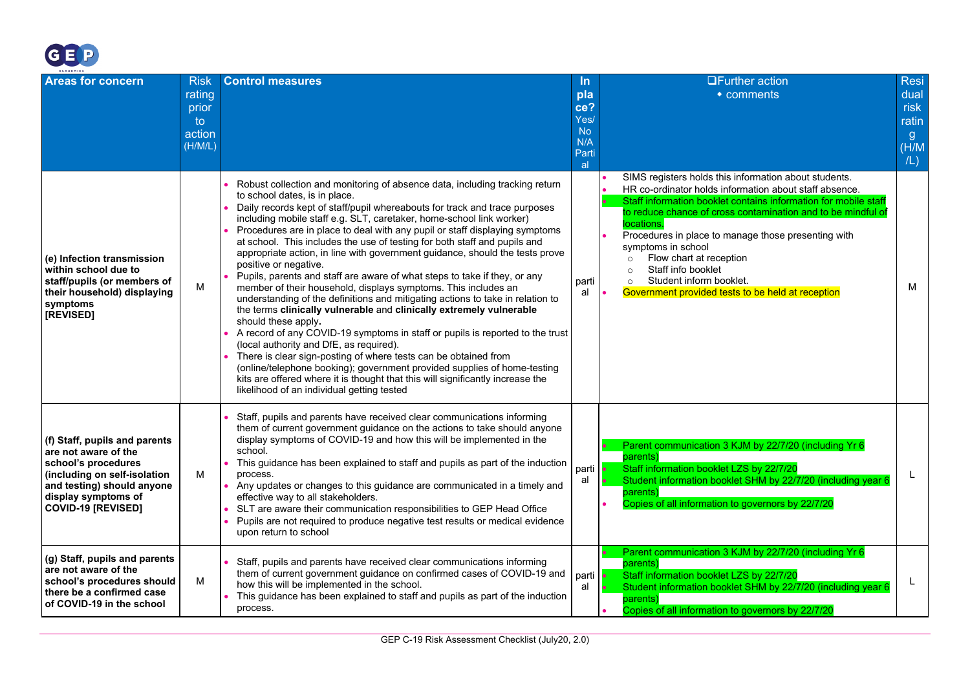

| ACADEMIES                                                                                                                                                                                      |                                                           |                                                                                                                                                                                                                                                                                                                                                                                                                                                                                                                                                                                                                                                                                                                                                                                                                                                                                                                                                                                                                                                                                                                                                                                                                                                                                   |                                                                    | <b>UFurther action</b>                                                                                                                                                                                                                                                                                                                                                                                                                                                                                          | <b>Resi</b>                                 |
|------------------------------------------------------------------------------------------------------------------------------------------------------------------------------------------------|-----------------------------------------------------------|-----------------------------------------------------------------------------------------------------------------------------------------------------------------------------------------------------------------------------------------------------------------------------------------------------------------------------------------------------------------------------------------------------------------------------------------------------------------------------------------------------------------------------------------------------------------------------------------------------------------------------------------------------------------------------------------------------------------------------------------------------------------------------------------------------------------------------------------------------------------------------------------------------------------------------------------------------------------------------------------------------------------------------------------------------------------------------------------------------------------------------------------------------------------------------------------------------------------------------------------------------------------------------------|--------------------------------------------------------------------|-----------------------------------------------------------------------------------------------------------------------------------------------------------------------------------------------------------------------------------------------------------------------------------------------------------------------------------------------------------------------------------------------------------------------------------------------------------------------------------------------------------------|---------------------------------------------|
| <b>Areas for concern</b>                                                                                                                                                                       | <b>Risk</b><br>rating<br>prior<br>to<br>action<br>(H/M/L) | <b>Control measures</b>                                                                                                                                                                                                                                                                                                                                                                                                                                                                                                                                                                                                                                                                                                                                                                                                                                                                                                                                                                                                                                                                                                                                                                                                                                                           | <u>In</u><br>pla<br>ce?<br>Yes/<br><b>No</b><br>N/A<br>Parti<br>al | $\bullet$ comments                                                                                                                                                                                                                                                                                                                                                                                                                                                                                              | dual<br>risk<br>ratin<br>g.<br>(H/M)<br>/L) |
| (e) Infection transmission<br>within school due to<br>staff/pupils (or members of<br>their household) displaying<br>symptoms<br>[REVISED]                                                      | м                                                         | Robust collection and monitoring of absence data, including tracking return<br>to school dates, is in place.<br>Daily records kept of staff/pupil whereabouts for track and trace purposes<br>including mobile staff e.g. SLT, caretaker, home-school link worker)<br>Procedures are in place to deal with any pupil or staff displaying symptoms<br>at school. This includes the use of testing for both staff and pupils and<br>appropriate action, in line with government guidance, should the tests prove<br>positive or negative.<br>Pupils, parents and staff are aware of what steps to take if they, or any<br>member of their household, displays symptoms. This includes an<br>understanding of the definitions and mitigating actions to take in relation to<br>the terms clinically vulnerable and clinically extremely vulnerable<br>should these apply.<br>A record of any COVID-19 symptoms in staff or pupils is reported to the trust<br>(local authority and DfE, as required).<br>There is clear sign-posting of where tests can be obtained from<br>(online/telephone booking); government provided supplies of home-testing<br>kits are offered where it is thought that this will significantly increase the<br>likelihood of an individual getting tested | parti<br>al                                                        | SIMS registers holds this information about students.<br>HR co-ordinator holds information about staff absence.<br>Staff information booklet contains information for mobile staff<br>to reduce chance of cross contamination and to be mindful of<br>locations.<br>Procedures in place to manage those presenting with<br>symptoms in school<br>Flow chart at reception<br>$\circ$<br>Staff info booklet<br>$\circ$<br>Student inform booklet.<br>$\circ$<br>Government provided tests to be held at reception | м                                           |
| (f) Staff, pupils and parents<br>are not aware of the<br>school's procedures<br>(including on self-isolation<br>and testing) should anyone<br>display symptoms of<br><b>COVID-19 [REVISED]</b> | м                                                         | Staff, pupils and parents have received clear communications informing<br>them of current government guidance on the actions to take should anyone<br>display symptoms of COVID-19 and how this will be implemented in the<br>school.<br>This guidance has been explained to staff and pupils as part of the induction<br>process.<br>Any updates or changes to this guidance are communicated in a timely and<br>effective way to all stakeholders.<br>SLT are aware their communication responsibilities to GEP Head Office<br>Pupils are not required to produce negative test results or medical evidence<br>upon return to school                                                                                                                                                                                                                                                                                                                                                                                                                                                                                                                                                                                                                                            | parti<br>al                                                        | Parent communication 3 KJM by 22/7/20 (including Yr 6<br>parents)<br>Staff information booklet LZS by 22/7/20<br>Student information booklet SHM by 22/7/20 (including year 6<br>parents)<br>Copies of all information to governors by 22/7/20                                                                                                                                                                                                                                                                  |                                             |
| (g) Staff, pupils and parents<br>are not aware of the<br>school's procedures should<br>there be a confirmed case<br>of COVID-19 in the school                                                  | м                                                         | Staff, pupils and parents have received clear communications informing<br>them of current government guidance on confirmed cases of COVID-19 and<br>how this will be implemented in the school.<br>This guidance has been explained to staff and pupils as part of the induction<br>process.                                                                                                                                                                                                                                                                                                                                                                                                                                                                                                                                                                                                                                                                                                                                                                                                                                                                                                                                                                                      | parti <b> </b><br>al                                               | Parent communication 3 KJM by 22/7/20 (including Yr 6<br>parents)<br>Staff information booklet LZS by 22/7/20<br>Student information booklet SHM by 22/7/20 (including year 6<br>parents)<br>Copies of all information to governors by 22/7/20                                                                                                                                                                                                                                                                  |                                             |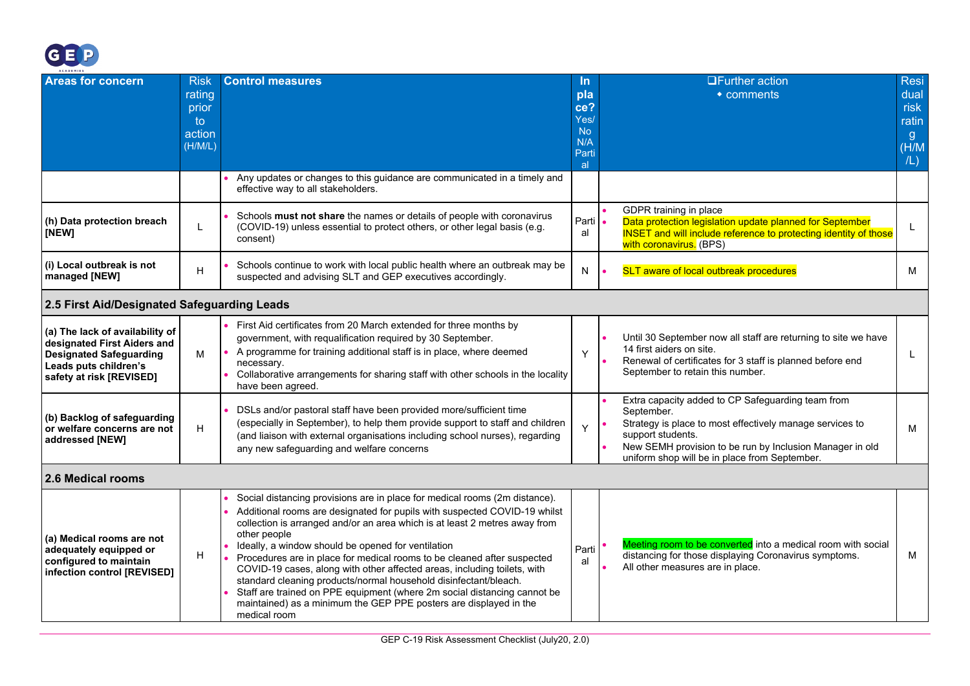

<span id="page-21-1"></span><span id="page-21-0"></span>

| ACADEMIES                                                                                                                                             |                                                           |                                                                                                                                                                                                                                                                                                                                                                                                                                                                                                                                                                                                                                                                                                         |                                                                          |                                                                                                                                                                                                                                                               |                                                    |
|-------------------------------------------------------------------------------------------------------------------------------------------------------|-----------------------------------------------------------|---------------------------------------------------------------------------------------------------------------------------------------------------------------------------------------------------------------------------------------------------------------------------------------------------------------------------------------------------------------------------------------------------------------------------------------------------------------------------------------------------------------------------------------------------------------------------------------------------------------------------------------------------------------------------------------------------------|--------------------------------------------------------------------------|---------------------------------------------------------------------------------------------------------------------------------------------------------------------------------------------------------------------------------------------------------------|----------------------------------------------------|
| <b>Areas for concern</b>                                                                                                                              | <b>Risk</b><br>rating<br>prior<br>to<br>action<br>(H/M/L) | <b>Control measures</b>                                                                                                                                                                                                                                                                                                                                                                                                                                                                                                                                                                                                                                                                                 | <u>In</u><br>pla<br>ce?<br>Yes/<br>N <sub>o</sub><br>N/A<br>Parti<br>al. | <b>UFurther action</b><br>• comments                                                                                                                                                                                                                          | Resi<br>dual<br>risk<br>ratin<br>g<br>(H/M)<br>/L) |
|                                                                                                                                                       |                                                           | Any updates or changes to this guidance are communicated in a timely and<br>effective way to all stakeholders.                                                                                                                                                                                                                                                                                                                                                                                                                                                                                                                                                                                          |                                                                          |                                                                                                                                                                                                                                                               |                                                    |
| (h) Data protection breach<br>[NEW]                                                                                                                   | L                                                         | Schools must not share the names or details of people with coronavirus<br>(COVID-19) unless essential to protect others, or other legal basis (e.g.<br>consent)                                                                                                                                                                                                                                                                                                                                                                                                                                                                                                                                         | Parti<br>al                                                              | GDPR training in place<br>Data protection legislation update planned for September<br><b>INSET</b> and will include reference to protecting identity of those<br>with coronavirus. (BPS)                                                                      | L                                                  |
| (i) Local outbreak is not<br>managed [NEW]                                                                                                            | H                                                         | Schools continue to work with local public health where an outbreak may be<br>suspected and advising SLT and GEP executives accordingly.                                                                                                                                                                                                                                                                                                                                                                                                                                                                                                                                                                | N                                                                        | <b>SLT aware of local outbreak procedures</b>                                                                                                                                                                                                                 | М                                                  |
| 2.5 First Aid/Designated Safeguarding Leads                                                                                                           |                                                           |                                                                                                                                                                                                                                                                                                                                                                                                                                                                                                                                                                                                                                                                                                         |                                                                          |                                                                                                                                                                                                                                                               |                                                    |
| (a) The lack of availability of<br>designated First Aiders and<br><b>Designated Safeguarding</b><br>Leads puts children's<br>safety at risk [REVISED] | м                                                         | First Aid certificates from 20 March extended for three months by<br>government, with requalification required by 30 September.<br>A programme for training additional staff is in place, where deemed<br>necessary.<br>Collaborative arrangements for sharing staff with other schools in the locality<br>have been agreed.                                                                                                                                                                                                                                                                                                                                                                            | Y                                                                        | Until 30 September now all staff are returning to site we have<br>14 first aiders on site.<br>Renewal of certificates for 3 staff is planned before end<br>September to retain this number.                                                                   | L                                                  |
| (b) Backlog of safeguarding<br>or welfare concerns are not<br>addressed [NEW]                                                                         | Н                                                         | DSLs and/or pastoral staff have been provided more/sufficient time<br>(especially in September), to help them provide support to staff and children<br>(and liaison with external organisations including school nurses), regarding<br>any new safeguarding and welfare concerns                                                                                                                                                                                                                                                                                                                                                                                                                        | Υ                                                                        | Extra capacity added to CP Safeguarding team from<br>September.<br>Strategy is place to most effectively manage services to<br>support students.<br>New SEMH provision to be run by Inclusion Manager in old<br>uniform shop will be in place from September. | M                                                  |
| 2.6 Medical rooms                                                                                                                                     |                                                           |                                                                                                                                                                                                                                                                                                                                                                                                                                                                                                                                                                                                                                                                                                         |                                                                          |                                                                                                                                                                                                                                                               |                                                    |
| (a) Medical rooms are not<br>adequately equipped or<br>configured to maintain<br>infection control [REVISED]                                          | H                                                         | Social distancing provisions are in place for medical rooms (2m distance).<br>Additional rooms are designated for pupils with suspected COVID-19 whilst<br>collection is arranged and/or an area which is at least 2 metres away from<br>other people<br>Ideally, a window should be opened for ventilation<br>Procedures are in place for medical rooms to be cleaned after suspected<br>COVID-19 cases, along with other affected areas, including toilets, with<br>standard cleaning products/normal household disinfectant/bleach.<br>Staff are trained on PPE equipment (where 2m social distancing cannot be<br>maintained) as a minimum the GEP PPE posters are displayed in the<br>medical room | Parti<br>al                                                              | Meeting room to be converted into a medical room with social<br>distancing for those displaying Coronavirus symptoms.<br>All other measures are in place.                                                                                                     | M                                                  |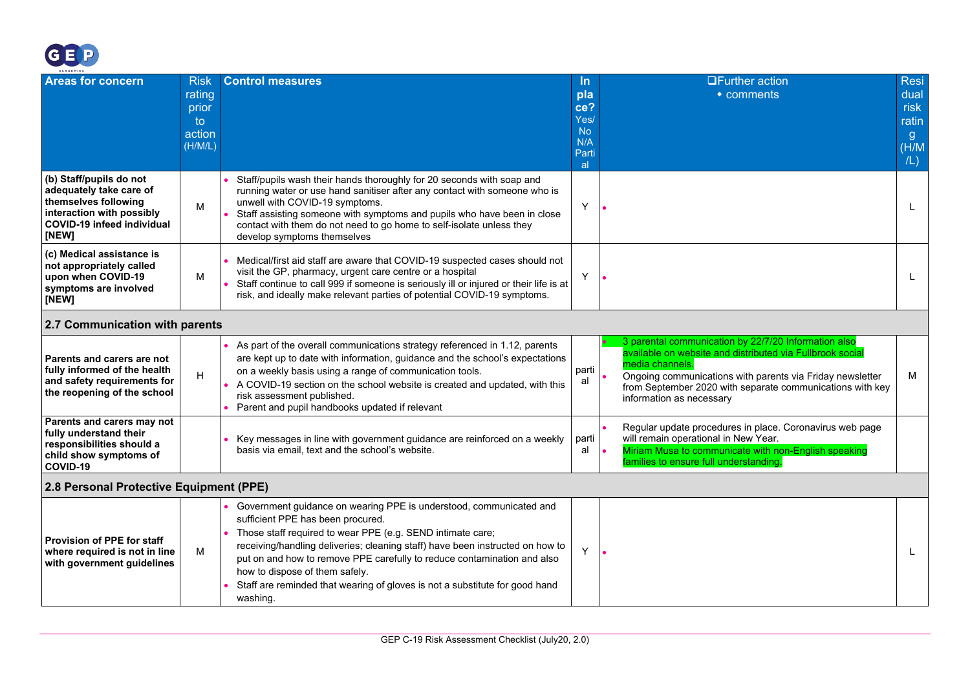

<span id="page-22-1"></span><span id="page-22-0"></span>

| ACADEMIES                                                                                                                                             |                                                           |                                                                                                                                                                                                                                                                                                                                                                                                                                                                  |                                                              |                                                                                                                                                                                                                                                                                            |                                                               |
|-------------------------------------------------------------------------------------------------------------------------------------------------------|-----------------------------------------------------------|------------------------------------------------------------------------------------------------------------------------------------------------------------------------------------------------------------------------------------------------------------------------------------------------------------------------------------------------------------------------------------------------------------------------------------------------------------------|--------------------------------------------------------------|--------------------------------------------------------------------------------------------------------------------------------------------------------------------------------------------------------------------------------------------------------------------------------------------|---------------------------------------------------------------|
| <b>Areas for concern</b>                                                                                                                              | <b>Risk</b><br>rating<br>prior<br>to<br>action<br>(H/M/L) | <b>Control measures</b>                                                                                                                                                                                                                                                                                                                                                                                                                                          | In.<br>pla<br>ce?<br>Yes/<br><b>No</b><br>N/A<br>Parti<br>al | <b>OFurther action</b><br>• comments                                                                                                                                                                                                                                                       | Resi<br>dual<br>risk<br>ratin<br>$\mathbf{g}$<br>(H/M)<br>/L) |
| (b) Staff/pupils do not<br>adequately take care of<br>themselves following<br>interaction with possibly<br><b>COVID-19 infeed individual</b><br>[NEW] | M                                                         | Staff/pupils wash their hands thoroughly for 20 seconds with soap and<br>running water or use hand sanitiser after any contact with someone who is<br>unwell with COVID-19 symptoms.<br>Staff assisting someone with symptoms and pupils who have been in close<br>contact with them do not need to go home to self-isolate unless they<br>develop symptoms themselves                                                                                           | Y                                                            |                                                                                                                                                                                                                                                                                            | L.                                                            |
| (c) Medical assistance is<br>not appropriately called<br>upon when COVID-19<br>symptoms are involved<br>[NEW]                                         | M                                                         | Medical/first aid staff are aware that COVID-19 suspected cases should not<br>visit the GP, pharmacy, urgent care centre or a hospital<br>Staff continue to call 999 if someone is seriously ill or injured or their life is at<br>risk, and ideally make relevant parties of potential COVID-19 symptoms.                                                                                                                                                       | Y                                                            |                                                                                                                                                                                                                                                                                            | L.                                                            |
| 2.7 Communication with parents                                                                                                                        |                                                           |                                                                                                                                                                                                                                                                                                                                                                                                                                                                  |                                                              |                                                                                                                                                                                                                                                                                            |                                                               |
| Parents and carers are not<br>fully informed of the health<br>and safety requirements for<br>the reopening of the school                              | H                                                         | As part of the overall communications strategy referenced in 1.12, parents<br>are kept up to date with information, guidance and the school's expectations<br>on a weekly basis using a range of communication tools.<br>A COVID-19 section on the school website is created and updated, with this<br>risk assessment published.<br>Parent and pupil handbooks updated if relevant                                                                              | parti<br>al                                                  | 3 parental communication by 22/7/20 Information also<br>available on website and distributed via Fullbrook social<br>media channels.<br>Ongoing communications with parents via Friday newsletter<br>from September 2020 with separate communications with key<br>information as necessary | M                                                             |
| Parents and carers may not<br>fully understand their<br>responsibilities should a<br>child show symptoms of<br>COVID-19                               |                                                           | Key messages in line with government guidance are reinforced on a weekly<br>basis via email, text and the school's website.                                                                                                                                                                                                                                                                                                                                      | parti<br>al                                                  | Regular update procedures in place. Coronavirus web page<br>will remain operational in New Year.<br>Miriam Musa to communicate with non-English speaking<br>families to ensure full understanding.                                                                                         |                                                               |
| 2.8 Personal Protective Equipment (PPE)                                                                                                               |                                                           |                                                                                                                                                                                                                                                                                                                                                                                                                                                                  |                                                              |                                                                                                                                                                                                                                                                                            |                                                               |
| Provision of PPE for staff<br>where required is not in line<br>with government guidelines                                                             | M                                                         | • Government guidance on wearing PPE is understood, communicated and<br>sufficient PPE has been procured.<br>Those staff required to wear PPE (e.g. SEND intimate care;<br>receiving/handling deliveries; cleaning staff) have been instructed on how to<br>put on and how to remove PPE carefully to reduce contamination and also<br>how to dispose of them safely.<br>Staff are reminded that wearing of gloves is not a substitute for good hand<br>washing. | Y                                                            |                                                                                                                                                                                                                                                                                            | L.                                                            |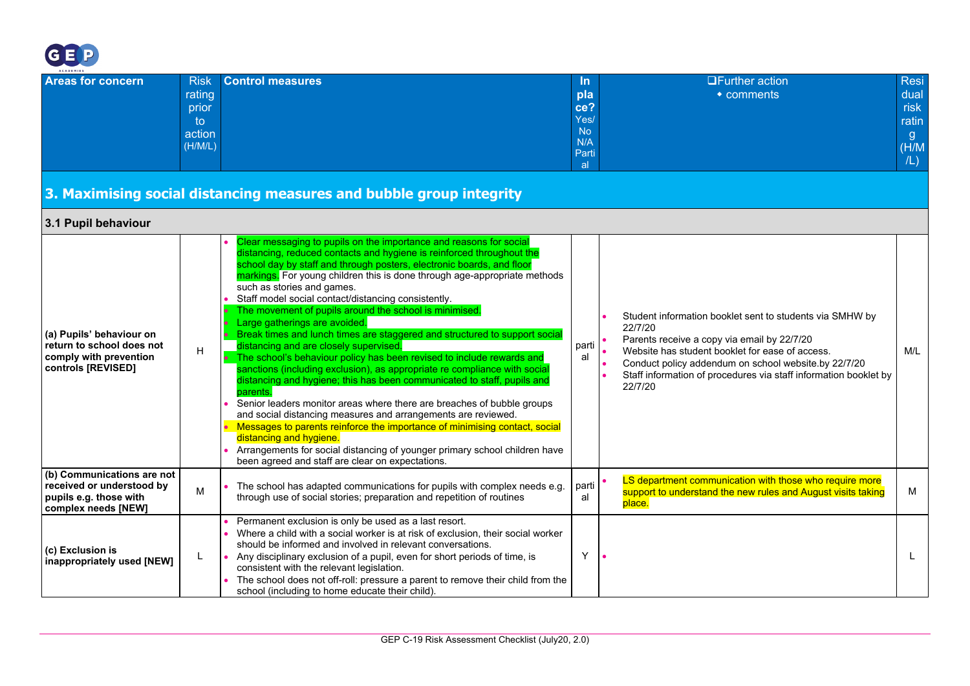

<span id="page-23-1"></span><span id="page-23-0"></span>

| ACADEMIES                                                                                                |                                                           |                                                                                                                                                                                                                                                                                                                                                                                                                                                                                                                                                                                                                                                                                                                                                                                                                                                                                                                                                                                                                                                                                                                                                                                                                                             |                                                             |                                                                                                                                                                                                                                                                                                              |                                                     |
|----------------------------------------------------------------------------------------------------------|-----------------------------------------------------------|---------------------------------------------------------------------------------------------------------------------------------------------------------------------------------------------------------------------------------------------------------------------------------------------------------------------------------------------------------------------------------------------------------------------------------------------------------------------------------------------------------------------------------------------------------------------------------------------------------------------------------------------------------------------------------------------------------------------------------------------------------------------------------------------------------------------------------------------------------------------------------------------------------------------------------------------------------------------------------------------------------------------------------------------------------------------------------------------------------------------------------------------------------------------------------------------------------------------------------------------|-------------------------------------------------------------|--------------------------------------------------------------------------------------------------------------------------------------------------------------------------------------------------------------------------------------------------------------------------------------------------------------|-----------------------------------------------------|
| <b>Areas for concern</b>                                                                                 | <b>Risk</b><br>rating<br>prior<br>to<br>action<br>(H/M/L) | <b>Control measures</b><br>3. Maximising social distancing measures and bubble group integrity                                                                                                                                                                                                                                                                                                                                                                                                                                                                                                                                                                                                                                                                                                                                                                                                                                                                                                                                                                                                                                                                                                                                              | In<br>pla<br>ce?<br>Yes/<br><b>No</b><br>N/A<br>Parti<br>al | <b>OFurther action</b><br>• comments                                                                                                                                                                                                                                                                         | Resi<br>dual<br>risk<br>ratin<br>g.<br>(H/M)<br>/L) |
| 3.1 Pupil behaviour                                                                                      |                                                           |                                                                                                                                                                                                                                                                                                                                                                                                                                                                                                                                                                                                                                                                                                                                                                                                                                                                                                                                                                                                                                                                                                                                                                                                                                             |                                                             |                                                                                                                                                                                                                                                                                                              |                                                     |
| (a) Pupils' behaviour on<br>return to school does not<br>comply with prevention<br>controls [REVISED]    | H                                                         | Clear messaging to pupils on the importance and reasons for social<br>distancing, reduced contacts and hygiene is reinforced throughout the<br>school day by staff and through posters, electronic boards, and floor<br>markings. For young children this is done through age-appropriate methods<br>such as stories and games.<br>Staff model social contact/distancing consistently.<br>The movement of pupils around the school is minimised.<br>Large gatherings are avoided.<br>Break times and lunch times are staggered and structured to support social<br>distancing and are closely supervised.<br>The school's behaviour policy has been revised to include rewards and<br>sanctions (including exclusion), as appropriate re compliance with socia<br>distancing and hygiene; this has been communicated to staff, pupils and<br>parents.<br>Senior leaders monitor areas where there are breaches of bubble groups<br>and social distancing measures and arrangements are reviewed.<br>Messages to parents reinforce the importance of minimising contact, social<br>distancing and hygiene.<br>Arrangements for social distancing of younger primary school children have<br>been agreed and staff are clear on expectations. | parti<br>al                                                 | Student information booklet sent to students via SMHW by<br>22/7/20<br>Parents receive a copy via email by 22/7/20<br>Website has student booklet for ease of access.<br>Conduct policy addendum on school website.by 22/7/20<br>Staff information of procedures via staff information booklet by<br>22/7/20 | M/L                                                 |
| (b) Communications are not<br>received or understood by<br>pupils e.g. those with<br>complex needs [NEW] | M                                                         | The school has adapted communications for pupils with complex needs e.g.<br>through use of social stories; preparation and repetition of routines                                                                                                                                                                                                                                                                                                                                                                                                                                                                                                                                                                                                                                                                                                                                                                                                                                                                                                                                                                                                                                                                                           | parti<br>al                                                 | LS department communication with those who require more<br>support to understand the new rules and August visits taking<br>place.                                                                                                                                                                            | м                                                   |
| (c) Exclusion is<br>inappropriately used [NEW]                                                           | L                                                         | Permanent exclusion is only be used as a last resort.<br>Where a child with a social worker is at risk of exclusion, their social worker<br>should be informed and involved in relevant conversations.<br>Any disciplinary exclusion of a pupil, even for short periods of time, is<br>consistent with the relevant legislation.<br>The school does not off-roll: pressure a parent to remove their child from the<br>school (including to home educate their child).                                                                                                                                                                                                                                                                                                                                                                                                                                                                                                                                                                                                                                                                                                                                                                       | Y                                                           |                                                                                                                                                                                                                                                                                                              | L                                                   |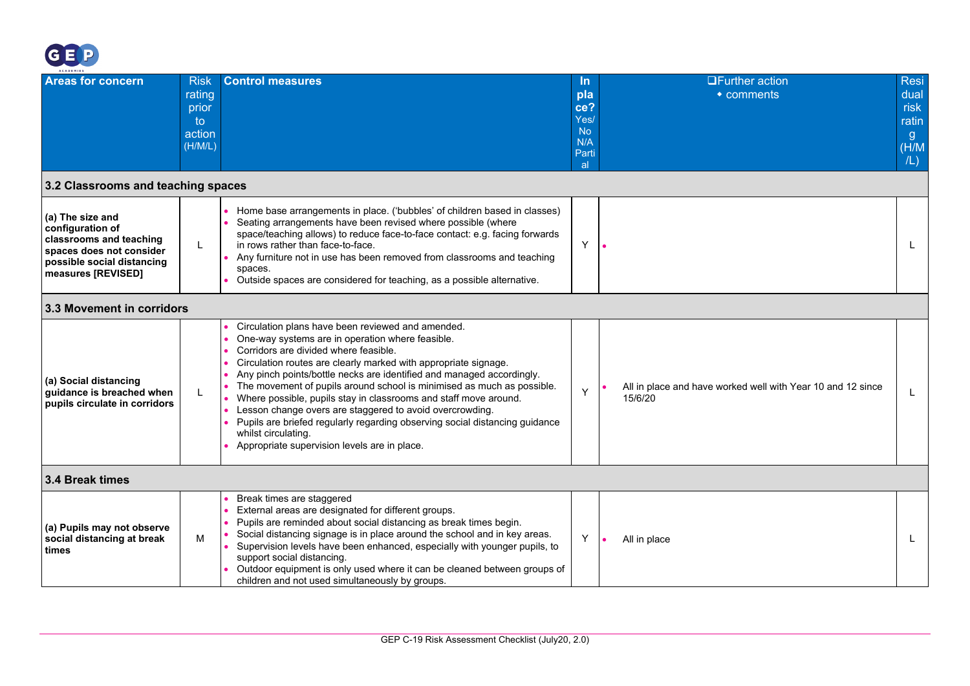

<span id="page-24-2"></span><span id="page-24-1"></span><span id="page-24-0"></span>

| <b>ACADEMIES</b>                                                                                                                                |                                                           |                                                                                                                                                                                                                                                                                                                                                                                                                                                                                                                                                                                                                                                            |                                                         |                                                                        |                                                           |
|-------------------------------------------------------------------------------------------------------------------------------------------------|-----------------------------------------------------------|------------------------------------------------------------------------------------------------------------------------------------------------------------------------------------------------------------------------------------------------------------------------------------------------------------------------------------------------------------------------------------------------------------------------------------------------------------------------------------------------------------------------------------------------------------------------------------------------------------------------------------------------------------|---------------------------------------------------------|------------------------------------------------------------------------|-----------------------------------------------------------|
| <b>Areas for concern</b>                                                                                                                        | <b>Risk</b><br>rating<br>prior<br>to<br>action<br>(H/M/L) | <b>Control measures</b>                                                                                                                                                                                                                                                                                                                                                                                                                                                                                                                                                                                                                                    | In.<br>pla<br>ce?<br>Yes/<br>No.<br>N/A<br>Parti<br>-al | $\Box$ Further action<br>$\bullet$ comments                            | <b>Resi</b><br>dual<br>risk<br>ratin<br>g<br>(H/M)<br>/L) |
| 3.2 Classrooms and teaching spaces                                                                                                              |                                                           |                                                                                                                                                                                                                                                                                                                                                                                                                                                                                                                                                                                                                                                            |                                                         |                                                                        |                                                           |
| (a) The size and<br>configuration of<br>classrooms and teaching<br>spaces does not consider<br>possible social distancing<br>measures [REVISED] | L                                                         | Home base arrangements in place. ('bubbles' of children based in classes)<br>Seating arrangements have been revised where possible (where<br>space/teaching allows) to reduce face-to-face contact: e.g. facing forwards<br>in rows rather than face-to-face.<br>Any furniture not in use has been removed from classrooms and teaching<br>spaces.<br>Outside spaces are considered for teaching, as a possible alternative.                                                                                                                                                                                                                               | Y                                                       |                                                                        | L                                                         |
| 3.3 Movement in corridors                                                                                                                       |                                                           |                                                                                                                                                                                                                                                                                                                                                                                                                                                                                                                                                                                                                                                            |                                                         |                                                                        |                                                           |
| (a) Social distancing<br>guidance is breached when<br>pupils circulate in corridors                                                             | L                                                         | Circulation plans have been reviewed and amended.<br>One-way systems are in operation where feasible.<br>Corridors are divided where feasible.<br>Circulation routes are clearly marked with appropriate signage.<br>Any pinch points/bottle necks are identified and managed accordingly.<br>The movement of pupils around school is minimised as much as possible.<br>Where possible, pupils stay in classrooms and staff move around.<br>Lesson change overs are staggered to avoid overcrowding.<br>Pupils are briefed regularly regarding observing social distancing guidance<br>whilst circulating.<br>Appropriate supervision levels are in place. | Y                                                       | All in place and have worked well with Year 10 and 12 since<br>15/6/20 |                                                           |
| 3.4 Break times                                                                                                                                 |                                                           |                                                                                                                                                                                                                                                                                                                                                                                                                                                                                                                                                                                                                                                            |                                                         |                                                                        |                                                           |
| (a) Pupils may not observe<br>social distancing at break<br>times                                                                               | M                                                         | Break times are staggered<br>External areas are designated for different groups.<br>Pupils are reminded about social distancing as break times begin.<br>Social distancing signage is in place around the school and in key areas.<br>Supervision levels have been enhanced, especially with younger pupils, to<br>support social distancing.<br>Outdoor equipment is only used where it can be cleaned between groups of<br>children and not used simultaneously by groups.                                                                                                                                                                               | Y                                                       | All in place                                                           |                                                           |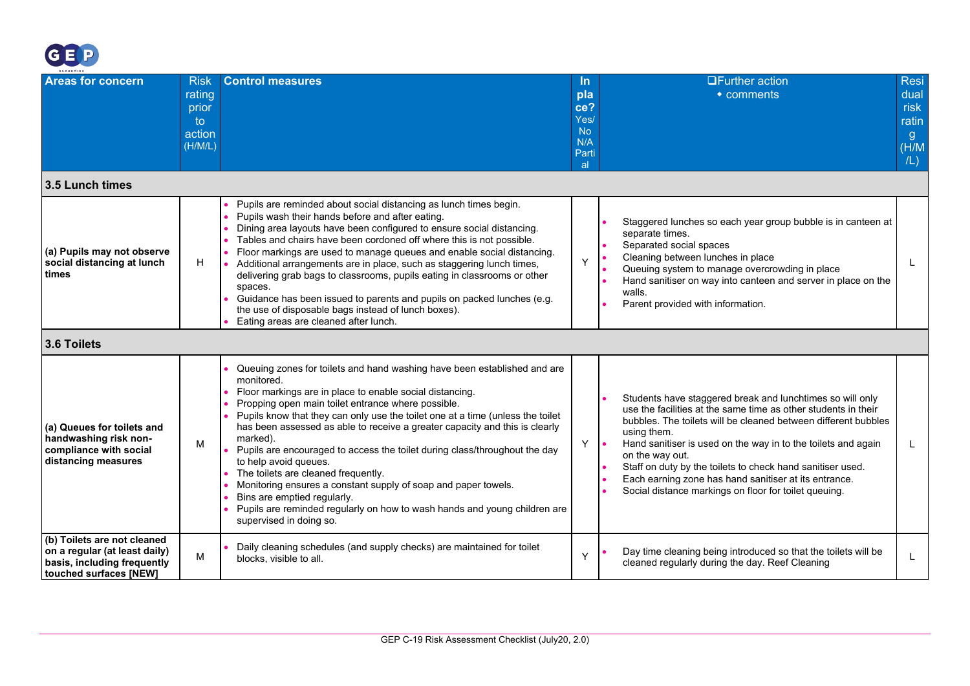

<span id="page-25-1"></span><span id="page-25-0"></span>

| ACADEMIES                                                                                                             |                                                           |                                                                                                                                                                                                                                                                                                                                                                                                                                                                                                                                                                                                                                                                                                                                              |                                                                     |                                                                                                                                                                                                                                                                                                                                                                                                                                                                                  |                                                            |
|-----------------------------------------------------------------------------------------------------------------------|-----------------------------------------------------------|----------------------------------------------------------------------------------------------------------------------------------------------------------------------------------------------------------------------------------------------------------------------------------------------------------------------------------------------------------------------------------------------------------------------------------------------------------------------------------------------------------------------------------------------------------------------------------------------------------------------------------------------------------------------------------------------------------------------------------------------|---------------------------------------------------------------------|----------------------------------------------------------------------------------------------------------------------------------------------------------------------------------------------------------------------------------------------------------------------------------------------------------------------------------------------------------------------------------------------------------------------------------------------------------------------------------|------------------------------------------------------------|
| <b>Areas for concern</b>                                                                                              | <b>Risk</b><br>rating<br>prior<br>to<br>action<br>(H/M/L) | <b>Control measures</b>                                                                                                                                                                                                                                                                                                                                                                                                                                                                                                                                                                                                                                                                                                                      | ln.<br>pla<br>ce?<br>Yes/<br><b>No</b><br>N/A<br>Parti<br><b>al</b> | <b>OFurther action</b><br>$\bullet$ comments                                                                                                                                                                                                                                                                                                                                                                                                                                     | <b>Resi</b><br>dual<br>risk<br>ratin<br>-g<br>(H/M)<br>/L) |
| 3.5 Lunch times                                                                                                       |                                                           |                                                                                                                                                                                                                                                                                                                                                                                                                                                                                                                                                                                                                                                                                                                                              |                                                                     |                                                                                                                                                                                                                                                                                                                                                                                                                                                                                  |                                                            |
| (a) Pupils may not observe<br>social distancing at lunch<br>times                                                     | H                                                         | Pupils are reminded about social distancing as lunch times begin.<br>Pupils wash their hands before and after eating.<br>Dining area layouts have been configured to ensure social distancing.<br>Tables and chairs have been cordoned off where this is not possible.<br>Floor markings are used to manage queues and enable social distancing.<br>Additional arrangements are in place, such as staggering lunch times,<br>delivering grab bags to classrooms, pupils eating in classrooms or other<br>spaces.<br>Guidance has been issued to parents and pupils on packed lunches (e.g.<br>the use of disposable bags instead of lunch boxes).<br>Eating areas are cleaned after lunch.                                                   | Y                                                                   | Staggered lunches so each year group bubble is in canteen at<br>separate times.<br>Separated social spaces<br>Cleaning between lunches in place<br>Queuing system to manage overcrowding in place<br>Hand sanitiser on way into canteen and server in place on the<br>walls.<br>Parent provided with information.                                                                                                                                                                |                                                            |
| 3.6 Toilets                                                                                                           |                                                           |                                                                                                                                                                                                                                                                                                                                                                                                                                                                                                                                                                                                                                                                                                                                              |                                                                     |                                                                                                                                                                                                                                                                                                                                                                                                                                                                                  |                                                            |
| (a) Queues for toilets and<br>handwashing risk non-<br>compliance with social<br>distancing measures                  | м                                                         | Queuing zones for toilets and hand washing have been established and are<br>monitored.<br>Floor markings are in place to enable social distancing.<br>Propping open main toilet entrance where possible.<br>Pupils know that they can only use the toilet one at a time (unless the toilet<br>has been assessed as able to receive a greater capacity and this is clearly<br>marked).<br>Pupils are encouraged to access the toilet during class/throughout the day<br>to help avoid queues.<br>The toilets are cleaned frequently.<br>Monitoring ensures a constant supply of soap and paper towels.<br>Bins are emptied regularly.<br>Pupils are reminded regularly on how to wash hands and young children are<br>supervised in doing so. | Y                                                                   | Students have staggered break and lunchtimes so will only<br>use the facilities at the same time as other students in their<br>bubbles. The toilets will be cleaned between different bubbles<br>using them.<br>Hand sanitiser is used on the way in to the toilets and again<br>on the way out.<br>Staff on duty by the toilets to check hand sanitiser used.<br>Each earning zone has hand sanitiser at its entrance.<br>Social distance markings on floor for toilet queuing. | L                                                          |
| (b) Toilets are not cleaned<br>on a regular (at least daily)<br>basis, including frequently<br>touched surfaces [NEW] | M                                                         | Daily cleaning schedules (and supply checks) are maintained for toilet<br>blocks, visible to all.                                                                                                                                                                                                                                                                                                                                                                                                                                                                                                                                                                                                                                            | Y                                                                   | Day time cleaning being introduced so that the toilets will be<br>cleaned regularly during the day. Reef Cleaning                                                                                                                                                                                                                                                                                                                                                                |                                                            |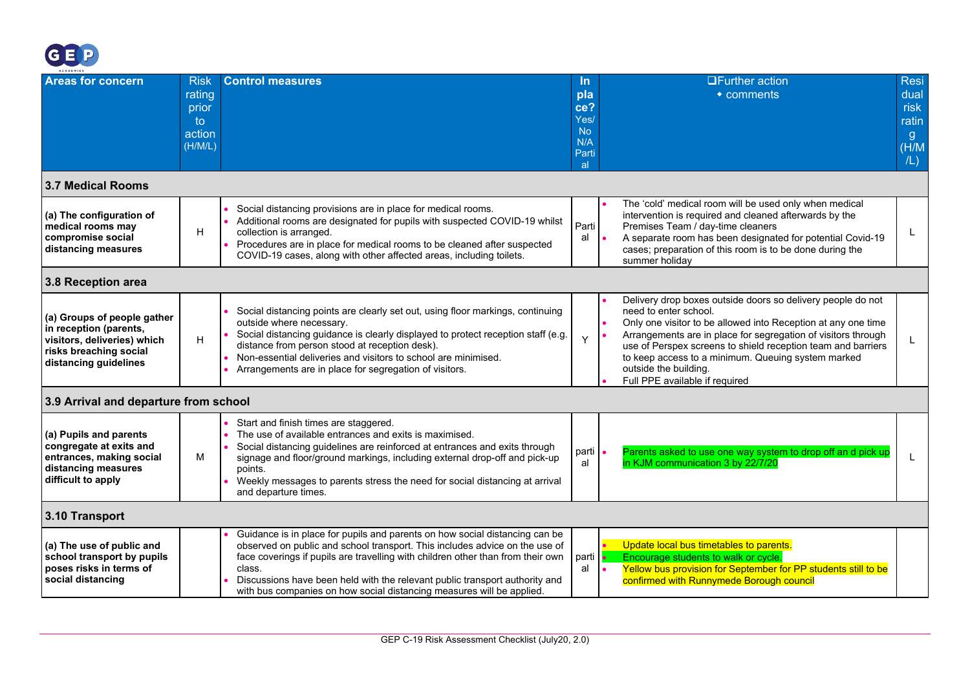

<span id="page-26-3"></span><span id="page-26-2"></span><span id="page-26-1"></span><span id="page-26-0"></span>

| <b>ACADEMIES</b>                                                                                                                        |                                                           |                                                                                                                                                                                                                                                                                                                                                                                                                 |                                                              |                                                                                                                                                                                                                                                                                                                                                                                                         |  |
|-----------------------------------------------------------------------------------------------------------------------------------------|-----------------------------------------------------------|-----------------------------------------------------------------------------------------------------------------------------------------------------------------------------------------------------------------------------------------------------------------------------------------------------------------------------------------------------------------------------------------------------------------|--------------------------------------------------------------|---------------------------------------------------------------------------------------------------------------------------------------------------------------------------------------------------------------------------------------------------------------------------------------------------------------------------------------------------------------------------------------------------------|--|
| <b>Areas for concern</b>                                                                                                                | <b>Risk</b><br>rating<br>prior<br>to<br>action<br>(H/M/L) | <b>Control measures</b>                                                                                                                                                                                                                                                                                                                                                                                         | In.<br>pla<br>ce?<br>Yes/<br><b>No</b><br>N/A<br>Parti<br>al | <b>OFurther action</b><br><b>Resi</b><br>dual<br>• comments<br>risk<br>ratin<br>g<br>(H/M)<br>/L)                                                                                                                                                                                                                                                                                                       |  |
| <b>3.7 Medical Rooms</b>                                                                                                                |                                                           |                                                                                                                                                                                                                                                                                                                                                                                                                 |                                                              |                                                                                                                                                                                                                                                                                                                                                                                                         |  |
| (a) The configuration of<br>medical rooms may<br>compromise social<br>distancing measures                                               | H                                                         | Social distancing provisions are in place for medical rooms.<br>Additional rooms are designated for pupils with suspected COVID-19 whilst<br>collection is arranged.<br>Procedures are in place for medical rooms to be cleaned after suspected<br>COVID-19 cases, along with other affected areas, including toilets.                                                                                          | Parti<br>al                                                  | The 'cold' medical room will be used only when medical<br>intervention is required and cleaned afterwards by the<br>Premises Team / day-time cleaners<br>A separate room has been designated for potential Covid-19<br>cases; preparation of this room is to be done during the<br>summer holiday                                                                                                       |  |
| 3.8 Reception area                                                                                                                      |                                                           |                                                                                                                                                                                                                                                                                                                                                                                                                 |                                                              |                                                                                                                                                                                                                                                                                                                                                                                                         |  |
| (a) Groups of people gather<br>in reception (parents,<br>visitors, deliveries) which<br>risks breaching social<br>distancing guidelines | H                                                         | Social distancing points are clearly set out, using floor markings, continuing<br>outside where necessary.<br>Social distancing guidance is clearly displayed to protect reception staff (e.g.<br>distance from person stood at reception desk).<br>Non-essential deliveries and visitors to school are minimised.<br>Arrangements are in place for segregation of visitors.                                    | Y                                                            | Delivery drop boxes outside doors so delivery people do not<br>need to enter school.<br>Only one visitor to be allowed into Reception at any one time<br>Arrangements are in place for segregation of visitors through<br>use of Perspex screens to shield reception team and barriers<br>to keep access to a minimum. Queuing system marked<br>outside the building.<br>Full PPE available if required |  |
| 3.9 Arrival and departure from school                                                                                                   |                                                           |                                                                                                                                                                                                                                                                                                                                                                                                                 |                                                              |                                                                                                                                                                                                                                                                                                                                                                                                         |  |
| (a) Pupils and parents<br>congregate at exits and<br>entrances, making social<br>distancing measures<br>difficult to apply              | м                                                         | Start and finish times are staggered.<br>The use of available entrances and exits is maximised.<br>Social distancing guidelines are reinforced at entrances and exits through<br>signage and floor/ground markings, including external drop-off and pick-up<br>points.<br>Weekly messages to parents stress the need for social distancing at arrival<br>and departure times.                                   | parti<br>al                                                  | Parents asked to use one way system to drop off an d pick up<br>in KJM communication 3 by 22/7/20                                                                                                                                                                                                                                                                                                       |  |
| 3.10 Transport                                                                                                                          |                                                           |                                                                                                                                                                                                                                                                                                                                                                                                                 |                                                              |                                                                                                                                                                                                                                                                                                                                                                                                         |  |
| (a) The use of public and<br>school transport by pupils<br>poses risks in terms of<br>social distancing                                 |                                                           | Guidance is in place for pupils and parents on how social distancing can be<br>observed on public and school transport. This includes advice on the use of<br>face coverings if pupils are travelling with children other than from their own<br>class.<br>Discussions have been held with the relevant public transport authority and<br>with bus companies on how social distancing measures will be applied. | parti<br>al                                                  | Update local bus timetables to parents.<br>Encourage students to walk or cycle.<br>Yellow bus provision for September for PP students still to be<br>confirmed with Runnymede Borough council                                                                                                                                                                                                           |  |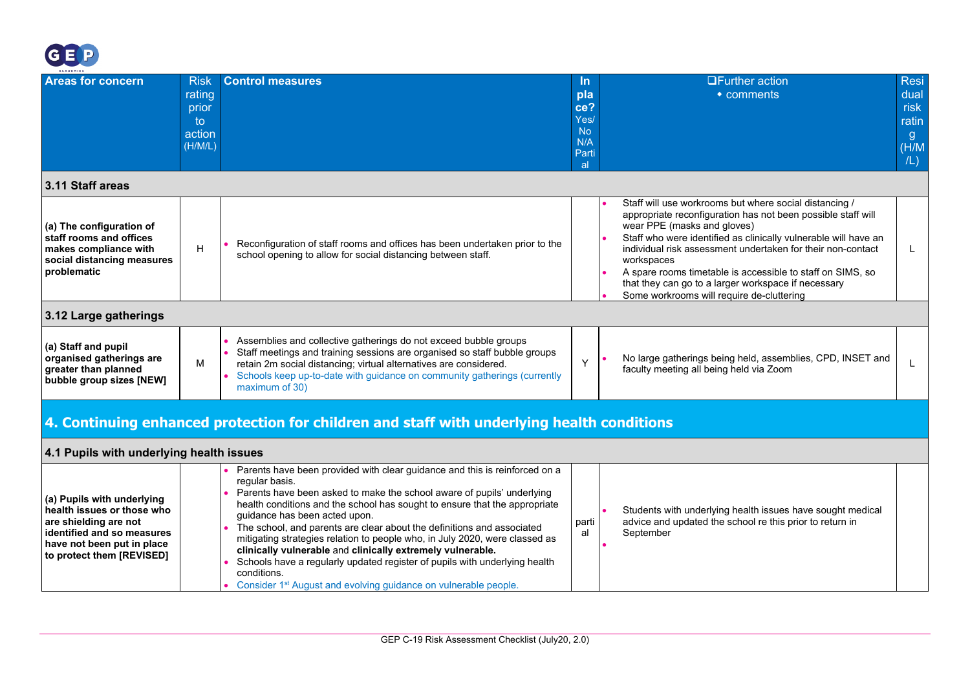

<span id="page-27-3"></span><span id="page-27-2"></span><span id="page-27-1"></span><span id="page-27-0"></span>**to protect them [REVISED]**

| <b>Areas for concern</b>                                                                                                                      | <b>Risk</b><br>rating<br>prior<br>to<br>action<br>(H/M/L)                                  | <b>Control measures</b>                                                                                                                                                                                                                                                                                                                                                                                                                                                                                     | In.<br>pla<br>ce?<br>Yes/<br>N <sub>o</sub><br>N/A<br>Parti<br>-al | <b>□Further action</b><br><b>Resi</b><br>dual<br>$\bullet$ comments<br>risk<br>ratin<br>g.<br>(H/M)<br>/L)                                                                                                                                                                                                                                                                                                                                                              |  |  |  |
|-----------------------------------------------------------------------------------------------------------------------------------------------|--------------------------------------------------------------------------------------------|-------------------------------------------------------------------------------------------------------------------------------------------------------------------------------------------------------------------------------------------------------------------------------------------------------------------------------------------------------------------------------------------------------------------------------------------------------------------------------------------------------------|--------------------------------------------------------------------|-------------------------------------------------------------------------------------------------------------------------------------------------------------------------------------------------------------------------------------------------------------------------------------------------------------------------------------------------------------------------------------------------------------------------------------------------------------------------|--|--|--|
| 3.11 Staff areas                                                                                                                              |                                                                                            |                                                                                                                                                                                                                                                                                                                                                                                                                                                                                                             |                                                                    |                                                                                                                                                                                                                                                                                                                                                                                                                                                                         |  |  |  |
| (a) The configuration of<br>staff rooms and offices<br>makes compliance with<br>social distancing measures<br>problematic                     | н                                                                                          | Reconfiguration of staff rooms and offices has been undertaken prior to the<br>school opening to allow for social distancing between staff.                                                                                                                                                                                                                                                                                                                                                                 |                                                                    | Staff will use workrooms but where social distancing /<br>appropriate reconfiguration has not been possible staff will<br>wear PPE (masks and gloves)<br>Staff who were identified as clinically vulnerable will have an<br>individual risk assessment undertaken for their non-contact<br>workspaces<br>A spare rooms timetable is accessible to staff on SIMS, so<br>that they can go to a larger workspace if necessary<br>Some workrooms will require de-cluttering |  |  |  |
| 3.12 Large gatherings                                                                                                                         |                                                                                            |                                                                                                                                                                                                                                                                                                                                                                                                                                                                                                             |                                                                    |                                                                                                                                                                                                                                                                                                                                                                                                                                                                         |  |  |  |
| (a) Staff and pupil<br>organised gatherings are<br>greater than planned<br>bubble group sizes [NEW]                                           | м                                                                                          | Assemblies and collective gatherings do not exceed bubble groups<br>Staff meetings and training sessions are organised so staff bubble groups<br>retain 2m social distancing; virtual alternatives are considered.<br>Schools keep up-to-date with guidance on community gatherings (currently<br>maximum of 30)                                                                                                                                                                                            | Y                                                                  | No large gatherings being held, assemblies, CPD, INSET and<br>faculty meeting all being held via Zoom                                                                                                                                                                                                                                                                                                                                                                   |  |  |  |
|                                                                                                                                               | 4. Continuing enhanced protection for children and staff with underlying health conditions |                                                                                                                                                                                                                                                                                                                                                                                                                                                                                                             |                                                                    |                                                                                                                                                                                                                                                                                                                                                                                                                                                                         |  |  |  |
| 4.1 Pupils with underlying health issues                                                                                                      |                                                                                            |                                                                                                                                                                                                                                                                                                                                                                                                                                                                                                             |                                                                    |                                                                                                                                                                                                                                                                                                                                                                                                                                                                         |  |  |  |
| (a) Pupils with underlying<br>health issues or those who<br>are shielding are not<br>identified and so measures<br>have not been put in place |                                                                                            | Parents have been provided with clear guidance and this is reinforced on a<br>regular basis.<br>Parents have been asked to make the school aware of pupils' underlying<br>health conditions and the school has sought to ensure that the appropriate<br>guidance has been acted upon.<br>The school, and parents are clear about the definitions and associated<br>mitigating strategies relation to people who, in July 2020, were classed as<br>olinioollu uulnovahla ond olinioollu oytvamalu uulnovahla | parti<br>al                                                        | Students with underlying health issues have sought medical<br>advice and updated the school re this prior to return in<br>September                                                                                                                                                                                                                                                                                                                                     |  |  |  |

**clinically vulnerable** and **clinically extremely vulnerable.**

Consider 1<sup>st</sup> August and evolving guidance on vulnerable people.

conditions.

• Schools have a regularly updated register of pupils with underlying health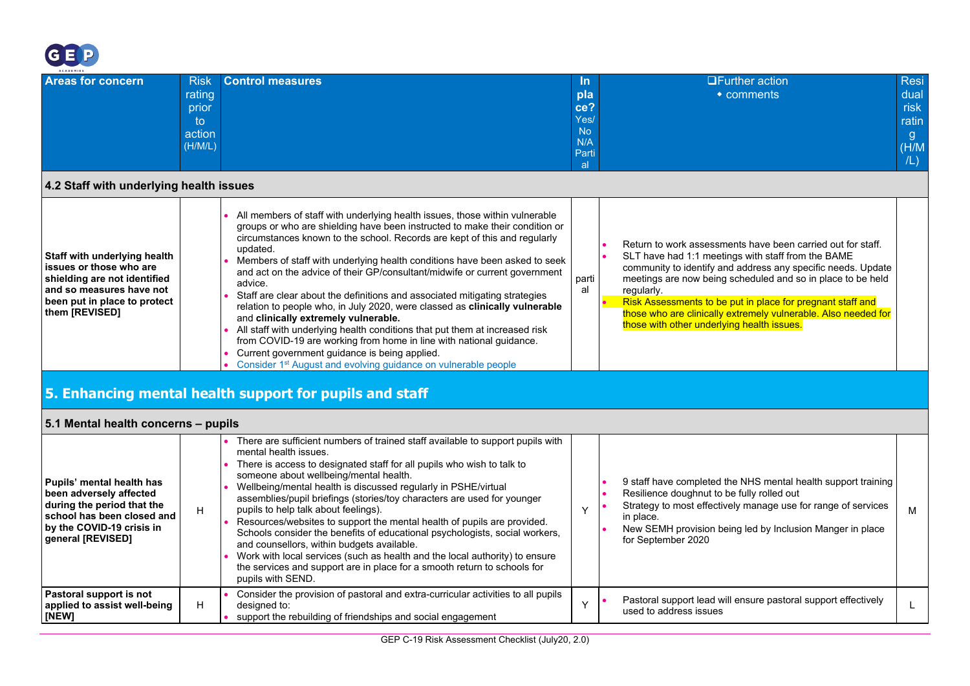

| ___<br><b>ACADEMIES</b>  |             |                  |                 |                        |       |
|--------------------------|-------------|------------------|-----------------|------------------------|-------|
| <b>Areas for concern</b> | <b>Risk</b> | Control measures | <u>In</u>       | <b>OFurther action</b> | Resi  |
|                          | rating      |                  | pla             | $\bullet$ comments     | dual  |
|                          | prior       |                  | ce?             |                        | risk  |
|                          | to          |                  | Yes/            |                        | ratin |
|                          | action      |                  | No <sup>1</sup> |                        | g     |
|                          | (H/M/L)     |                  | N/A             |                        | (H/M) |
|                          |             |                  | Parti           |                        | /L)   |
|                          |             |                  | al              |                        |       |

#### **4.2 Staff with underlying health issues**

| Staff with underlying health<br>issues or those who are<br>shielding are not identified<br>l and so measures have not<br>been put in place to protect<br>them [REVISED] | All members of staff with underlying health issues, those within vulnerable<br>groups or who are shielding have been instructed to make their condition or<br>circumstances known to the school. Records are kept of this and regularly<br>updated.<br>Members of staff with underlying health conditions have been asked to seek<br>and act on the advice of their GP/consultant/midwife or current government<br>advice<br>Staff are clear about the definitions and associated mitigating strategies<br>relation to people who, in July 2020, were classed as <b>clinically vulnerable</b><br>and clinically extremely vulnerable.<br>All staff with underlying health conditions that put them at increased risk<br>from COVID-19 are working from home in line with national guidance.<br>Current government guidance is being applied.<br>Consider 1 <sup>st</sup> August and evolving guidance on vulnerable people | parti<br>al | Return to work assessments have been carried out for staff.<br>SLT have had 1:1 meetings with staff from the BAME<br>community to identify and address any specific needs. Update<br>meetings are now being scheduled and so in place to be held<br>regularly.<br>Risk Assessments to be put in place for pregnant staff and<br>those who are clinically extremely vulnerable. Also needed for<br>those with other underlying health issues. |
|-------------------------------------------------------------------------------------------------------------------------------------------------------------------------|----------------------------------------------------------------------------------------------------------------------------------------------------------------------------------------------------------------------------------------------------------------------------------------------------------------------------------------------------------------------------------------------------------------------------------------------------------------------------------------------------------------------------------------------------------------------------------------------------------------------------------------------------------------------------------------------------------------------------------------------------------------------------------------------------------------------------------------------------------------------------------------------------------------------------|-------------|----------------------------------------------------------------------------------------------------------------------------------------------------------------------------------------------------------------------------------------------------------------------------------------------------------------------------------------------------------------------------------------------------------------------------------------------|
|-------------------------------------------------------------------------------------------------------------------------------------------------------------------------|----------------------------------------------------------------------------------------------------------------------------------------------------------------------------------------------------------------------------------------------------------------------------------------------------------------------------------------------------------------------------------------------------------------------------------------------------------------------------------------------------------------------------------------------------------------------------------------------------------------------------------------------------------------------------------------------------------------------------------------------------------------------------------------------------------------------------------------------------------------------------------------------------------------------------|-------------|----------------------------------------------------------------------------------------------------------------------------------------------------------------------------------------------------------------------------------------------------------------------------------------------------------------------------------------------------------------------------------------------------------------------------------------------|

## **5. Enhancing mental health support for pupils and staff**

### **5.1 Mental health concerns – pupils**

<span id="page-28-2"></span><span id="page-28-1"></span><span id="page-28-0"></span>

| Pupils' mental health has<br>been adversely affected<br>during the period that the<br>school has been closed and<br>by the COVID-19 crisis in<br>general [REVISED] | н | There are sufficient numbers of trained staff available to support pupils with<br>mental health issues.<br>There is access to designated staff for all pupils who wish to talk to<br>someone about wellbeing/mental health.<br>Wellbeing/mental health is discussed regularly in PSHE/virtual<br>assemblies/pupil briefings (stories/toy characters are used for younger<br>pupils to help talk about feelings).<br>Resources/websites to support the mental health of pupils are provided.<br>Schools consider the benefits of educational psychologists, social workers,<br>and counsellors, within budgets available.<br>Work with local services (such as health and the local authority) to ensure<br>the services and support are in place for a smooth return to schools for<br>pupils with SEND. | 9 staff have completed the NHS mental health support training<br>Resilience doughnut to be fully rolled out<br>Strategy to most effectively manage use for range of services<br>in place.<br>New SEMH provision being led by Inclusion Manger in place<br>for September 2020 | м |
|--------------------------------------------------------------------------------------------------------------------------------------------------------------------|---|----------------------------------------------------------------------------------------------------------------------------------------------------------------------------------------------------------------------------------------------------------------------------------------------------------------------------------------------------------------------------------------------------------------------------------------------------------------------------------------------------------------------------------------------------------------------------------------------------------------------------------------------------------------------------------------------------------------------------------------------------------------------------------------------------------|------------------------------------------------------------------------------------------------------------------------------------------------------------------------------------------------------------------------------------------------------------------------------|---|
| Pastoral support is not<br>applied to assist well-being<br>[NEW]                                                                                                   | н | Consider the provision of pastoral and extra-curricular activities to all pupils<br>designed to:<br>support the rebuilding of friendships and social engagement                                                                                                                                                                                                                                                                                                                                                                                                                                                                                                                                                                                                                                          | Pastoral support lead will ensure pastoral support effectively<br>used to address issues                                                                                                                                                                                     |   |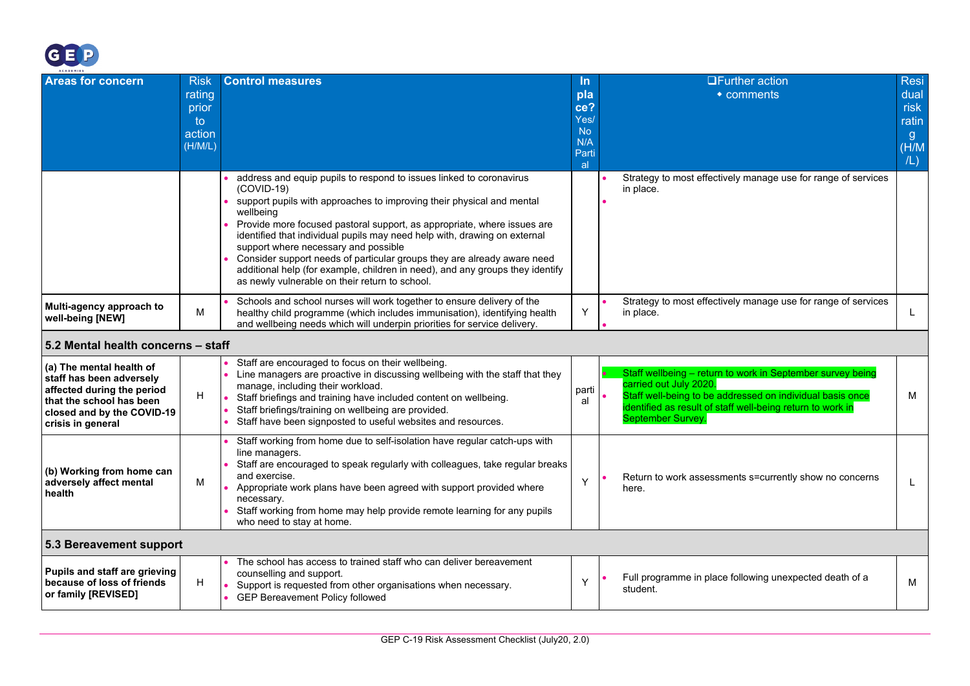

<span id="page-29-1"></span><span id="page-29-0"></span>

| ACADEMIES                                                                                                                                                         |                                                           |                                                                                                                                                                                                                                                                                                                                                                                                                                                                                                                                                                                         |                                                                    |                                                                                                                                                                                                                                             |                                                                      |
|-------------------------------------------------------------------------------------------------------------------------------------------------------------------|-----------------------------------------------------------|-----------------------------------------------------------------------------------------------------------------------------------------------------------------------------------------------------------------------------------------------------------------------------------------------------------------------------------------------------------------------------------------------------------------------------------------------------------------------------------------------------------------------------------------------------------------------------------------|--------------------------------------------------------------------|---------------------------------------------------------------------------------------------------------------------------------------------------------------------------------------------------------------------------------------------|----------------------------------------------------------------------|
| <b>Areas for concern</b>                                                                                                                                          | <b>Risk</b><br>rating<br>prior<br>to<br>action<br>(H/M/L) | <b>Control measures</b>                                                                                                                                                                                                                                                                                                                                                                                                                                                                                                                                                                 | <u>In</u><br>pla<br>ce?<br>Yes/<br><b>No</b><br>N/A<br>Parti<br>al | <b>OFurther action</b><br>• comments                                                                                                                                                                                                        | <b>Resi</b><br>dual<br>risk<br>ratin<br>$\mathbf{g}$<br>(H/M)<br>/L) |
|                                                                                                                                                                   |                                                           | address and equip pupils to respond to issues linked to coronavirus<br>$(COVID-19)$<br>support pupils with approaches to improving their physical and mental<br>wellbeing<br>Provide more focused pastoral support, as appropriate, where issues are<br>identified that individual pupils may need help with, drawing on external<br>support where necessary and possible<br>Consider support needs of particular groups they are already aware need<br>additional help (for example, children in need), and any groups they identify<br>as newly vulnerable on their return to school. |                                                                    | Strategy to most effectively manage use for range of services<br>in place.                                                                                                                                                                  |                                                                      |
| Multi-agency approach to<br>well-being [NEW]                                                                                                                      | M                                                         | Schools and school nurses will work together to ensure delivery of the<br>healthy child programme (which includes immunisation), identifying health<br>and wellbeing needs which will underpin priorities for service delivery.                                                                                                                                                                                                                                                                                                                                                         | Y                                                                  | Strategy to most effectively manage use for range of services<br>in place.                                                                                                                                                                  | L.                                                                   |
| 5.2 Mental health concerns - staff                                                                                                                                |                                                           |                                                                                                                                                                                                                                                                                                                                                                                                                                                                                                                                                                                         |                                                                    |                                                                                                                                                                                                                                             |                                                                      |
| (a) The mental health of<br>staff has been adversely<br>affected during the period<br>that the school has been<br>closed and by the COVID-19<br>crisis in general | н                                                         | Staff are encouraged to focus on their wellbeing.<br>Line managers are proactive in discussing wellbeing with the staff that they<br>manage, including their workload.<br>Staff briefings and training have included content on wellbeing.<br>Staff briefings/training on wellbeing are provided.<br>Staff have been signposted to useful websites and resources.                                                                                                                                                                                                                       | parti<br>al                                                        | Staff wellbeing - return to work in September survey being<br>carried out July 2020.<br>Staff well-being to be addressed on individual basis once<br>identified as result of staff well-being return to work in<br><b>September Survey.</b> | М                                                                    |
| (b) Working from home can<br>adversely affect mental<br>health                                                                                                    | м                                                         | Staff working from home due to self-isolation have regular catch-ups with<br>line managers.<br>Staff are encouraged to speak regularly with colleagues, take regular breaks<br>and exercise.<br>Appropriate work plans have been agreed with support provided where<br>necessary.<br>Staff working from home may help provide remote learning for any pupils<br>who need to stay at home.                                                                                                                                                                                               | Y                                                                  | Return to work assessments s=currently show no concerns<br>here.                                                                                                                                                                            | L                                                                    |
| 5.3 Bereavement support                                                                                                                                           |                                                           |                                                                                                                                                                                                                                                                                                                                                                                                                                                                                                                                                                                         |                                                                    |                                                                                                                                                                                                                                             |                                                                      |
| Pupils and staff are grieving<br>because of loss of friends<br>or family [REVISED]                                                                                | H                                                         | The school has access to trained staff who can deliver bereavement<br>counselling and support.<br>Support is requested from other organisations when necessary.<br><b>GEP Bereavement Policy followed</b>                                                                                                                                                                                                                                                                                                                                                                               | Y                                                                  | Full programme in place following unexpected death of a<br>student.                                                                                                                                                                         | м                                                                    |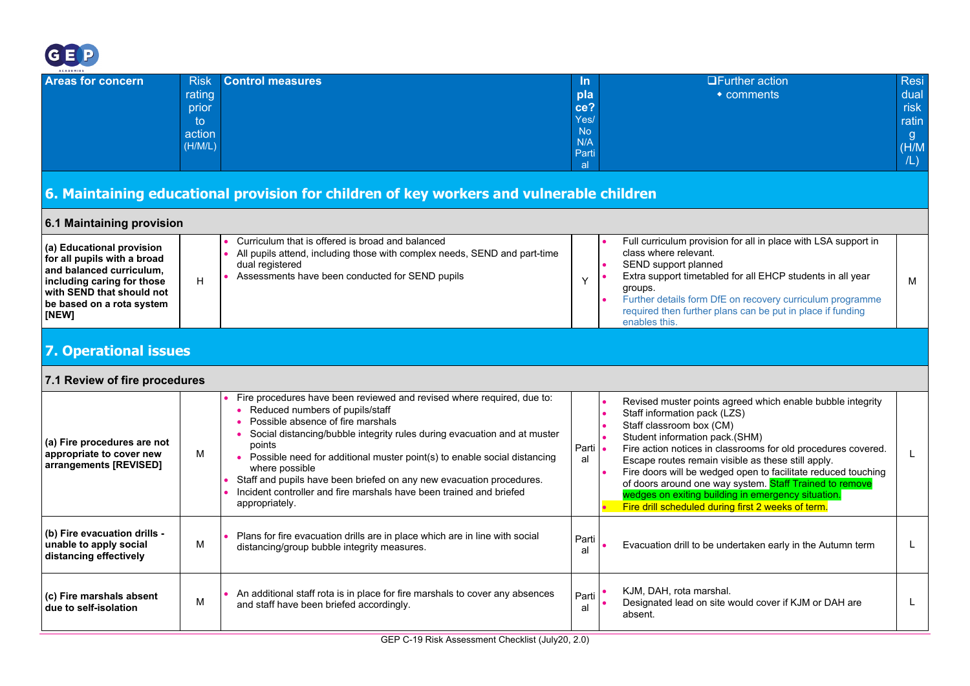

| <b>Areas for concern</b> | <b>Risk</b> | Control measures | In.         | <b>OFurther action</b> | Resi  |
|--------------------------|-------------|------------------|-------------|------------------------|-------|
|                          | rating      |                  | pla         | $\bullet$ comments     | dual  |
|                          | prior       |                  | ce?         |                        | risk  |
|                          | to          |                  | Yes/        |                        | ratin |
|                          | action      |                  | No          |                        | g     |
|                          | (H/M/L)     |                  | N/A         |                        | (H/M) |
|                          |             |                  | Parti<br> a |                        | /L)   |
|                          |             |                  |             |                        |       |

## **6. Maintaining educational provision for children of key workers and vulnerable children**

<span id="page-30-3"></span><span id="page-30-2"></span><span id="page-30-1"></span><span id="page-30-0"></span>

| 6.1 Maintaining provision                                                                                                                                                             |   |                                                                                                                                                                                                                                                                                                                                                                                                                                                                                                         |               |                                                                                                                                                                                                                                                                                                                                                                                                                                                                                                                         |  |  |  |
|---------------------------------------------------------------------------------------------------------------------------------------------------------------------------------------|---|---------------------------------------------------------------------------------------------------------------------------------------------------------------------------------------------------------------------------------------------------------------------------------------------------------------------------------------------------------------------------------------------------------------------------------------------------------------------------------------------------------|---------------|-------------------------------------------------------------------------------------------------------------------------------------------------------------------------------------------------------------------------------------------------------------------------------------------------------------------------------------------------------------------------------------------------------------------------------------------------------------------------------------------------------------------------|--|--|--|
| (a) Educational provision<br>for all pupils with a broad<br>and balanced curriculum,<br>including caring for those<br>with SEND that should not<br>be based on a rota system<br>[NEW] | H | Curriculum that is offered is broad and balanced<br>All pupils attend, including those with complex needs, SEND and part-time<br>dual registered<br>Assessments have been conducted for SEND pupils                                                                                                                                                                                                                                                                                                     | Y             | Full curriculum provision for all in place with LSA support in<br>class where relevant.<br>SEND support planned<br>Extra support timetabled for all EHCP students in all year<br>м<br>groups.<br>Further details form DfE on recovery curriculum programme<br>required then further plans can be put in place if funding<br>enables this.                                                                                                                                                                               |  |  |  |
| <b>7. Operational issues</b>                                                                                                                                                          |   |                                                                                                                                                                                                                                                                                                                                                                                                                                                                                                         |               |                                                                                                                                                                                                                                                                                                                                                                                                                                                                                                                         |  |  |  |
| 7.1 Review of fire procedures                                                                                                                                                         |   |                                                                                                                                                                                                                                                                                                                                                                                                                                                                                                         |               |                                                                                                                                                                                                                                                                                                                                                                                                                                                                                                                         |  |  |  |
| (a) Fire procedures are not<br>appropriate to cover new<br>arrangements [REVISED]                                                                                                     | м | Fire procedures have been reviewed and revised where required, due to:<br>• Reduced numbers of pupils/staff<br>Possible absence of fire marshals<br>Social distancing/bubble integrity rules during evacuation and at muster<br>points<br>• Possible need for additional muster point(s) to enable social distancing<br>where possible<br>Staff and pupils have been briefed on any new evacuation procedures.<br>Incident controller and fire marshals have been trained and briefed<br>appropriately. | Parti .<br>al | Revised muster points agreed which enable bubble integrity<br>Staff information pack (LZS)<br>Staff classroom box (CM)<br>Student information pack.(SHM)<br>Fire action notices in classrooms for old procedures covered.<br>Escape routes remain visible as these still apply.<br>Fire doors will be wedged open to facilitate reduced touching<br>of doors around one way system. Staff Trained to remove<br>wedges on exiting building in emergency situation.<br>Fire drill scheduled during first 2 weeks of term. |  |  |  |
| (b) Fire evacuation drills -<br>unable to apply social<br>distancing effectively                                                                                                      | M | Plans for fire evacuation drills are in place which are in line with social<br>distancing/group bubble integrity measures.                                                                                                                                                                                                                                                                                                                                                                              | Parti<br>al   | Evacuation drill to be undertaken early in the Autumn term                                                                                                                                                                                                                                                                                                                                                                                                                                                              |  |  |  |
| (c) Fire marshals absent<br>due to self-isolation                                                                                                                                     | M | An additional staff rota is in place for fire marshals to cover any absences<br>and staff have been briefed accordingly.                                                                                                                                                                                                                                                                                                                                                                                | Parti<br>a    | KJM, DAH, rota marshal.<br>Designated lead on site would cover if KJM or DAH are<br>absent.                                                                                                                                                                                                                                                                                                                                                                                                                             |  |  |  |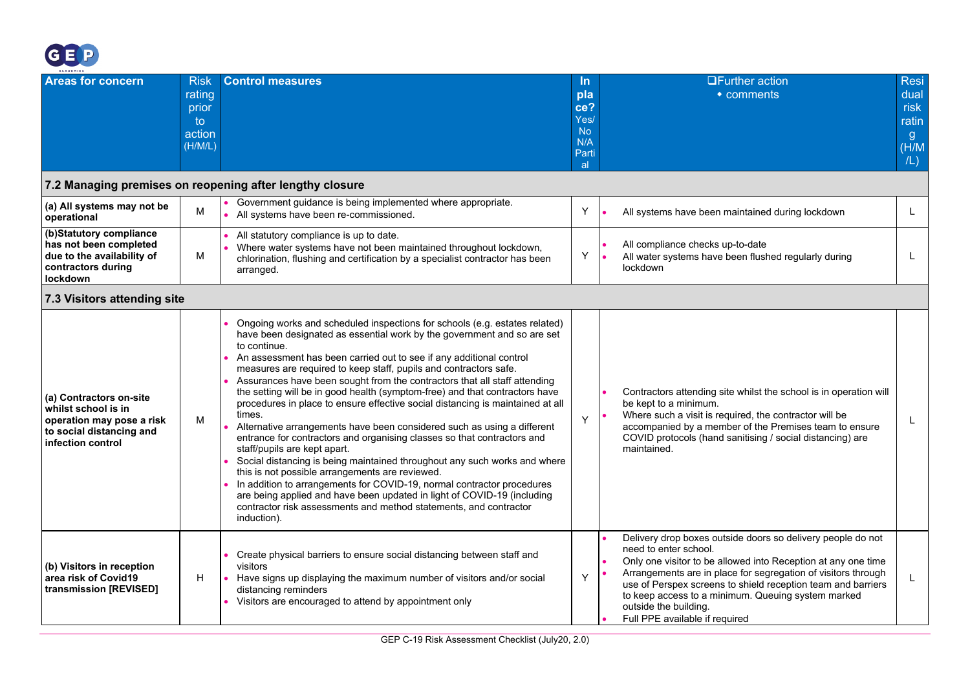

<span id="page-31-1"></span><span id="page-31-0"></span>

| ACADEMIES                                                                                                                    |                                                            |                                                                                                                                                                                                                                                                                                                                                                                                                                                                                                                                                                                                                                                                                                                                                                                                                                                                                                                                                                                                                                                                                                                                          |                                                                           |                                                                                                                                                                                                                                                                                                                                                                                                         |                                                            |
|------------------------------------------------------------------------------------------------------------------------------|------------------------------------------------------------|------------------------------------------------------------------------------------------------------------------------------------------------------------------------------------------------------------------------------------------------------------------------------------------------------------------------------------------------------------------------------------------------------------------------------------------------------------------------------------------------------------------------------------------------------------------------------------------------------------------------------------------------------------------------------------------------------------------------------------------------------------------------------------------------------------------------------------------------------------------------------------------------------------------------------------------------------------------------------------------------------------------------------------------------------------------------------------------------------------------------------------------|---------------------------------------------------------------------------|---------------------------------------------------------------------------------------------------------------------------------------------------------------------------------------------------------------------------------------------------------------------------------------------------------------------------------------------------------------------------------------------------------|------------------------------------------------------------|
| <b>Areas for concern</b>                                                                                                     | <b>Risk</b><br>rating<br>prior<br>to.<br>action<br>(H/M/L) | <b>Control measures</b>                                                                                                                                                                                                                                                                                                                                                                                                                                                                                                                                                                                                                                                                                                                                                                                                                                                                                                                                                                                                                                                                                                                  | <u>In</u><br>pla<br>ce?<br>Yes/<br><b>No</b><br>N/A<br>Parti<br><b>al</b> | <b>OFurther action</b><br>$\bullet$ comments                                                                                                                                                                                                                                                                                                                                                            | <b>Resi</b><br>dual<br>risk<br>ratin<br>g.<br>(H/M)<br>/L) |
|                                                                                                                              |                                                            | 7.2 Managing premises on reopening after lengthy closure                                                                                                                                                                                                                                                                                                                                                                                                                                                                                                                                                                                                                                                                                                                                                                                                                                                                                                                                                                                                                                                                                 |                                                                           |                                                                                                                                                                                                                                                                                                                                                                                                         |                                                            |
| (a) All systems may not be<br>operational                                                                                    | M                                                          | Government guidance is being implemented where appropriate.<br>All systems have been re-commissioned.                                                                                                                                                                                                                                                                                                                                                                                                                                                                                                                                                                                                                                                                                                                                                                                                                                                                                                                                                                                                                                    | Y                                                                         | All systems have been maintained during lockdown                                                                                                                                                                                                                                                                                                                                                        | L                                                          |
| (b)Statutory compliance<br>has not been completed<br>due to the availability of<br>contractors during<br>lockdown            | м                                                          | All statutory compliance is up to date.<br>Where water systems have not been maintained throughout lockdown,<br>chlorination, flushing and certification by a specialist contractor has been<br>arranged.                                                                                                                                                                                                                                                                                                                                                                                                                                                                                                                                                                                                                                                                                                                                                                                                                                                                                                                                | Y                                                                         | All compliance checks up-to-date<br>All water systems have been flushed regularly during<br>lockdown                                                                                                                                                                                                                                                                                                    | L                                                          |
| 7.3 Visitors attending site                                                                                                  |                                                            |                                                                                                                                                                                                                                                                                                                                                                                                                                                                                                                                                                                                                                                                                                                                                                                                                                                                                                                                                                                                                                                                                                                                          |                                                                           |                                                                                                                                                                                                                                                                                                                                                                                                         |                                                            |
| (a) Contractors on-site<br>whilst school is in<br>operation may pose a risk<br>to social distancing and<br>infection control | м                                                          | Ongoing works and scheduled inspections for schools (e.g. estates related)<br>have been designated as essential work by the government and so are set<br>to continue.<br>An assessment has been carried out to see if any additional control<br>measures are required to keep staff, pupils and contractors safe.<br>Assurances have been sought from the contractors that all staff attending<br>the setting will be in good health (symptom-free) and that contractors have<br>procedures in place to ensure effective social distancing is maintained at all<br>times.<br>Alternative arrangements have been considered such as using a different<br>entrance for contractors and organising classes so that contractors and<br>staff/pupils are kept apart.<br>Social distancing is being maintained throughout any such works and where<br>this is not possible arrangements are reviewed.<br>In addition to arrangements for COVID-19, normal contractor procedures<br>are being applied and have been updated in light of COVID-19 (including<br>contractor risk assessments and method statements, and contractor<br>induction). | Y                                                                         | Contractors attending site whilst the school is in operation will<br>be kept to a minimum.<br>Where such a visit is required, the contractor will be<br>accompanied by a member of the Premises team to ensure<br>COVID protocols (hand sanitising / social distancing) are<br>maintained.                                                                                                              | L                                                          |
| (b) Visitors in reception<br>area risk of Covid19<br>transmission [REVISED]                                                  | H                                                          | Create physical barriers to ensure social distancing between staff and<br>visitors<br>Have signs up displaying the maximum number of visitors and/or social<br>$\bullet$<br>distancing reminders<br>Visitors are encouraged to attend by appointment only                                                                                                                                                                                                                                                                                                                                                                                                                                                                                                                                                                                                                                                                                                                                                                                                                                                                                | Y                                                                         | Delivery drop boxes outside doors so delivery people do not<br>need to enter school.<br>Only one visitor to be allowed into Reception at any one time<br>Arrangements are in place for segregation of visitors through<br>use of Perspex screens to shield reception team and barriers<br>to keep access to a minimum. Queuing system marked<br>outside the building.<br>Full PPE available if required | L                                                          |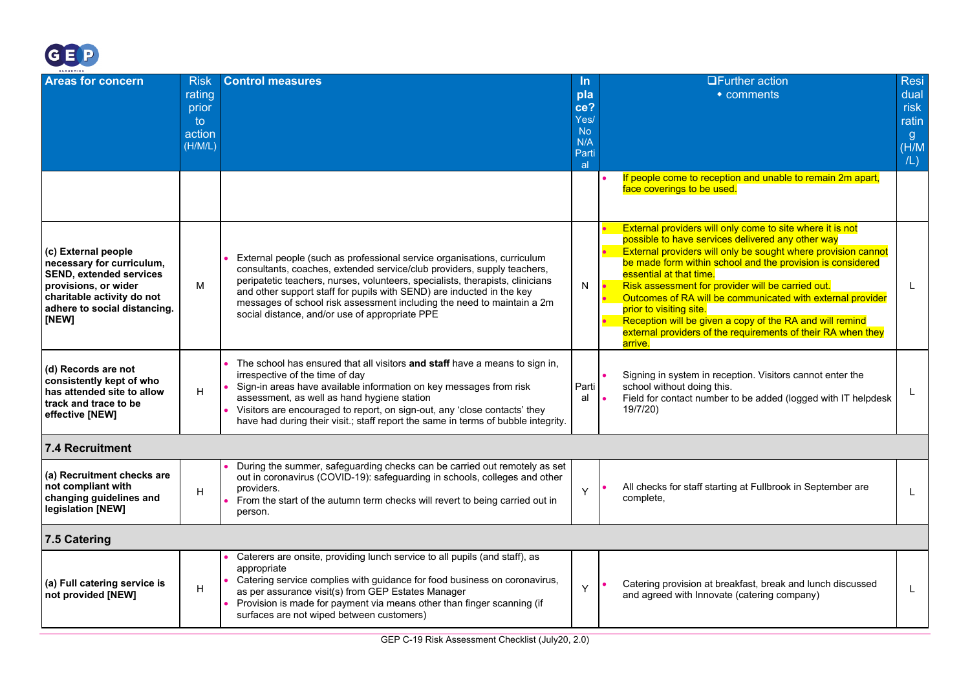

<span id="page-32-1"></span><span id="page-32-0"></span>

| ACADEMIES                                                                                                                                                                         |                                                            |                                                                                                                                                                                                                                                                                                                                                                                                                                          |                                                              |  |                                                                                                                                                                                                                                                                                                                                                                                                                                                                                                                                                               |                                                                      |  |
|-----------------------------------------------------------------------------------------------------------------------------------------------------------------------------------|------------------------------------------------------------|------------------------------------------------------------------------------------------------------------------------------------------------------------------------------------------------------------------------------------------------------------------------------------------------------------------------------------------------------------------------------------------------------------------------------------------|--------------------------------------------------------------|--|---------------------------------------------------------------------------------------------------------------------------------------------------------------------------------------------------------------------------------------------------------------------------------------------------------------------------------------------------------------------------------------------------------------------------------------------------------------------------------------------------------------------------------------------------------------|----------------------------------------------------------------------|--|
| <b>Areas for concern</b>                                                                                                                                                          | <b>Risk</b><br>rating<br>prior<br>to.<br>action<br>(H/M/L) | <b>Control measures</b>                                                                                                                                                                                                                                                                                                                                                                                                                  | In.<br>pla<br>ce?<br>Yes/<br><b>No</b><br>N/A<br>Parti<br>al |  | <b>OFurther action</b><br>• comments                                                                                                                                                                                                                                                                                                                                                                                                                                                                                                                          | <b>Resi</b><br>dual<br>risk<br>ratin<br>$\mathbf{g}$<br>(H/M)<br>/L) |  |
|                                                                                                                                                                                   |                                                            |                                                                                                                                                                                                                                                                                                                                                                                                                                          |                                                              |  | If people come to reception and unable to remain 2m apart,<br>face coverings to be used.                                                                                                                                                                                                                                                                                                                                                                                                                                                                      |                                                                      |  |
| (c) External people<br>necessary for curriculum,<br><b>SEND. extended services</b><br>provisions, or wider<br>charitable activity do not<br>adhere to social distancing.<br>[NEW] | м                                                          | External people (such as professional service organisations, curriculum<br>consultants, coaches, extended service/club providers, supply teachers,<br>peripatetic teachers, nurses, volunteers, specialists, therapists, clinicians<br>and other support staff for pupils with SEND) are inducted in the key<br>messages of school risk assessment including the need to maintain a 2m<br>social distance, and/or use of appropriate PPE | N                                                            |  | External providers will only come to site where it is not<br>possible to have services delivered any other way<br>External providers will only be sought where provision cannot<br>be made form within school and the provision is considered<br>essential at that time.<br>Risk assessment for provider will be carried out.<br>Outcomes of RA will be communicated with external provider<br>prior to visiting site.<br>Reception will be given a copy of the RA and will remind<br>external providers of the requirements of their RA when they<br>arrive. | L.                                                                   |  |
| (d) Records are not<br>consistently kept of who<br>has attended site to allow<br>track and trace to be<br>effective [NEW]                                                         | H                                                          | The school has ensured that all visitors and staff have a means to sign in,<br>irrespective of the time of day<br>Sign-in areas have available information on key messages from risk<br>assessment, as well as hand hygiene station<br>Visitors are encouraged to report, on sign-out, any 'close contacts' they<br>have had during their visit .; staff report the same in terms of bubble integrity.                                   | Parti<br>al                                                  |  | Signing in system in reception. Visitors cannot enter the<br>school without doing this.<br>Field for contact number to be added (logged with IT helpdesk<br>19/7/20)                                                                                                                                                                                                                                                                                                                                                                                          | L                                                                    |  |
| 7.4 Recruitment                                                                                                                                                                   |                                                            |                                                                                                                                                                                                                                                                                                                                                                                                                                          |                                                              |  |                                                                                                                                                                                                                                                                                                                                                                                                                                                                                                                                                               |                                                                      |  |
| (a) Recruitment checks are<br>not compliant with<br>changing guidelines and<br>legislation [NEW]                                                                                  | H                                                          | During the summer, safeguarding checks can be carried out remotely as set<br>out in coronavirus (COVID-19): safeguarding in schools, colleges and other<br>providers.<br>From the start of the autumn term checks will revert to being carried out in<br>person.                                                                                                                                                                         | Y                                                            |  | All checks for staff starting at Fullbrook in September are<br>complete,                                                                                                                                                                                                                                                                                                                                                                                                                                                                                      | L.                                                                   |  |
| 7.5 Catering                                                                                                                                                                      |                                                            |                                                                                                                                                                                                                                                                                                                                                                                                                                          |                                                              |  |                                                                                                                                                                                                                                                                                                                                                                                                                                                                                                                                                               |                                                                      |  |
| (a) Full catering service is<br>not provided [NEW]                                                                                                                                | H                                                          | Caterers are onsite, providing lunch service to all pupils (and staff), as<br>appropriate<br>Catering service complies with guidance for food business on coronavirus,<br>as per assurance visit(s) from GEP Estates Manager<br>Provision is made for payment via means other than finger scanning (if<br>surfaces are not wiped between customers)                                                                                      | Y                                                            |  | Catering provision at breakfast, break and lunch discussed<br>and agreed with Innovate (catering company)                                                                                                                                                                                                                                                                                                                                                                                                                                                     | L.                                                                   |  |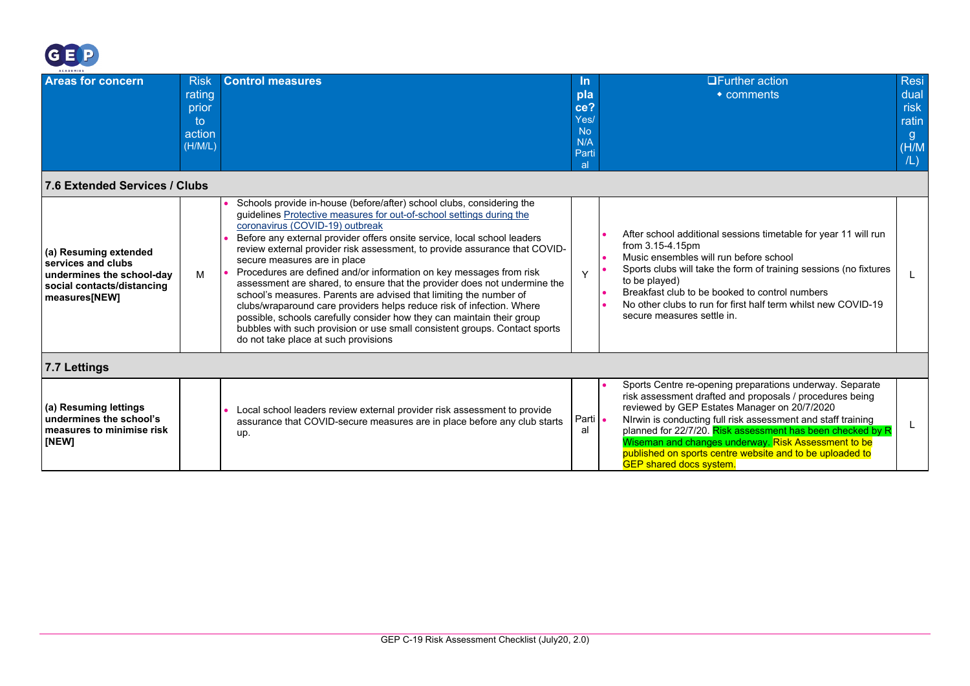

<span id="page-33-1"></span><span id="page-33-0"></span>

| <b>ACADEMIES</b>                                                                                                        |                                                           |                                                                                                                                                                                                                                                                                                                                                                                                                                                                                                                                                                                                                                                                                                                                                                                                                                                                               |                                                                     |                                                                                                                                                                                                                                                                                                                                                                                                                                                         |  |  |
|-------------------------------------------------------------------------------------------------------------------------|-----------------------------------------------------------|-------------------------------------------------------------------------------------------------------------------------------------------------------------------------------------------------------------------------------------------------------------------------------------------------------------------------------------------------------------------------------------------------------------------------------------------------------------------------------------------------------------------------------------------------------------------------------------------------------------------------------------------------------------------------------------------------------------------------------------------------------------------------------------------------------------------------------------------------------------------------------|---------------------------------------------------------------------|---------------------------------------------------------------------------------------------------------------------------------------------------------------------------------------------------------------------------------------------------------------------------------------------------------------------------------------------------------------------------------------------------------------------------------------------------------|--|--|
| <b>Areas for concern</b>                                                                                                | <b>Risk</b><br>rating<br>prior<br>to<br>action<br>(H/M/L) | <b>Control measures</b>                                                                                                                                                                                                                                                                                                                                                                                                                                                                                                                                                                                                                                                                                                                                                                                                                                                       | <u>In</u><br>pla<br>ce?<br>Yes/<br><b>No</b><br>N/A<br>Parti<br>-al | <b>Resi</b><br>$\Box$ Further action<br>dual<br>$\bullet$ comments<br>risk<br>ratin<br>g.<br>(H/M)<br>/L)                                                                                                                                                                                                                                                                                                                                               |  |  |
| 7.6 Extended Services / Clubs                                                                                           |                                                           |                                                                                                                                                                                                                                                                                                                                                                                                                                                                                                                                                                                                                                                                                                                                                                                                                                                                               |                                                                     |                                                                                                                                                                                                                                                                                                                                                                                                                                                         |  |  |
| (a) Resuming extended<br>services and clubs<br>undermines the school-day<br>social contacts/distancing<br>measures[NEW] | M                                                         | Schools provide in-house (before/after) school clubs, considering the<br>guidelines Protective measures for out-of-school settings during the<br>coronavirus (COVID-19) outbreak<br>Before any external provider offers onsite service, local school leaders<br>review external provider risk assessment, to provide assurance that COVID-<br>secure measures are in place<br>Procedures are defined and/or information on key messages from risk<br>assessment are shared, to ensure that the provider does not undermine the<br>school's measures. Parents are advised that limiting the number of<br>clubs/wraparound care providers helps reduce risk of infection. Where<br>possible, schools carefully consider how they can maintain their group<br>bubbles with such provision or use small consistent groups. Contact sports<br>do not take place at such provisions | Y                                                                   | After school additional sessions timetable for year 11 will run<br>from 3.15-4.15pm<br>Music ensembles will run before school<br>Sports clubs will take the form of training sessions (no fixtures<br>to be played)<br>Breakfast club to be booked to control numbers<br>No other clubs to run for first half term whilst new COVID-19<br>secure measures settle in.                                                                                    |  |  |
| 7.7 Lettings                                                                                                            |                                                           |                                                                                                                                                                                                                                                                                                                                                                                                                                                                                                                                                                                                                                                                                                                                                                                                                                                                               |                                                                     |                                                                                                                                                                                                                                                                                                                                                                                                                                                         |  |  |
| (a) Resuming lettings<br>undermines the school's<br>measures to minimise risk<br>[NEW]                                  |                                                           | Local school leaders review external provider risk assessment to provide<br>assurance that COVID-secure measures are in place before any club starts<br>up.                                                                                                                                                                                                                                                                                                                                                                                                                                                                                                                                                                                                                                                                                                                   | Parti •<br>al                                                       | Sports Centre re-opening preparations underway. Separate<br>risk assessment drafted and proposals / procedures being<br>reviewed by GEP Estates Manager on 20/7/2020<br>NIrwin is conducting full risk assessment and staff training<br>planned for 22/7/20. Risk assessment has been checked by R<br>Wiseman and changes underway. Risk Assessment to be<br>published on sports centre website and to be uploaded to<br><b>GEP</b> shared docs system. |  |  |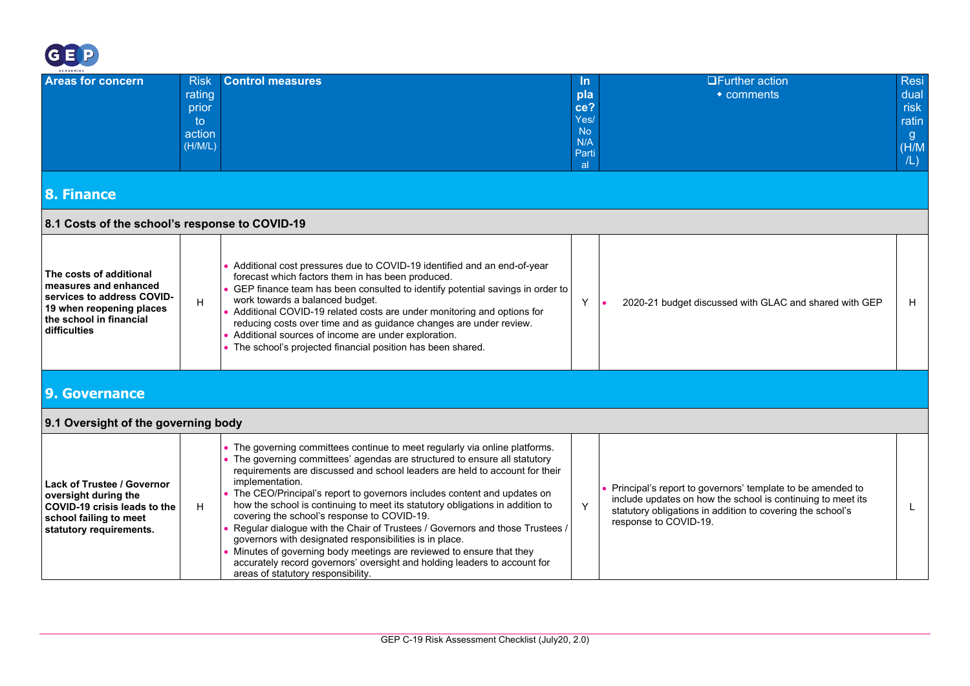

<span id="page-34-3"></span><span id="page-34-2"></span><span id="page-34-1"></span><span id="page-34-0"></span>

| <b>ACADEMIES</b>                                                                                                                                      |                                                           |                                                                                                                                                                                                                                                                                                                                                                                                                                                                                                                                                                                                                                                                                                                                                                                                               |                                                                    |                                                                                                                                                                                                                  |                                                           |
|-------------------------------------------------------------------------------------------------------------------------------------------------------|-----------------------------------------------------------|---------------------------------------------------------------------------------------------------------------------------------------------------------------------------------------------------------------------------------------------------------------------------------------------------------------------------------------------------------------------------------------------------------------------------------------------------------------------------------------------------------------------------------------------------------------------------------------------------------------------------------------------------------------------------------------------------------------------------------------------------------------------------------------------------------------|--------------------------------------------------------------------|------------------------------------------------------------------------------------------------------------------------------------------------------------------------------------------------------------------|-----------------------------------------------------------|
| <b>Areas for concern</b>                                                                                                                              | <b>Risk</b><br>rating<br>prior<br>to<br>action<br>(H/M/L) | <b>Control measures</b>                                                                                                                                                                                                                                                                                                                                                                                                                                                                                                                                                                                                                                                                                                                                                                                       | In<br>pla<br>ce?<br>Yes/<br><b>No</b><br>N/A<br>Parti<br><b>al</b> | $\Box$ Further action<br>$\bullet$ comments                                                                                                                                                                      | <b>Resi</b><br>dual<br>risk<br>ratin<br>g<br>(H/M)<br>/L) |
| <b>8. Finance</b>                                                                                                                                     |                                                           |                                                                                                                                                                                                                                                                                                                                                                                                                                                                                                                                                                                                                                                                                                                                                                                                               |                                                                    |                                                                                                                                                                                                                  |                                                           |
| 8.1 Costs of the school's response to COVID-19                                                                                                        |                                                           |                                                                                                                                                                                                                                                                                                                                                                                                                                                                                                                                                                                                                                                                                                                                                                                                               |                                                                    |                                                                                                                                                                                                                  |                                                           |
| The costs of additional<br>measures and enhanced<br>services to address COVID-<br>19 when reopening places<br>the school in financial<br>difficulties | H                                                         | • Additional cost pressures due to COVID-19 identified and an end-of-year<br>forecast which factors them in has been produced.<br>• GEP finance team has been consulted to identify potential savings in order to<br>work towards a balanced budget.<br>• Additional COVID-19 related costs are under monitoring and options for<br>reducing costs over time and as guidance changes are under review.<br>• Additional sources of income are under exploration.<br>• The school's projected financial position has been shared.                                                                                                                                                                                                                                                                               | Y                                                                  | 2020-21 budget discussed with GLAC and shared with GEP                                                                                                                                                           | H                                                         |
| 9. Governance<br>9.1 Oversight of the governing body                                                                                                  |                                                           |                                                                                                                                                                                                                                                                                                                                                                                                                                                                                                                                                                                                                                                                                                                                                                                                               |                                                                    |                                                                                                                                                                                                                  |                                                           |
| <b>Lack of Trustee / Governor</b><br>oversight during the<br>COVID-19 crisis leads to the<br>school failing to meet<br>statutory requirements.        | H                                                         | • The governing committees continue to meet regularly via online platforms.<br>• The governing committees' agendas are structured to ensure all statutory<br>requirements are discussed and school leaders are held to account for their<br>implementation.<br>• The CEO/Principal's report to governors includes content and updates on<br>how the school is continuing to meet its statutory obligations in addition to<br>covering the school's response to COVID-19.<br>Regular dialogue with the Chair of Trustees / Governors and those Trustees /<br>governors with designated responsibilities is in place.<br>Minutes of governing body meetings are reviewed to ensure that they<br>accurately record governors' oversight and holding leaders to account for<br>areas of statutory responsibility. | Y                                                                  | Principal's report to governors' template to be amended to<br>include updates on how the school is continuing to meet its<br>statutory obligations in addition to covering the school's<br>response to COVID-19. |                                                           |